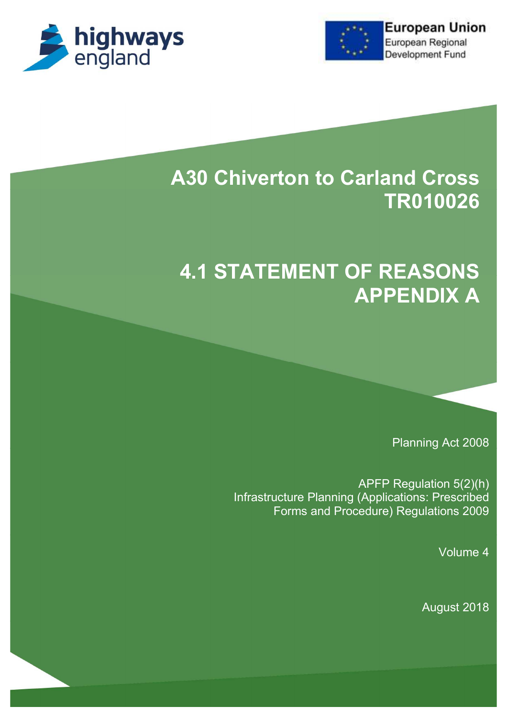



## **A30 Chiverton to Carland Cross TR010026**

# **4.1 STATEMENT OF REASONS APPENDIX A**

Planning Act 2008

APFP Regulation 5(2)(h) Infrastructure Planning (Applications: Prescribed Forms and Procedure) Regulations 2009

Volume 4

August 2018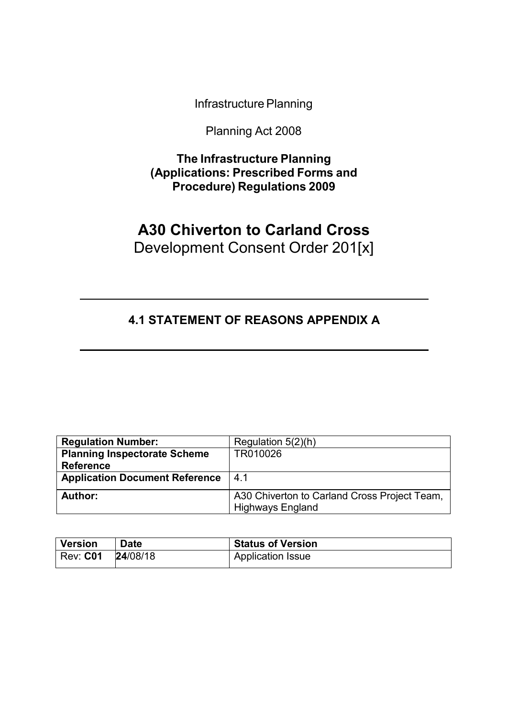Infrastructure Planning

Planning Act 2008

**The Infrastructure Planning (Applications: Prescribed Forms and Procedure) Regulations 2009**

### **A30 Chiverton to Carland Cross** Development Consent Order 201[x]

### **4.1 STATEMENT OF REASONS APPENDIX A**

| <b>Regulation Number:</b>             | Regulation $5(2)(h)$                                                    |
|---------------------------------------|-------------------------------------------------------------------------|
| <b>Planning Inspectorate Scheme</b>   | TR010026                                                                |
| <b>Reference</b>                      |                                                                         |
| <b>Application Document Reference</b> | 4.1                                                                     |
| Author:                               | A30 Chiverton to Carland Cross Project Team,<br><b>Highways England</b> |

| <b>Version</b> | <b>Date</b> | <b>Status of Version</b> |
|----------------|-------------|--------------------------|
| $'$ Rev: $C01$ | 24/08/18    | Application Issue        |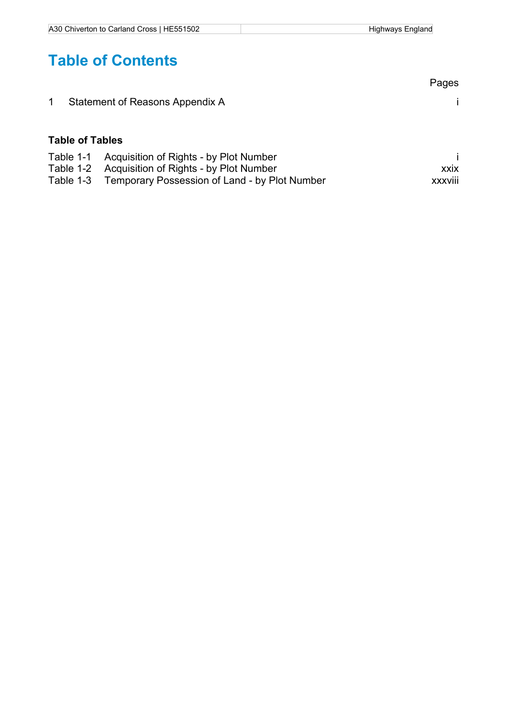| A30 Chiverton to Carland Cross   HE551502 | Highways England |
|-------------------------------------------|------------------|

## **Table of Contents**

|                        |                                        | Pages       |
|------------------------|----------------------------------------|-------------|
| $\overline{1}$         | Statement of Reasons Appendix A        |             |
| <b>Table of Tables</b> |                                        |             |
| Table 1-1              | Acquisition of Rights - by Plot Number |             |
| Table 1-2              | Acquisition of Rights - by Plot Number | <b>XXIX</b> |
|                        |                                        |             |

Table 1-3 Temporary Possession of Land - by Plot Number xxxviii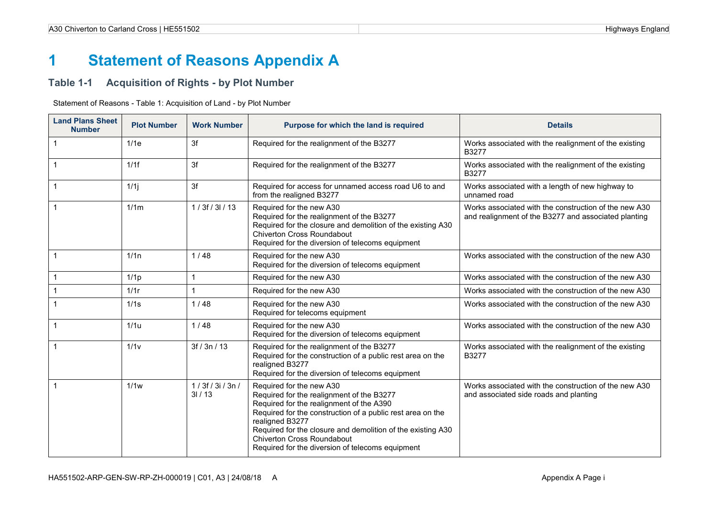### **1 Statement of Reasons Appendix A**

#### **Table 1-1 Acquisition of Rights - by Plot Number**

| <b>Land Plans Sheet</b><br><b>Number</b> | <b>Plot Number</b> | <b>Work Number</b>   | Purpose for which the land is required                                                                                                                                                                                                                                                                                                              | <b>Details</b>                                                                                                |
|------------------------------------------|--------------------|----------------------|-----------------------------------------------------------------------------------------------------------------------------------------------------------------------------------------------------------------------------------------------------------------------------------------------------------------------------------------------------|---------------------------------------------------------------------------------------------------------------|
| 1                                        | 1/1e               | 3f                   | Required for the realignment of the B3277                                                                                                                                                                                                                                                                                                           | Works associated with the realignment of the existing<br>B3277                                                |
| 1                                        | 1/1f               | 3f                   | Required for the realignment of the B3277                                                                                                                                                                                                                                                                                                           | Works associated with the realignment of the existing<br>B3277                                                |
|                                          | 1/1j               | 3f                   | Required for access for unnamed access road U6 to and<br>from the realigned B3277                                                                                                                                                                                                                                                                   | Works associated with a length of new highway to<br>unnamed road                                              |
|                                          | 1/1m               | 1/3f/3l/13           | Required for the new A30<br>Required for the realignment of the B3277<br>Required for the closure and demolition of the existing A30<br>Chiverton Cross Roundabout<br>Required for the diversion of telecoms equipment                                                                                                                              | Works associated with the construction of the new A30<br>and realignment of the B3277 and associated planting |
|                                          | 1/1n               | 1/48                 | Required for the new A30<br>Required for the diversion of telecoms equipment                                                                                                                                                                                                                                                                        | Works associated with the construction of the new A30                                                         |
|                                          | 1/1 <sub>p</sub>   | $\mathbf{1}$         | Required for the new A30                                                                                                                                                                                                                                                                                                                            | Works associated with the construction of the new A30                                                         |
|                                          | 1/1r               | 1                    | Required for the new A30                                                                                                                                                                                                                                                                                                                            | Works associated with the construction of the new A30                                                         |
|                                          | 1/1s               | 1/48                 | Required for the new A30<br>Required for telecoms equipment                                                                                                                                                                                                                                                                                         | Works associated with the construction of the new A30                                                         |
| 1                                        | 1/1u               | 1/48                 | Required for the new A30<br>Required for the diversion of telecoms equipment                                                                                                                                                                                                                                                                        | Works associated with the construction of the new A30                                                         |
|                                          | 1/1 <sub>V</sub>   | 3f / 3n / 13         | Required for the realignment of the B3277<br>Required for the construction of a public rest area on the<br>realigned B3277<br>Required for the diversion of telecoms equipment                                                                                                                                                                      | Works associated with the realignment of the existing<br>B3277                                                |
|                                          | 1/1w               | 1/3f/3i/3n/<br>31/13 | Required for the new A30<br>Required for the realignment of the B3277<br>Required for the realignment of the A390<br>Required for the construction of a public rest area on the<br>realigned B3277<br>Required for the closure and demolition of the existing A30<br>Chiverton Cross Roundabout<br>Required for the diversion of telecoms equipment | Works associated with the construction of the new A30<br>and associated side roads and planting               |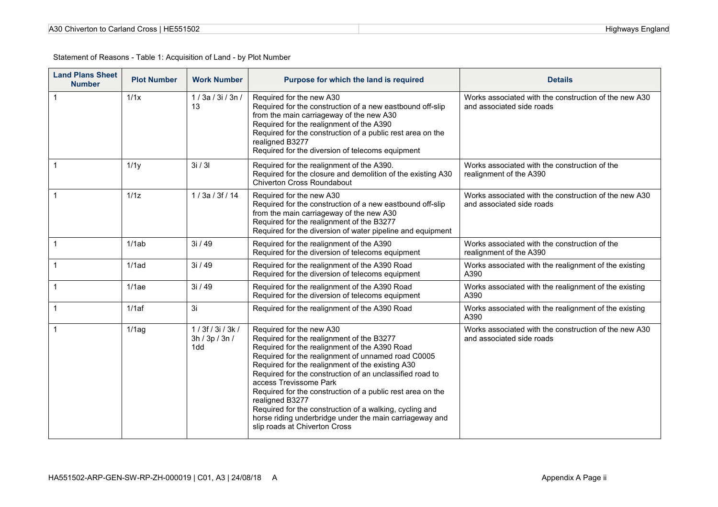| A30 Chiverton to Carland Cross   HE551502 |  |
|-------------------------------------------|--|
|-------------------------------------------|--|

| <b>Land Plans Sheet</b><br><b>Number</b> | <b>Plot Number</b> | <b>Work Number</b>                   | Purpose for which the land is required                                                                                                                                                                                                                                                                                                                                                                                                                                                                                                                         | <b>Details</b>                                                                     |
|------------------------------------------|--------------------|--------------------------------------|----------------------------------------------------------------------------------------------------------------------------------------------------------------------------------------------------------------------------------------------------------------------------------------------------------------------------------------------------------------------------------------------------------------------------------------------------------------------------------------------------------------------------------------------------------------|------------------------------------------------------------------------------------|
| 1                                        | 1/1x               | 1/3a/3i/3n/<br>13                    | Required for the new A30<br>Required for the construction of a new eastbound off-slip<br>from the main carriageway of the new A30<br>Required for the realignment of the A390<br>Required for the construction of a public rest area on the<br>realigned B3277<br>Required for the diversion of telecoms equipment                                                                                                                                                                                                                                             | Works associated with the construction of the new A30<br>and associated side roads |
| $\mathbf{1}$                             | 1/1y               | 3i / 3l                              | Required for the realignment of the A390.<br>Required for the closure and demolition of the existing A30<br><b>Chiverton Cross Roundabout</b>                                                                                                                                                                                                                                                                                                                                                                                                                  | Works associated with the construction of the<br>realignment of the A390           |
| $\mathbf{1}$                             | 1/1z               | 1/3a/3f/14                           | Required for the new A30<br>Required for the construction of a new eastbound off-slip<br>from the main carriageway of the new A30<br>Required for the realignment of the B3277<br>Required for the diversion of water pipeline and equipment                                                                                                                                                                                                                                                                                                                   | Works associated with the construction of the new A30<br>and associated side roads |
| $\mathbf{1}$                             | 1/1ab              | 3i / 49                              | Required for the realignment of the A390<br>Required for the diversion of telecoms equipment                                                                                                                                                                                                                                                                                                                                                                                                                                                                   | Works associated with the construction of the<br>realignment of the A390           |
| $\mathbf{1}$                             | $1/1$ ad           | 3i/49                                | Required for the realignment of the A390 Road<br>Required for the diversion of telecoms equipment                                                                                                                                                                                                                                                                                                                                                                                                                                                              | Works associated with the realignment of the existing<br>A390                      |
| 1                                        | 1/1ae              | 3i / 49                              | Required for the realignment of the A390 Road<br>Required for the diversion of telecoms equipment                                                                                                                                                                                                                                                                                                                                                                                                                                                              | Works associated with the realignment of the existing<br>A390                      |
|                                          | 1/1af              | 3i                                   | Required for the realignment of the A390 Road                                                                                                                                                                                                                                                                                                                                                                                                                                                                                                                  | Works associated with the realignment of the existing<br>A390                      |
|                                          | 1/1ag              | 1/3f/3i/3k/<br>3h / 3p / 3n /<br>1dd | Required for the new A30<br>Required for the realignment of the B3277<br>Required for the realignment of the A390 Road<br>Required for the realignment of unnamed road C0005<br>Required for the realignment of the existing A30<br>Required for the construction of an unclassified road to<br>access Trevissome Park<br>Required for the construction of a public rest area on the<br>realigned B3277<br>Required for the construction of a walking, cycling and<br>horse riding underbridge under the main carriageway and<br>slip roads at Chiverton Cross | Works associated with the construction of the new A30<br>and associated side roads |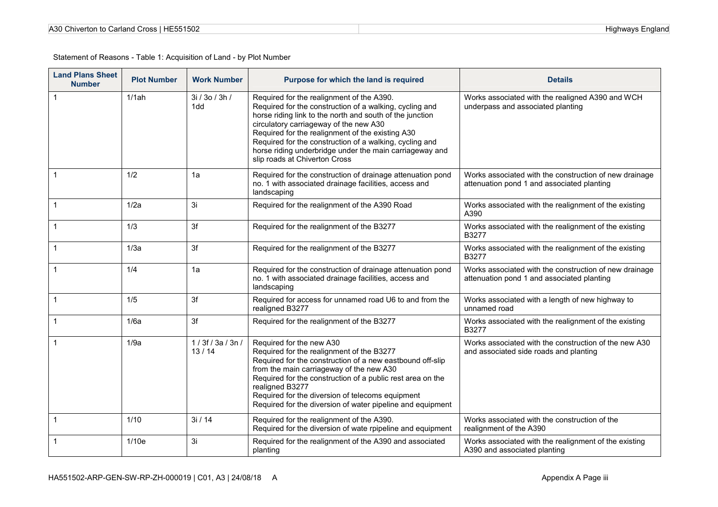| A30 Chiverton to Carland Cross   HE551502 |  |
|-------------------------------------------|--|
|-------------------------------------------|--|

| <b>Land Plans Sheet</b><br><b>Number</b> | <b>Plot Number</b> | <b>Work Number</b>    | Purpose for which the land is required                                                                                                                                                                                                                                                                                                                                                                                | <b>Details</b>                                                                                       |
|------------------------------------------|--------------------|-----------------------|-----------------------------------------------------------------------------------------------------------------------------------------------------------------------------------------------------------------------------------------------------------------------------------------------------------------------------------------------------------------------------------------------------------------------|------------------------------------------------------------------------------------------------------|
| $\mathbf{1}$                             | 1/1ah              | 3i / 3o / 3h /<br>1dd | Required for the realignment of the A390.<br>Required for the construction of a walking, cycling and<br>horse riding link to the north and south of the junction<br>circulatory carriageway of the new A30<br>Required for the realignment of the existing A30<br>Required for the construction of a walking, cycling and<br>horse riding underbridge under the main carriageway and<br>slip roads at Chiverton Cross | Works associated with the realigned A390 and WCH<br>underpass and associated planting                |
|                                          | 1/2                | 1a                    | Required for the construction of drainage attenuation pond<br>no. 1 with associated drainage facilities, access and<br>landscaping                                                                                                                                                                                                                                                                                    | Works associated with the construction of new drainage<br>attenuation pond 1 and associated planting |
| $\mathbf{1}$                             | 1/2a               | 3i                    | Required for the realignment of the A390 Road                                                                                                                                                                                                                                                                                                                                                                         | Works associated with the realignment of the existing<br>A390                                        |
|                                          | 1/3                | 3f                    | Required for the realignment of the B3277                                                                                                                                                                                                                                                                                                                                                                             | Works associated with the realignment of the existing<br>B3277                                       |
|                                          | 1/3a               | 3f                    | Required for the realignment of the B3277                                                                                                                                                                                                                                                                                                                                                                             | Works associated with the realignment of the existing<br>B3277                                       |
|                                          | 1/4                | 1a                    | Required for the construction of drainage attenuation pond<br>no. 1 with associated drainage facilities, access and<br>landscaping                                                                                                                                                                                                                                                                                    | Works associated with the construction of new drainage<br>attenuation pond 1 and associated planting |
|                                          | 1/5                | 3f                    | Required for access for unnamed road U6 to and from the<br>realigned B3277                                                                                                                                                                                                                                                                                                                                            | Works associated with a length of new highway to<br>unnamed road                                     |
|                                          | 1/6a               | 3f                    | Required for the realignment of the B3277                                                                                                                                                                                                                                                                                                                                                                             | Works associated with the realignment of the existing<br>B3277                                       |
|                                          | 1/9a               | 1/3f/3a/3n/<br>13/14  | Required for the new A30<br>Required for the realignment of the B3277<br>Required for the construction of a new eastbound off-slip<br>from the main carriageway of the new A30<br>Required for the construction of a public rest area on the<br>realigned B3277<br>Required for the diversion of telecoms equipment<br>Required for the diversion of water pipeline and equipment                                     | Works associated with the construction of the new A30<br>and associated side roads and planting      |
| $\mathbf{1}$                             | 1/10               | 3i/14                 | Required for the realignment of the A390.<br>Required for the diversion of wate rpipeline and equipment                                                                                                                                                                                                                                                                                                               | Works associated with the construction of the<br>realignment of the A390                             |
| $\mathbf 1$                              | 1/10e              | 3i                    | Required for the realignment of the A390 and associated<br>planting                                                                                                                                                                                                                                                                                                                                                   | Works associated with the realignment of the existing<br>A390 and associated planting                |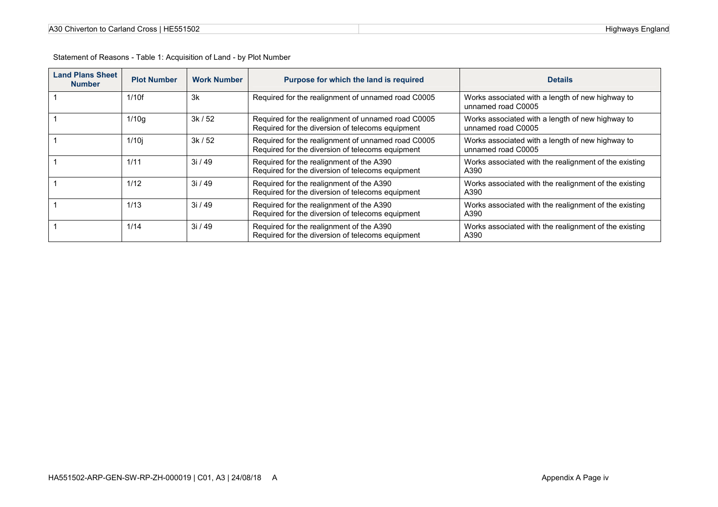| <b>Land Plans Sheet</b><br><b>Number</b> | <b>Plot Number</b> | <b>Work Number</b> | Purpose for which the land is required                                                                 | <b>Details</b>                                                         |
|------------------------------------------|--------------------|--------------------|--------------------------------------------------------------------------------------------------------|------------------------------------------------------------------------|
|                                          | 1/10f              | 3k                 | Required for the realignment of unnamed road C0005                                                     | Works associated with a length of new highway to<br>unnamed road C0005 |
|                                          | 1/10q              | 3k/52              | Required for the realignment of unnamed road C0005<br>Required for the diversion of telecoms equipment | Works associated with a length of new highway to<br>unnamed road C0005 |
|                                          | 1/10i              | 3k/52              | Required for the realignment of unnamed road C0005<br>Required for the diversion of telecoms equipment | Works associated with a length of new highway to<br>unnamed road C0005 |
|                                          | 1/11               | 3i/49              | Required for the realignment of the A390<br>Required for the diversion of telecoms equipment           | Works associated with the realignment of the existing<br>A390          |
|                                          | 1/12               | 3i/49              | Required for the realignment of the A390<br>Required for the diversion of telecoms equipment           | Works associated with the realignment of the existing<br>A390          |
|                                          | 1/13               | 3i/49              | Required for the realignment of the A390<br>Required for the diversion of telecoms equipment           | Works associated with the realignment of the existing<br>A390          |
|                                          | 1/14               | 3i/49              | Required for the realignment of the A390<br>Required for the diversion of telecoms equipment           | Works associated with the realignment of the existing<br>A390          |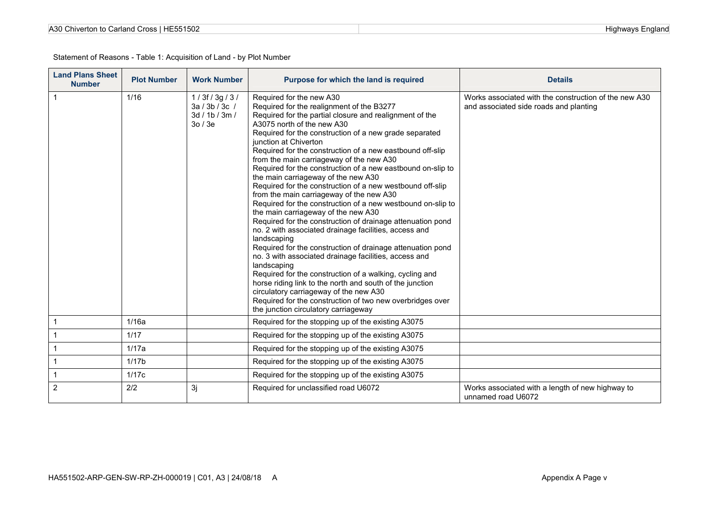| HA551502-ARP-GEN-SW-RP-ZH-000019   C01, A3   24/08/18 A |  |  |
|---------------------------------------------------------|--|--|
|                                                         |  |  |

| A30 Chiverton to Carland Cross   HE551502 |
|-------------------------------------------|
|-------------------------------------------|

| <b>Land Plans Sheet</b><br><b>Number</b> | <b>Plot Number</b> | <b>Work Number</b>                                      | Purpose for which the land is required                                                                                                                                                                                                                                                                                                                                                                                                                                                                                                                                                                                                                                                                                                                                                                                                                                                                                                                                                                                                                                                                                                                                                                                            | <b>Details</b>                                                                                  |
|------------------------------------------|--------------------|---------------------------------------------------------|-----------------------------------------------------------------------------------------------------------------------------------------------------------------------------------------------------------------------------------------------------------------------------------------------------------------------------------------------------------------------------------------------------------------------------------------------------------------------------------------------------------------------------------------------------------------------------------------------------------------------------------------------------------------------------------------------------------------------------------------------------------------------------------------------------------------------------------------------------------------------------------------------------------------------------------------------------------------------------------------------------------------------------------------------------------------------------------------------------------------------------------------------------------------------------------------------------------------------------------|-------------------------------------------------------------------------------------------------|
|                                          | 1/16               | 1/3f/3g/3/<br>3a / 3b / 3c /<br>3d / 1b / 3m /<br>30/3e | Required for the new A30<br>Required for the realignment of the B3277<br>Required for the partial closure and realignment of the<br>A3075 north of the new A30<br>Required for the construction of a new grade separated<br>junction at Chiverton<br>Required for the construction of a new eastbound off-slip<br>from the main carriageway of the new A30<br>Required for the construction of a new eastbound on-slip to<br>the main carriageway of the new A30<br>Required for the construction of a new westbound off-slip<br>from the main carriageway of the new A30<br>Required for the construction of a new westbound on-slip to<br>the main carriageway of the new A30<br>Required for the construction of drainage attenuation pond<br>no. 2 with associated drainage facilities, access and<br>landscaping<br>Required for the construction of drainage attenuation pond<br>no. 3 with associated drainage facilities, access and<br>landscaping<br>Required for the construction of a walking, cycling and<br>horse riding link to the north and south of the junction<br>circulatory carriageway of the new A30<br>Required for the construction of two new overbridges over<br>the junction circulatory carriageway | Works associated with the construction of the new A30<br>and associated side roads and planting |
|                                          | 1/16a              |                                                         | Required for the stopping up of the existing A3075                                                                                                                                                                                                                                                                                                                                                                                                                                                                                                                                                                                                                                                                                                                                                                                                                                                                                                                                                                                                                                                                                                                                                                                |                                                                                                 |
|                                          | 1/17               |                                                         | Required for the stopping up of the existing A3075                                                                                                                                                                                                                                                                                                                                                                                                                                                                                                                                                                                                                                                                                                                                                                                                                                                                                                                                                                                                                                                                                                                                                                                |                                                                                                 |
|                                          | 1/17a              |                                                         | Required for the stopping up of the existing A3075                                                                                                                                                                                                                                                                                                                                                                                                                                                                                                                                                                                                                                                                                                                                                                                                                                                                                                                                                                                                                                                                                                                                                                                |                                                                                                 |
|                                          | 1/17 <sub>b</sub>  |                                                         | Required for the stopping up of the existing A3075                                                                                                                                                                                                                                                                                                                                                                                                                                                                                                                                                                                                                                                                                                                                                                                                                                                                                                                                                                                                                                                                                                                                                                                |                                                                                                 |
|                                          | 1/17c              |                                                         | Required for the stopping up of the existing A3075                                                                                                                                                                                                                                                                                                                                                                                                                                                                                                                                                                                                                                                                                                                                                                                                                                                                                                                                                                                                                                                                                                                                                                                |                                                                                                 |
| $\overline{2}$                           | 2/2                | 3j                                                      | Required for unclassified road U6072                                                                                                                                                                                                                                                                                                                                                                                                                                                                                                                                                                                                                                                                                                                                                                                                                                                                                                                                                                                                                                                                                                                                                                                              | Works associated with a length of new highway to<br>unnamed road U6072                          |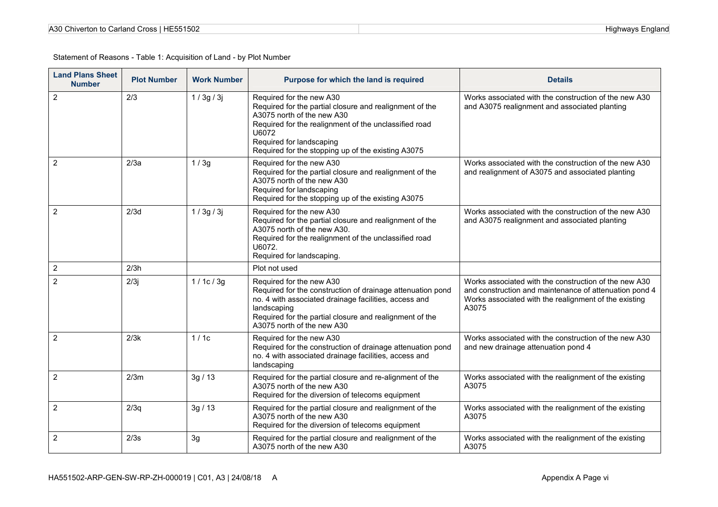| A30 Chiverton to Carland Cross   HE551502 |  |
|-------------------------------------------|--|
|-------------------------------------------|--|

| <b>Land Plans Sheet</b><br><b>Number</b> | <b>Plot Number</b> | <b>Work Number</b> | Purpose for which the land is required                                                                                                                                                                                                                                | <b>Details</b>                                                                                                                                                                    |
|------------------------------------------|--------------------|--------------------|-----------------------------------------------------------------------------------------------------------------------------------------------------------------------------------------------------------------------------------------------------------------------|-----------------------------------------------------------------------------------------------------------------------------------------------------------------------------------|
| $\overline{2}$                           | 2/3                | 1/3g/3j            | Required for the new A30<br>Required for the partial closure and realignment of the<br>A3075 north of the new A30<br>Required for the realignment of the unclassified road<br>U6072<br>Required for landscaping<br>Required for the stopping up of the existing A3075 | Works associated with the construction of the new A30<br>and A3075 realignment and associated planting                                                                            |
| $\overline{2}$                           | 2/3a               | 1/3g               | Required for the new A30<br>Required for the partial closure and realignment of the<br>A3075 north of the new A30<br>Required for landscaping<br>Required for the stopping up of the existing A3075                                                                   | Works associated with the construction of the new A30<br>and realignment of A3075 and associated planting                                                                         |
| 2                                        | 2/3d               | 1/3g/3j            | Required for the new A30<br>Required for the partial closure and realignment of the<br>A3075 north of the new A30.<br>Required for the realignment of the unclassified road<br>U6072.<br>Required for landscaping.                                                    | Works associated with the construction of the new A30<br>and A3075 realignment and associated planting                                                                            |
| $\overline{2}$                           | 2/3h               |                    | Plot not used                                                                                                                                                                                                                                                         |                                                                                                                                                                                   |
| $\overline{2}$                           | 2/3j               | 1/1c/3g            | Required for the new A30<br>Required for the construction of drainage attenuation pond<br>no. 4 with associated drainage facilities, access and<br>landscaping<br>Required for the partial closure and realignment of the<br>A3075 north of the new A30               | Works associated with the construction of the new A30<br>and construction and maintenance of attenuation pond 4<br>Works associated with the realignment of the existing<br>A3075 |
| 2                                        | 2/3k               | 1/1c               | Required for the new A30<br>Required for the construction of drainage attenuation pond<br>no. 4 with associated drainage facilities, access and<br>landscaping                                                                                                        | Works associated with the construction of the new A30<br>and new drainage attenuation pond 4                                                                                      |
| $\overline{2}$                           | 2/3m               | 3g/13              | Required for the partial closure and re-alignment of the<br>A3075 north of the new A30<br>Required for the diversion of telecoms equipment                                                                                                                            | Works associated with the realignment of the existing<br>A3075                                                                                                                    |
| $\overline{2}$                           | 2/3q               | 3g/13              | Required for the partial closure and realignment of the<br>A3075 north of the new A30<br>Required for the diversion of telecoms equipment                                                                                                                             | Works associated with the realignment of the existing<br>A3075                                                                                                                    |
| $\overline{2}$                           | 2/3s               | 3g                 | Required for the partial closure and realignment of the<br>A3075 north of the new A30                                                                                                                                                                                 | Works associated with the realignment of the existing<br>A3075                                                                                                                    |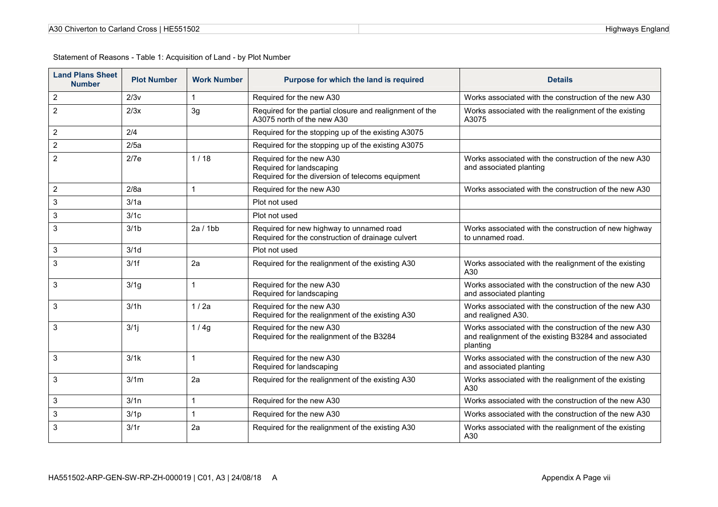| A30 Chiverton to Carland Cross   HE551502 |  |
|-------------------------------------------|--|
|-------------------------------------------|--|

| <b>Land Plans Sheet</b><br><b>Number</b> | <b>Plot Number</b> | <b>Work Number</b> | Purpose for which the land is required                                                                   | <b>Details</b>                                                                                                            |
|------------------------------------------|--------------------|--------------------|----------------------------------------------------------------------------------------------------------|---------------------------------------------------------------------------------------------------------------------------|
| $\overline{2}$                           | 2/3v               |                    | Required for the new A30                                                                                 | Works associated with the construction of the new A30                                                                     |
| $\overline{2}$                           | 2/3x               | 3g                 | Required for the partial closure and realignment of the<br>A3075 north of the new A30                    | Works associated with the realignment of the existing<br>A3075                                                            |
| 2                                        | 2/4                |                    | Required for the stopping up of the existing A3075                                                       |                                                                                                                           |
| 2                                        | 2/5a               |                    | Required for the stopping up of the existing A3075                                                       |                                                                                                                           |
| $\overline{2}$                           | 2/7e               | 1/18               | Required for the new A30<br>Required for landscaping<br>Required for the diversion of telecoms equipment | Works associated with the construction of the new A30<br>and associated planting                                          |
| $\overline{2}$                           | 2/8a               |                    | Required for the new A30                                                                                 | Works associated with the construction of the new A30                                                                     |
| 3                                        | 3/1a               |                    | Plot not used                                                                                            |                                                                                                                           |
| 3                                        | 3/1c               |                    | Plot not used                                                                                            |                                                                                                                           |
| 3                                        | 3/1 <sub>b</sub>   | 2a/1bb             | Required for new highway to unnamed road<br>Required for the construction of drainage culvert            | Works associated with the construction of new highway<br>to unnamed road.                                                 |
| 3                                        | 3/1d               |                    | Plot not used                                                                                            |                                                                                                                           |
| 3                                        | 3/1f               | 2a                 | Required for the realignment of the existing A30                                                         | Works associated with the realignment of the existing<br>A30                                                              |
| 3                                        | 3/1g               |                    | Required for the new A30<br>Required for landscaping                                                     | Works associated with the construction of the new A30<br>and associated planting                                          |
| 3                                        | 3/1h               | 1/2a               | Required for the new A30<br>Required for the realignment of the existing A30                             | Works associated with the construction of the new A30<br>and realigned A30.                                               |
| 3                                        | 3/1                | 1/4g               | Required for the new A30<br>Required for the realignment of the B3284                                    | Works associated with the construction of the new A30<br>and realignment of the existing B3284 and associated<br>planting |
| 3                                        | 3/1k               |                    | Required for the new A30<br>Required for landscaping                                                     | Works associated with the construction of the new A30<br>and associated planting                                          |
| 3                                        | 3/1m               | 2a                 | Required for the realignment of the existing A30                                                         | Works associated with the realignment of the existing<br>A30                                                              |
| 3                                        | 3/1n               | 1                  | Required for the new A30                                                                                 | Works associated with the construction of the new A30                                                                     |
| 3                                        | 3/1 <sub>p</sub>   |                    | Required for the new A30                                                                                 | Works associated with the construction of the new A30                                                                     |
| 3                                        | 3/1r               | 2a                 | Required for the realignment of the existing A30                                                         | Works associated with the realignment of the existing<br>A30                                                              |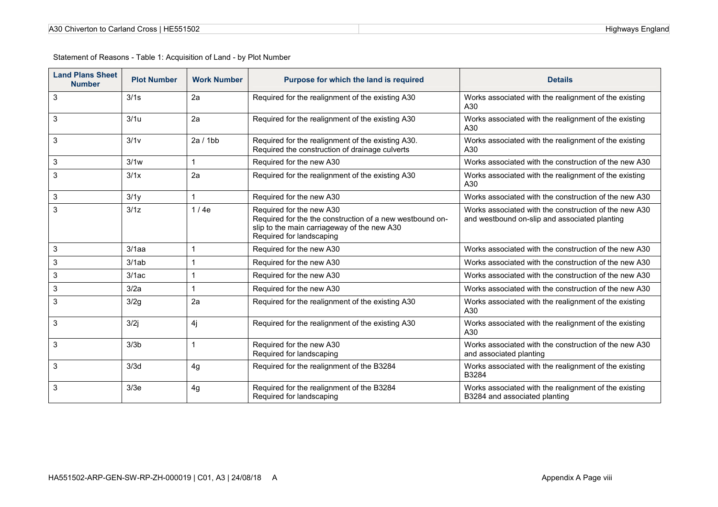| <b>Land Plans Sheet</b><br><b>Number</b> | <b>Plot Number</b> | <b>Work Number</b> | Purpose for which the land is required                                                                                                                          | <b>Details</b>                                                                                         |
|------------------------------------------|--------------------|--------------------|-----------------------------------------------------------------------------------------------------------------------------------------------------------------|--------------------------------------------------------------------------------------------------------|
| 3                                        | 3/1s               | 2a                 | Required for the realignment of the existing A30                                                                                                                | Works associated with the realignment of the existing<br>A30                                           |
| 3                                        | 3/1u               | 2a                 | Required for the realignment of the existing A30                                                                                                                | Works associated with the realignment of the existing<br>A30                                           |
| 3                                        | 3/1v               | 2a/1bb             | Required for the realignment of the existing A30.<br>Required the construction of drainage culverts                                                             | Works associated with the realignment of the existing<br>A30                                           |
| 3                                        | 3/1w               | 1                  | Required for the new A30                                                                                                                                        | Works associated with the construction of the new A30                                                  |
| 3                                        | 3/1x               | 2a                 | Required for the realignment of the existing A30                                                                                                                | Works associated with the realignment of the existing<br>A30                                           |
| 3                                        | 3/1y               | $\mathbf{1}$       | Required for the new A30                                                                                                                                        | Works associated with the construction of the new A30                                                  |
| 3                                        | 3/1z               | 1/4e               | Required for the new A30<br>Required for the the construction of a new westbound on-<br>slip to the main carriageway of the new A30<br>Required for landscaping | Works associated with the construction of the new A30<br>and westbound on-slip and associated planting |
| 3                                        | $3/1$ aa           | 1                  | Required for the new A30                                                                                                                                        | Works associated with the construction of the new A30                                                  |
| 3                                        | 3/1ab              | 1                  | Required for the new A30                                                                                                                                        | Works associated with the construction of the new A30                                                  |
| 3                                        | 3/1ac              | 1                  | Required for the new A30                                                                                                                                        | Works associated with the construction of the new A30                                                  |
| 3                                        | 3/2a               | 1                  | Required for the new A30                                                                                                                                        | Works associated with the construction of the new A30                                                  |
| 3                                        | 3/2g               | 2a                 | Required for the realignment of the existing A30                                                                                                                | Works associated with the realignment of the existing<br>A30                                           |
| 3                                        | 3/2j               | 4j                 | Required for the realignment of the existing A30                                                                                                                | Works associated with the realignment of the existing<br>A30                                           |
| 3                                        | 3/3 <sub>b</sub>   | $\mathbf{1}$       | Required for the new A30<br>Required for landscaping                                                                                                            | Works associated with the construction of the new A30<br>and associated planting                       |
| 3                                        | 3/3d               | 4g                 | Required for the realignment of the B3284                                                                                                                       | Works associated with the realignment of the existing<br>B3284                                         |
| 3                                        | 3/3e               | 4g                 | Required for the realignment of the B3284<br>Required for landscaping                                                                                           | Works associated with the realignment of the existing<br>B3284 and associated planting                 |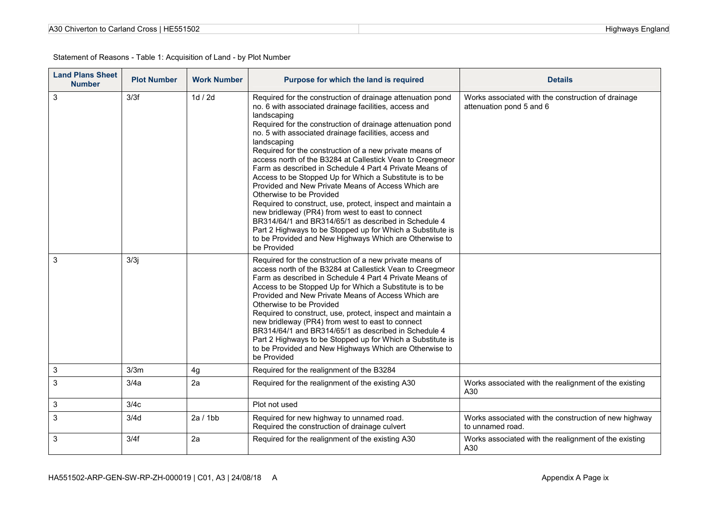| A30 Chiverton to Carland Cross   HE551502 |  |
|-------------------------------------------|--|
|-------------------------------------------|--|

| <b>Land Plans Sheet</b><br><b>Number</b> | <b>Plot Number</b> | <b>Work Number</b> | Purpose for which the land is required                                                                                                                                                                                                                                                                                                                                                                                                                                                                                                                                                                                                                                                                                                                                                                                                                                                                                     | <b>Details</b>                                                                 |
|------------------------------------------|--------------------|--------------------|----------------------------------------------------------------------------------------------------------------------------------------------------------------------------------------------------------------------------------------------------------------------------------------------------------------------------------------------------------------------------------------------------------------------------------------------------------------------------------------------------------------------------------------------------------------------------------------------------------------------------------------------------------------------------------------------------------------------------------------------------------------------------------------------------------------------------------------------------------------------------------------------------------------------------|--------------------------------------------------------------------------------|
| 3                                        | 3/3f               | 1d / 2d            | Required for the construction of drainage attenuation pond<br>no. 6 with associated drainage facilities, access and<br>landscaping<br>Required for the construction of drainage attenuation pond<br>no. 5 with associated drainage facilities, access and<br>landscaping<br>Required for the construction of a new private means of<br>access north of the B3284 at Callestick Vean to Creegmeor<br>Farm as described in Schedule 4 Part 4 Private Means of<br>Access to be Stopped Up for Which a Substitute is to be<br>Provided and New Private Means of Access Which are<br>Otherwise to be Provided<br>Required to construct, use, protect, inspect and maintain a<br>new bridleway (PR4) from west to east to connect<br>BR314/64/1 and BR314/65/1 as described in Schedule 4<br>Part 2 Highways to be Stopped up for Which a Substitute is<br>to be Provided and New Highways Which are Otherwise to<br>be Provided | Works associated with the construction of drainage<br>attenuation pond 5 and 6 |
| 3                                        | 3/3j               |                    | Required for the construction of a new private means of<br>access north of the B3284 at Callestick Vean to Creegmeor<br>Farm as described in Schedule 4 Part 4 Private Means of<br>Access to be Stopped Up for Which a Substitute is to be<br>Provided and New Private Means of Access Which are<br>Otherwise to be Provided<br>Required to construct, use, protect, inspect and maintain a<br>new bridleway (PR4) from west to east to connect<br>BR314/64/1 and BR314/65/1 as described in Schedule 4<br>Part 2 Highways to be Stopped up for Which a Substitute is<br>to be Provided and New Highways Which are Otherwise to<br>be Provided                                                                                                                                                                                                                                                                             |                                                                                |
| 3                                        | 3/3m               | 4g                 | Required for the realignment of the B3284                                                                                                                                                                                                                                                                                                                                                                                                                                                                                                                                                                                                                                                                                                                                                                                                                                                                                  |                                                                                |
| 3                                        | 3/4a               | 2a                 | Required for the realignment of the existing A30                                                                                                                                                                                                                                                                                                                                                                                                                                                                                                                                                                                                                                                                                                                                                                                                                                                                           | Works associated with the realignment of the existing<br>A30                   |
| 3                                        | 3/4c               |                    | Plot not used                                                                                                                                                                                                                                                                                                                                                                                                                                                                                                                                                                                                                                                                                                                                                                                                                                                                                                              |                                                                                |
| 3                                        | 3/4d               | 2a/1bb             | Required for new highway to unnamed road.<br>Required the construction of drainage culvert                                                                                                                                                                                                                                                                                                                                                                                                                                                                                                                                                                                                                                                                                                                                                                                                                                 | Works associated with the construction of new highway<br>to unnamed road.      |
| 3                                        | 3/4f               | 2a                 | Required for the realignment of the existing A30                                                                                                                                                                                                                                                                                                                                                                                                                                                                                                                                                                                                                                                                                                                                                                                                                                                                           | Works associated with the realignment of the existing<br>A30                   |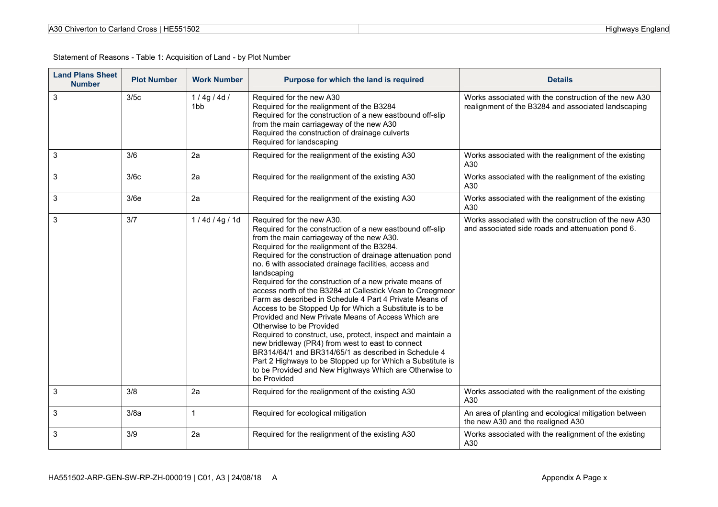| A30 Chiverton to Carland Cross   HE551502 |  |
|-------------------------------------------|--|
|-------------------------------------------|--|

| <b>Land Plans Sheet</b><br><b>Number</b> | <b>Plot Number</b> | <b>Work Number</b>           | Purpose for which the land is required                                                                                                                                                                                                                                                                                                                                                                                                                                                                                                                                                                                                                                                                                                                                                                                                                                                                                                                                    | <b>Details</b>                                                                                               |
|------------------------------------------|--------------------|------------------------------|---------------------------------------------------------------------------------------------------------------------------------------------------------------------------------------------------------------------------------------------------------------------------------------------------------------------------------------------------------------------------------------------------------------------------------------------------------------------------------------------------------------------------------------------------------------------------------------------------------------------------------------------------------------------------------------------------------------------------------------------------------------------------------------------------------------------------------------------------------------------------------------------------------------------------------------------------------------------------|--------------------------------------------------------------------------------------------------------------|
| 3                                        | 3/5c               | 1/4g/4d/<br>1 <sub>b</sub> b | Required for the new A30<br>Required for the realignment of the B3284<br>Required for the construction of a new eastbound off-slip<br>from the main carriageway of the new A30<br>Required the construction of drainage culverts<br>Required for landscaping                                                                                                                                                                                                                                                                                                                                                                                                                                                                                                                                                                                                                                                                                                              | Works associated with the construction of the new A30<br>realignment of the B3284 and associated landscaping |
| 3                                        | 3/6                | 2a                           | Required for the realignment of the existing A30                                                                                                                                                                                                                                                                                                                                                                                                                                                                                                                                                                                                                                                                                                                                                                                                                                                                                                                          | Works associated with the realignment of the existing<br>A30                                                 |
| 3                                        | 3/6c               | 2a                           | Required for the realignment of the existing A30                                                                                                                                                                                                                                                                                                                                                                                                                                                                                                                                                                                                                                                                                                                                                                                                                                                                                                                          | Works associated with the realignment of the existing<br>A30                                                 |
| 3                                        | 3/6e               | 2a                           | Required for the realignment of the existing A30                                                                                                                                                                                                                                                                                                                                                                                                                                                                                                                                                                                                                                                                                                                                                                                                                                                                                                                          | Works associated with the realignment of the existing<br>A30                                                 |
| 3                                        | 3/7                | 1/4d/4g/1d                   | Required for the new A30.<br>Required for the construction of a new eastbound off-slip<br>from the main carriageway of the new A30.<br>Required for the realignment of the B3284.<br>Required for the construction of drainage attenuation pond<br>no. 6 with associated drainage facilities, access and<br>landscaping<br>Required for the construction of a new private means of<br>access north of the B3284 at Callestick Vean to Creegmeor<br>Farm as described in Schedule 4 Part 4 Private Means of<br>Access to be Stopped Up for Which a Substitute is to be<br>Provided and New Private Means of Access Which are<br>Otherwise to be Provided<br>Required to construct, use, protect, inspect and maintain a<br>new bridleway (PR4) from west to east to connect<br>BR314/64/1 and BR314/65/1 as described in Schedule 4<br>Part 2 Highways to be Stopped up for Which a Substitute is<br>to be Provided and New Highways Which are Otherwise to<br>be Provided | Works associated with the construction of the new A30<br>and associated side roads and attenuation pond 6.   |
| 3                                        | 3/8                | 2a                           | Required for the realignment of the existing A30                                                                                                                                                                                                                                                                                                                                                                                                                                                                                                                                                                                                                                                                                                                                                                                                                                                                                                                          | Works associated with the realignment of the existing<br>A30                                                 |
| 3                                        | 3/8a               | $\mathbf{1}$                 | Required for ecological mitigation                                                                                                                                                                                                                                                                                                                                                                                                                                                                                                                                                                                                                                                                                                                                                                                                                                                                                                                                        | An area of planting and ecological mitigation between<br>the new A30 and the realigned A30                   |
| 3                                        | 3/9                | 2a                           | Required for the realignment of the existing A30                                                                                                                                                                                                                                                                                                                                                                                                                                                                                                                                                                                                                                                                                                                                                                                                                                                                                                                          | Works associated with the realignment of the existing<br>A30                                                 |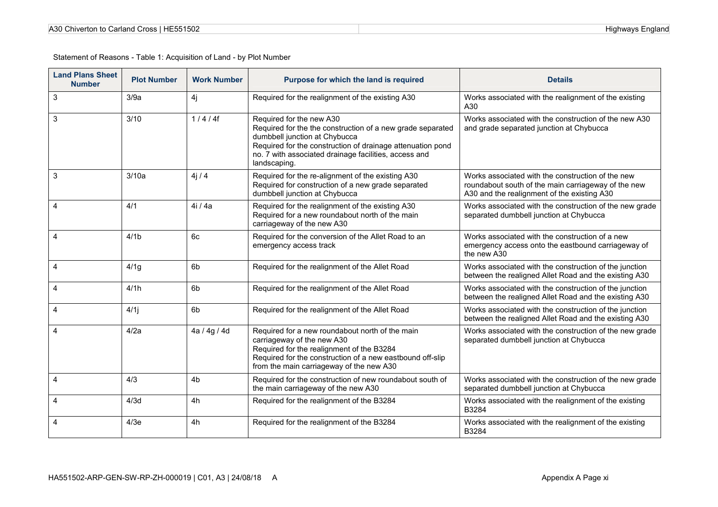| A30 Chiverton to Carland Cross   HE551502 |  |
|-------------------------------------------|--|
|-------------------------------------------|--|

| <b>Land Plans Sheet</b><br><b>Number</b> | <b>Plot Number</b> | <b>Work Number</b> | Purpose for which the land is required                                                                                                                                                                                                                         | <b>Details</b>                                                                                                                                          |
|------------------------------------------|--------------------|--------------------|----------------------------------------------------------------------------------------------------------------------------------------------------------------------------------------------------------------------------------------------------------------|---------------------------------------------------------------------------------------------------------------------------------------------------------|
| 3                                        | 3/9a               | 4j                 | Required for the realignment of the existing A30                                                                                                                                                                                                               | Works associated with the realignment of the existing<br>A30                                                                                            |
| 3                                        | 3/10               | 1/4/4f             | Required for the new A30<br>Required for the the construction of a new grade separated<br>dumbbell junction at Chybucca<br>Required for the construction of drainage attenuation pond<br>no. 7 with associated drainage facilities, access and<br>landscaping. | Works associated with the construction of the new A30<br>and grade separated junction at Chybucca                                                       |
| 3                                        | 3/10a              | 4j/4               | Required for the re-alignment of the existing A30<br>Required for construction of a new grade separated<br>dumbbell junction at Chybucca                                                                                                                       | Works associated with the construction of the new<br>roundabout south of the main carriageway of the new<br>A30 and the realignment of the existing A30 |
| 4                                        | 4/1                | 4i / 4a            | Required for the realignment of the existing A30<br>Required for a new roundabout north of the main<br>carriageway of the new A30                                                                                                                              | Works associated with the construction of the new grade<br>separated dumbbell junction at Chybucca                                                      |
| 4                                        | 4/1 <sub>b</sub>   | 6c                 | Required for the conversion of the Allet Road to an<br>emergency access track                                                                                                                                                                                  | Works associated with the construction of a new<br>emergency access onto the eastbound carriageway of<br>the new A30                                    |
| 4                                        | 4/1g               | 6 <sub>b</sub>     | Required for the realignment of the Allet Road                                                                                                                                                                                                                 | Works associated with the construction of the junction<br>between the realigned Allet Road and the existing A30                                         |
| 4                                        | 4/1h               | 6 <sub>b</sub>     | Required for the realignment of the Allet Road                                                                                                                                                                                                                 | Works associated with the construction of the junction<br>between the realigned Allet Road and the existing A30                                         |
| 4                                        | 4/1j               | 6b                 | Required for the realignment of the Allet Road                                                                                                                                                                                                                 | Works associated with the construction of the junction<br>between the realigned Allet Road and the existing A30                                         |
| 4                                        | 4/2a               | 4a / 4g / 4d       | Required for a new roundabout north of the main<br>carriageway of the new A30<br>Required for the realignment of the B3284<br>Required for the construction of a new eastbound off-slip<br>from the main carriageway of the new A30                            | Works associated with the construction of the new grade<br>separated dumbbell junction at Chybucca                                                      |
| 4                                        | 4/3                | 4 <sub>b</sub>     | Required for the construction of new roundabout south of<br>the main carriageway of the new A30                                                                                                                                                                | Works associated with the construction of the new grade<br>separated dumbbell junction at Chybucca                                                      |
| 4                                        | 4/3d               | 4h                 | Required for the realignment of the B3284                                                                                                                                                                                                                      | Works associated with the realignment of the existing<br>B3284                                                                                          |
| 4                                        | 4/3e               | 4h                 | Required for the realignment of the B3284                                                                                                                                                                                                                      | Works associated with the realignment of the existing<br>B3284                                                                                          |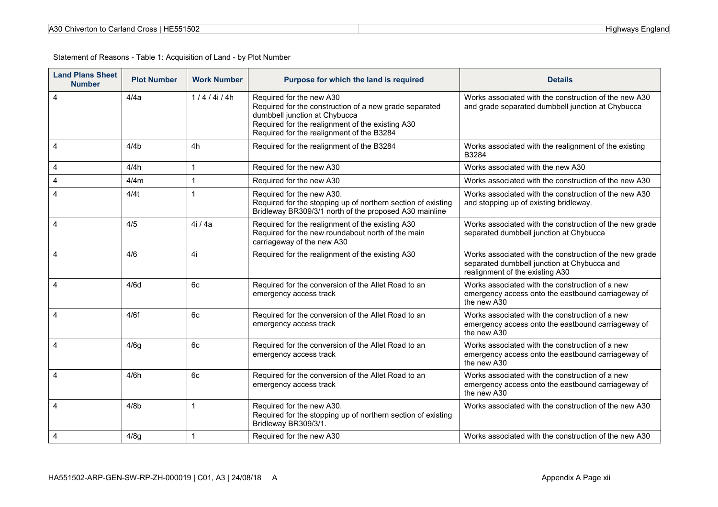| A30 Chiverton to Carland Cross   HE551502 |  |
|-------------------------------------------|--|
|-------------------------------------------|--|

| <b>Land Plans Sheet</b><br><b>Number</b> | <b>Plot Number</b> | <b>Work Number</b> | Purpose for which the land is required                                                                                                                                                                               | <b>Details</b>                                                                                                                            |
|------------------------------------------|--------------------|--------------------|----------------------------------------------------------------------------------------------------------------------------------------------------------------------------------------------------------------------|-------------------------------------------------------------------------------------------------------------------------------------------|
| 4                                        | 4/4a               | 1/4/4i/4h          | Required for the new A30<br>Required for the construction of a new grade separated<br>dumbbell junction at Chybucca<br>Required for the realignment of the existing A30<br>Required for the realignment of the B3284 | Works associated with the construction of the new A30<br>and grade separated dumbbell junction at Chybucca                                |
| $\overline{4}$                           | 4/4 <sub>b</sub>   | 4h                 | Required for the realignment of the B3284                                                                                                                                                                            | Works associated with the realignment of the existing<br>B3284                                                                            |
| 4                                        | 4/4h               | 1                  | Required for the new A30                                                                                                                                                                                             | Works associated with the new A30                                                                                                         |
| 4                                        | 4/4m               | 1                  | Required for the new A30                                                                                                                                                                                             | Works associated with the construction of the new A30                                                                                     |
| $\overline{4}$                           | 4/4t               | 1                  | Required for the new A30.<br>Required for the stopping up of northern section of existing<br>Bridleway BR309/3/1 north of the proposed A30 mainline                                                                  | Works associated with the construction of the new A30<br>and stopping up of existing bridleway.                                           |
| $\overline{4}$                           | 4/5                | 4i / 4a            | Required for the realignment of the existing A30<br>Required for the new roundabout north of the main<br>carriageway of the new A30                                                                                  | Works associated with the construction of the new grade<br>separated dumbbell junction at Chybucca                                        |
| $\overline{4}$                           | 4/6                | 4i                 | Required for the realignment of the existing A30                                                                                                                                                                     | Works associated with the construction of the new grade<br>separated dumbbell junction at Chybucca and<br>realignment of the existing A30 |
| $\overline{4}$                           | 4/6d               | 6c                 | Required for the conversion of the Allet Road to an<br>emergency access track                                                                                                                                        | Works associated with the construction of a new<br>emergency access onto the eastbound carriageway of<br>the new A30                      |
| $\overline{4}$                           | 4/6f               | 6c                 | Required for the conversion of the Allet Road to an<br>emergency access track                                                                                                                                        | Works associated with the construction of a new<br>emergency access onto the eastbound carriageway of<br>the new A30                      |
| 4                                        | 4/6g               | 6c                 | Required for the conversion of the Allet Road to an<br>emergency access track                                                                                                                                        | Works associated with the construction of a new<br>emergency access onto the eastbound carriageway of<br>the new A30                      |
| $\overline{4}$                           | 4/6h               | 6c                 | Required for the conversion of the Allet Road to an<br>emergency access track                                                                                                                                        | Works associated with the construction of a new<br>emergency access onto the eastbound carriageway of<br>the new A30                      |
| 4                                        | 4/8 <sub>b</sub>   | $\mathbf{1}$       | Required for the new A30.<br>Required for the stopping up of northern section of existing<br>Bridleway BR309/3/1.                                                                                                    | Works associated with the construction of the new A30                                                                                     |
| $\overline{4}$                           | 4/8g               | $\mathbf{1}$       | Required for the new A30                                                                                                                                                                                             | Works associated with the construction of the new A30                                                                                     |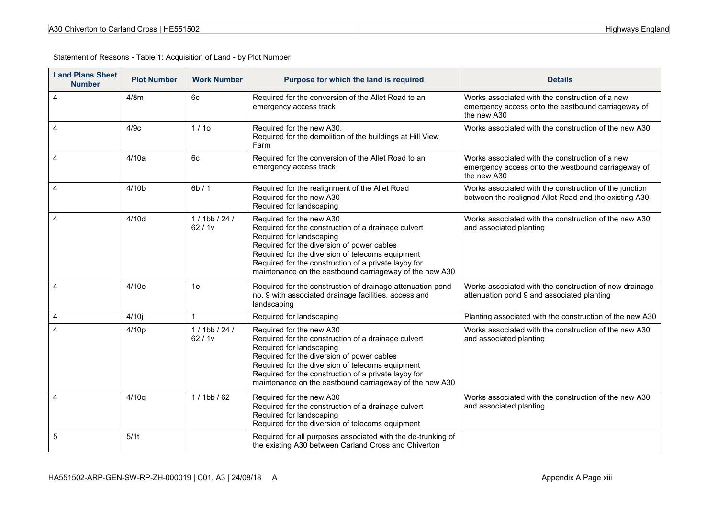| A30 Chiverton to Carland Cross   HE551502 |  |
|-------------------------------------------|--|
|-------------------------------------------|--|

| <b>Land Plans Sheet</b><br><b>Number</b> | <b>Plot Number</b> | <b>Work Number</b>       | Purpose for which the land is required                                                                                                                                                                                                                                                                                           | <b>Details</b>                                                                                                       |
|------------------------------------------|--------------------|--------------------------|----------------------------------------------------------------------------------------------------------------------------------------------------------------------------------------------------------------------------------------------------------------------------------------------------------------------------------|----------------------------------------------------------------------------------------------------------------------|
| $\overline{4}$                           | 4/8m               | 6c                       | Required for the conversion of the Allet Road to an<br>emergency access track                                                                                                                                                                                                                                                    | Works associated with the construction of a new<br>emergency access onto the eastbound carriageway of<br>the new A30 |
| $\overline{4}$                           | 4/9c               | 1/10                     | Required for the new A30.<br>Required for the demolition of the buildings at Hill View<br>Farm                                                                                                                                                                                                                                   | Works associated with the construction of the new A30                                                                |
| $\overline{4}$                           | 4/10a              | 6c                       | Required for the conversion of the Allet Road to an<br>emergency access track                                                                                                                                                                                                                                                    | Works associated with the construction of a new<br>emergency access onto the westbound carriageway of<br>the new A30 |
| 4                                        | 4/10 <sub>b</sub>  | 6b/1                     | Required for the realignment of the Allet Road<br>Required for the new A30<br>Required for landscaping                                                                                                                                                                                                                           | Works associated with the construction of the junction<br>between the realigned Allet Road and the existing A30      |
| $\overline{4}$                           | 4/10d              | $1/1$ bb / 24 /<br>62/1v | Required for the new A30<br>Required for the construction of a drainage culvert<br>Required for landscaping<br>Required for the diversion of power cables<br>Required for the diversion of telecoms equipment<br>Required for the construction of a private layby for<br>maintenance on the eastbound carriageway of the new A30 | Works associated with the construction of the new A30<br>and associated planting                                     |
| $\overline{\mathbf{4}}$                  | 4/10e              | 1e                       | Required for the construction of drainage attenuation pond<br>no. 9 with associated drainage facilities, access and<br>landscaping                                                                                                                                                                                               | Works associated with the construction of new drainage<br>attenuation pond 9 and associated planting                 |
| 4                                        | 4/10j              | 1                        | Required for landscaping                                                                                                                                                                                                                                                                                                         | Planting associated with the construction of the new A30                                                             |
| 4                                        | 4/10p              | $1/1$ bb / 24 /<br>62/1v | Required for the new A30<br>Required for the construction of a drainage culvert<br>Required for landscaping<br>Required for the diversion of power cables<br>Required for the diversion of telecoms equipment<br>Required for the construction of a private layby for<br>maintenance on the eastbound carriageway of the new A30 | Works associated with the construction of the new A30<br>and associated planting                                     |
| 4                                        | 4/10q              | $1/1$ bb / 62            | Required for the new A30<br>Required for the construction of a drainage culvert<br>Required for landscaping<br>Required for the diversion of telecoms equipment                                                                                                                                                                  | Works associated with the construction of the new A30<br>and associated planting                                     |
| 5                                        | 5/1t               |                          | Required for all purposes associated with the de-trunking of<br>the existing A30 between Carland Cross and Chiverton                                                                                                                                                                                                             |                                                                                                                      |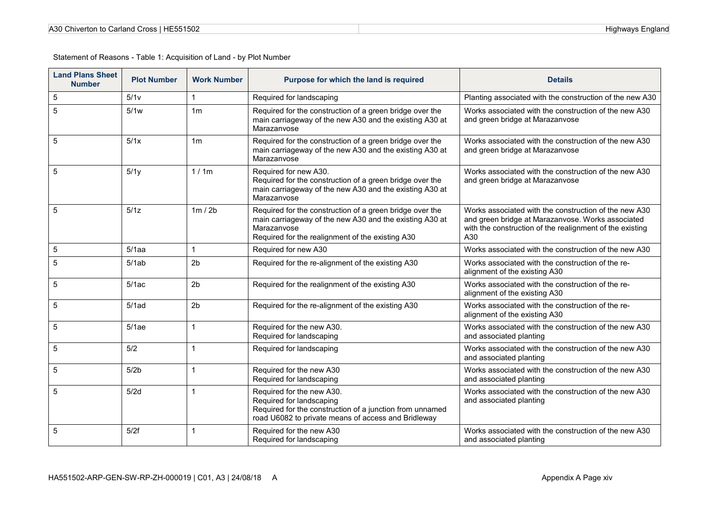| A30 Chiverton to Carland Cross   HE551502 |  |
|-------------------------------------------|--|
|-------------------------------------------|--|

| <b>Land Plans Sheet</b><br><b>Number</b> | <b>Plot Number</b> | <b>Work Number</b> | Purpose for which the land is required                                                                                                                                                 | <b>Details</b>                                                                                                                                                                |
|------------------------------------------|--------------------|--------------------|----------------------------------------------------------------------------------------------------------------------------------------------------------------------------------------|-------------------------------------------------------------------------------------------------------------------------------------------------------------------------------|
| 5                                        | 5/1v               | $\mathbf{1}$       | Required for landscaping                                                                                                                                                               | Planting associated with the construction of the new A30                                                                                                                      |
| 5                                        | 5/1w               | 1 <sub>m</sub>     | Required for the construction of a green bridge over the<br>main carriageway of the new A30 and the existing A30 at<br>Marazanvose                                                     | Works associated with the construction of the new A30<br>and green bridge at Marazanvose                                                                                      |
| 5                                        | 5/1x               | 1 <sub>m</sub>     | Required for the construction of a green bridge over the<br>main carriageway of the new A30 and the existing A30 at<br>Marazanvose                                                     | Works associated with the construction of the new A30<br>and green bridge at Marazanvose                                                                                      |
| 5                                        | 5/1y               | 1/1m               | Required for new A30.<br>Required for the construction of a green bridge over the<br>main carriageway of the new A30 and the existing A30 at<br>Marazanvose                            | Works associated with the construction of the new A30<br>and green bridge at Marazanvose                                                                                      |
| 5                                        | 5/1z               | 1m/2b              | Required for the construction of a green bridge over the<br>main carriageway of the new A30 and the existing A30 at<br>Marazanvose<br>Required for the realignment of the existing A30 | Works associated with the construction of the new A30<br>and green bridge at Marazanvose. Works associated<br>with the construction of the realignment of the existing<br>A30 |
| 5                                        | 5/1aa              | 1                  | Required for new A30                                                                                                                                                                   | Works associated with the construction of the new A30                                                                                                                         |
| 5                                        | 5/1ab              | 2 <sub>b</sub>     | Required for the re-alignment of the existing A30                                                                                                                                      | Works associated with the construction of the re-<br>alignment of the existing A30                                                                                            |
| 5                                        | 5/1ac              | 2 <sub>b</sub>     | Required for the realignment of the existing A30                                                                                                                                       | Works associated with the construction of the re-<br>alignment of the existing A30                                                                                            |
| 5                                        | $5/1$ ad           | 2 <sub>b</sub>     | Required for the re-alignment of the existing A30                                                                                                                                      | Works associated with the construction of the re-<br>alignment of the existing A30                                                                                            |
| 5                                        | 5/1ae              | $\mathbf 1$        | Required for the new A30.<br>Required for landscaping                                                                                                                                  | Works associated with the construction of the new A30<br>and associated planting                                                                                              |
| 5                                        | 5/2                | $\mathbf{1}$       | Required for landscaping                                                                                                                                                               | Works associated with the construction of the new A30<br>and associated planting                                                                                              |
| 5                                        | 5/2 <sub>b</sub>   | $\overline{1}$     | Required for the new A30<br>Required for landscaping                                                                                                                                   | Works associated with the construction of the new A30<br>and associated planting                                                                                              |
| 5                                        | 5/2d               | $\mathbf{1}$       | Required for the new A30.<br>Required for landscaping<br>Required for the construction of a junction from unnamed<br>road U6082 to private means of access and Bridleway               | Works associated with the construction of the new A30<br>and associated planting                                                                                              |
| 5                                        | 5/2f               | $\mathbf{1}$       | Required for the new A30<br>Required for landscaping                                                                                                                                   | Works associated with the construction of the new A30<br>and associated planting                                                                                              |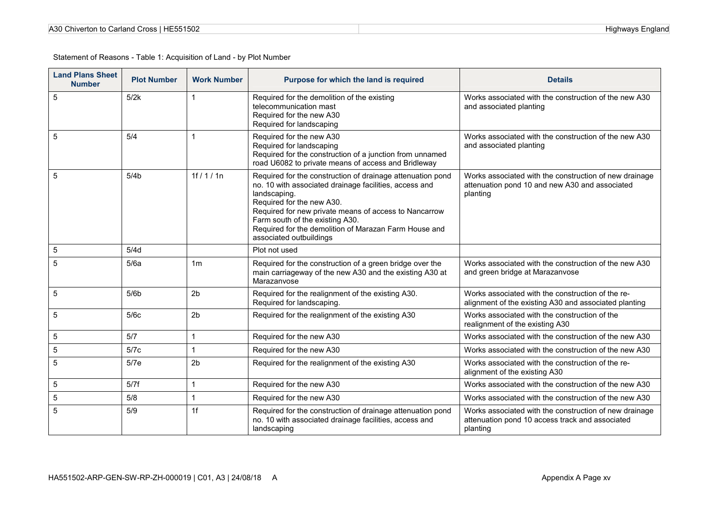| A30 Chiverton to Carland Cross   HE551502 |  |
|-------------------------------------------|--|
|-------------------------------------------|--|

| <b>Land Plans Sheet</b><br><b>Number</b> | <b>Plot Number</b> | <b>Work Number</b> | Purpose for which the land is required                                                                                                                                                                                                                                                                                                            | <b>Details</b>                                                                                                        |
|------------------------------------------|--------------------|--------------------|---------------------------------------------------------------------------------------------------------------------------------------------------------------------------------------------------------------------------------------------------------------------------------------------------------------------------------------------------|-----------------------------------------------------------------------------------------------------------------------|
| 5                                        | 5/2k               | $\mathbf 1$        | Required for the demolition of the existing<br>telecommunication mast<br>Required for the new A30<br>Required for landscaping                                                                                                                                                                                                                     | Works associated with the construction of the new A30<br>and associated planting                                      |
| 5                                        | 5/4                | $\mathbf 1$        | Required for the new A30<br>Required for landscaping<br>Required for the construction of a junction from unnamed<br>road U6082 to private means of access and Bridleway                                                                                                                                                                           | Works associated with the construction of the new A30<br>and associated planting                                      |
| 5                                        | 5/4 <sub>b</sub>   | 1f / 1 / 1n        | Required for the construction of drainage attenuation pond<br>no. 10 with associated drainage facilities, access and<br>landscaping.<br>Required for the new A30.<br>Required for new private means of access to Nancarrow<br>Farm south of the existing A30.<br>Required for the demolition of Marazan Farm House and<br>associated outbuildings | Works associated with the construction of new drainage<br>attenuation pond 10 and new A30 and associated<br>planting  |
| 5                                        | 5/4d               |                    | Plot not used                                                                                                                                                                                                                                                                                                                                     |                                                                                                                       |
| 5                                        | 5/6a               | 1m                 | Required for the construction of a green bridge over the<br>main carriageway of the new A30 and the existing A30 at<br>Marazanvose                                                                                                                                                                                                                | Works associated with the construction of the new A30<br>and green bridge at Marazanvose                              |
| 5                                        | 5/6 <sub>b</sub>   | 2 <sub>b</sub>     | Required for the realignment of the existing A30.<br>Required for landscaping.                                                                                                                                                                                                                                                                    | Works associated with the construction of the re-<br>alignment of the existing A30 and associated planting            |
| 5                                        | 5/6c               | 2 <sub>b</sub>     | Required for the realignment of the existing A30                                                                                                                                                                                                                                                                                                  | Works associated with the construction of the<br>realignment of the existing A30                                      |
| 5                                        | 5/7                | $\mathbf{1}$       | Required for the new A30                                                                                                                                                                                                                                                                                                                          | Works associated with the construction of the new A30                                                                 |
| 5                                        | 5/7c               | $\mathbf{1}$       | Required for the new A30                                                                                                                                                                                                                                                                                                                          | Works associated with the construction of the new A30                                                                 |
| 5                                        | 5/7e               | 2 <sub>b</sub>     | Required for the realignment of the existing A30                                                                                                                                                                                                                                                                                                  | Works associated with the construction of the re-<br>alignment of the existing A30                                    |
| 5                                        | 5/7f               | 1                  | Required for the new A30                                                                                                                                                                                                                                                                                                                          | Works associated with the construction of the new A30                                                                 |
| 5                                        | 5/8                | $\mathbf 1$        | Required for the new A30                                                                                                                                                                                                                                                                                                                          | Works associated with the construction of the new A30                                                                 |
| 5                                        | 5/9                | 1f                 | Required for the construction of drainage attenuation pond<br>no. 10 with associated drainage facilities, access and<br>landscaping                                                                                                                                                                                                               | Works associated with the construction of new drainage<br>attenuation pond 10 access track and associated<br>planting |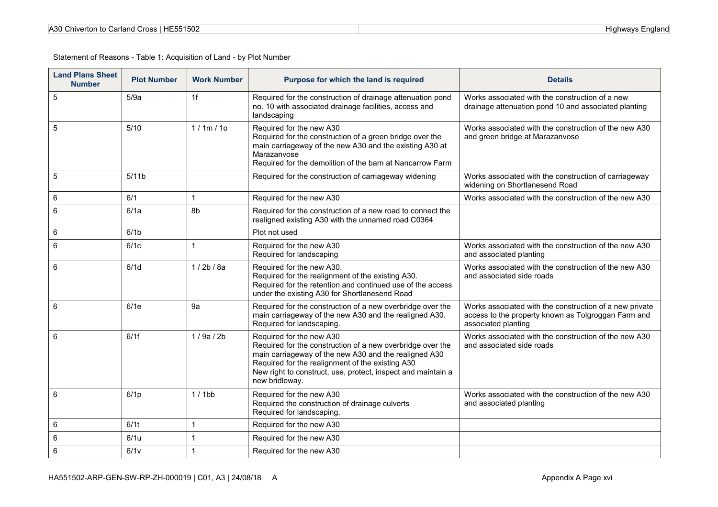| A30 Chiverton to Carland Cross   HE551502 |  |
|-------------------------------------------|--|
|-------------------------------------------|--|

| <b>Land Plans Sheet</b><br><b>Number</b> | <b>Plot Number</b> | <b>Work Number</b> | Purpose for which the land is required                                                                                                                                                                                                                                                | <b>Details</b>                                                                                                                        |
|------------------------------------------|--------------------|--------------------|---------------------------------------------------------------------------------------------------------------------------------------------------------------------------------------------------------------------------------------------------------------------------------------|---------------------------------------------------------------------------------------------------------------------------------------|
| $\sqrt{5}$                               | 5/9a               | 1f                 | Required for the construction of drainage attenuation pond<br>no. 10 with associated drainage facilities, access and<br>landscaping                                                                                                                                                   | Works associated with the construction of a new<br>drainage attenuation pond 10 and associated planting                               |
| 5                                        | $5/10$             | 1/1m/10            | Required for the new A30<br>Required for the construction of a green bridge over the<br>main carriageway of the new A30 and the existing A30 at<br>Marazanvose<br>Required for the demolition of the barn at Nancarrow Farm                                                           | Works associated with the construction of the new A30<br>and green bridge at Marazanvose                                              |
| 5                                        | 5/11 <sub>b</sub>  |                    | Required for the construction of carriageway widening                                                                                                                                                                                                                                 | Works associated with the construction of carriageway<br>widening on Shortlanesend Road                                               |
| 6                                        | 6/1                |                    | Required for the new A30                                                                                                                                                                                                                                                              | Works associated with the construction of the new A30                                                                                 |
| 6                                        | 6/1a               | 8b                 | Required for the construction of a new road to connect the<br>realigned existing A30 with the unnamed road C0364                                                                                                                                                                      |                                                                                                                                       |
| 6                                        | 6/1 <sub>b</sub>   |                    | Plot not used                                                                                                                                                                                                                                                                         |                                                                                                                                       |
| 6                                        | 6/1c               |                    | Required for the new A30<br>Required for landscaping                                                                                                                                                                                                                                  | Works associated with the construction of the new A30<br>and associated planting                                                      |
| 6                                        | 6/1d               | 1/2b/8a            | Required for the new A30.<br>Required for the realignment of the existing A30.<br>Required for the retention and continued use of the access<br>under the existing A30 for Shortlanesend Road                                                                                         | Works associated with the construction of the new A30<br>and associated side roads                                                    |
| 6                                        | 6/1e               | 9a                 | Required for the construction of a new overbridge over the<br>main carriageway of the new A30 and the realigned A30.<br>Required for landscaping.                                                                                                                                     | Works associated with the construction of a new private<br>access to the property known as Tolgroggan Farm and<br>associated planting |
| 6                                        | 6/1f               | 1/9a/2b            | Required for the new A30<br>Required for the construction of a new overbridge over the<br>main carriageway of the new A30 and the realigned A30<br>Required for the realignment of the existing A30<br>New right to construct, use, protect, inspect and maintain a<br>new bridleway. | Works associated with the construction of the new A30<br>and associated side roads                                                    |
| 6                                        | 6/1 <sub>p</sub>   | $1/1$ bb           | Required for the new A30<br>Required the construction of drainage culverts<br>Required for landscaping.                                                                                                                                                                               | Works associated with the construction of the new A30<br>and associated planting                                                      |
| 6                                        | 6/1t               |                    | Required for the new A30                                                                                                                                                                                                                                                              |                                                                                                                                       |
| $\,6\,$                                  | 6/1u               |                    | Required for the new A30                                                                                                                                                                                                                                                              |                                                                                                                                       |
| 6                                        | 6/1v               |                    | Required for the new A30                                                                                                                                                                                                                                                              |                                                                                                                                       |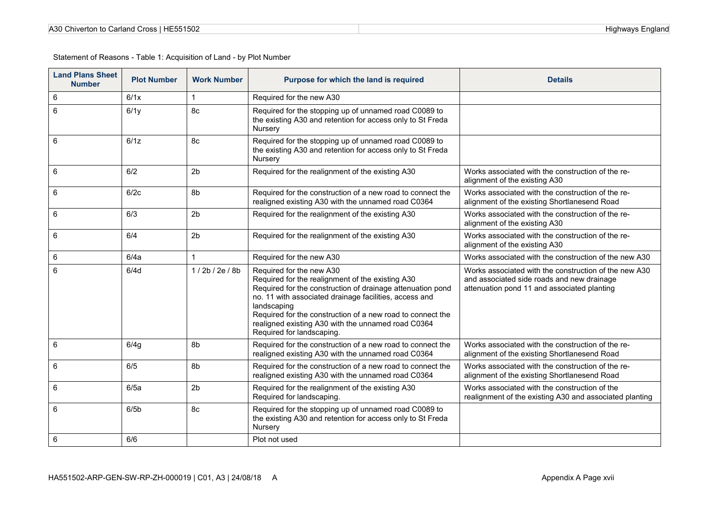| A30 Chiverton to Carland Cross   HE551502 |  |
|-------------------------------------------|--|
|-------------------------------------------|--|

| <b>Land Plans Sheet</b><br><b>Number</b> | <b>Plot Number</b> | <b>Work Number</b> | Purpose for which the land is required                                                                                                                                                                                                                                                                                                                               | <b>Details</b>                                                                                                                                     |
|------------------------------------------|--------------------|--------------------|----------------------------------------------------------------------------------------------------------------------------------------------------------------------------------------------------------------------------------------------------------------------------------------------------------------------------------------------------------------------|----------------------------------------------------------------------------------------------------------------------------------------------------|
| 6                                        | 6/1x               | $\mathbf{1}$       | Required for the new A30                                                                                                                                                                                                                                                                                                                                             |                                                                                                                                                    |
| 6                                        | 6/1y               | 8c                 | Required for the stopping up of unnamed road C0089 to<br>the existing A30 and retention for access only to St Freda<br>Nursery                                                                                                                                                                                                                                       |                                                                                                                                                    |
| 6                                        | 6/1z               | 8c                 | Required for the stopping up of unnamed road C0089 to<br>the existing A30 and retention for access only to St Freda<br>Nursery                                                                                                                                                                                                                                       |                                                                                                                                                    |
| 6                                        | 6/2                | 2 <sub>b</sub>     | Required for the realignment of the existing A30                                                                                                                                                                                                                                                                                                                     | Works associated with the construction of the re-<br>alignment of the existing A30                                                                 |
| 6                                        | 6/2c               | 8b                 | Required for the construction of a new road to connect the<br>realigned existing A30 with the unnamed road C0364                                                                                                                                                                                                                                                     | Works associated with the construction of the re-<br>alignment of the existing Shortlanesend Road                                                  |
| 6                                        | 6/3                | 2 <sub>b</sub>     | Required for the realignment of the existing A30                                                                                                                                                                                                                                                                                                                     | Works associated with the construction of the re-<br>alignment of the existing A30                                                                 |
| 6                                        | 6/4                | 2 <sub>b</sub>     | Required for the realignment of the existing A30                                                                                                                                                                                                                                                                                                                     | Works associated with the construction of the re-<br>alignment of the existing A30                                                                 |
| 6                                        | 6/4a               | $\mathbf{1}$       | Required for the new A30                                                                                                                                                                                                                                                                                                                                             | Works associated with the construction of the new A30                                                                                              |
| 6                                        | 6/4d               | 1/2b/2e/8b         | Required for the new A30<br>Required for the realignment of the existing A30<br>Required for the construction of drainage attenuation pond<br>no. 11 with associated drainage facilities, access and<br>landscaping<br>Required for the construction of a new road to connect the<br>realigned existing A30 with the unnamed road C0364<br>Required for landscaping. | Works associated with the construction of the new A30<br>and associated side roads and new drainage<br>attenuation pond 11 and associated planting |
| 6                                        | 6/4g               | 8b                 | Required for the construction of a new road to connect the<br>realigned existing A30 with the unnamed road C0364                                                                                                                                                                                                                                                     | Works associated with the construction of the re-<br>alignment of the existing Shortlanesend Road                                                  |
| 6                                        | 6/5                | 8b                 | Required for the construction of a new road to connect the<br>realigned existing A30 with the unnamed road C0364                                                                                                                                                                                                                                                     | Works associated with the construction of the re-<br>alignment of the existing Shortlanesend Road                                                  |
| 6                                        | 6/5a               | 2 <sub>b</sub>     | Required for the realignment of the existing A30<br>Required for landscaping.                                                                                                                                                                                                                                                                                        | Works associated with the construction of the<br>realignment of the existing A30 and associated planting                                           |
| 6                                        | 6/5 <sub>b</sub>   | 8c                 | Required for the stopping up of unnamed road C0089 to<br>the existing A30 and retention for access only to St Freda<br>Nursery                                                                                                                                                                                                                                       |                                                                                                                                                    |
| 6                                        | 6/6                |                    | Plot not used                                                                                                                                                                                                                                                                                                                                                        |                                                                                                                                                    |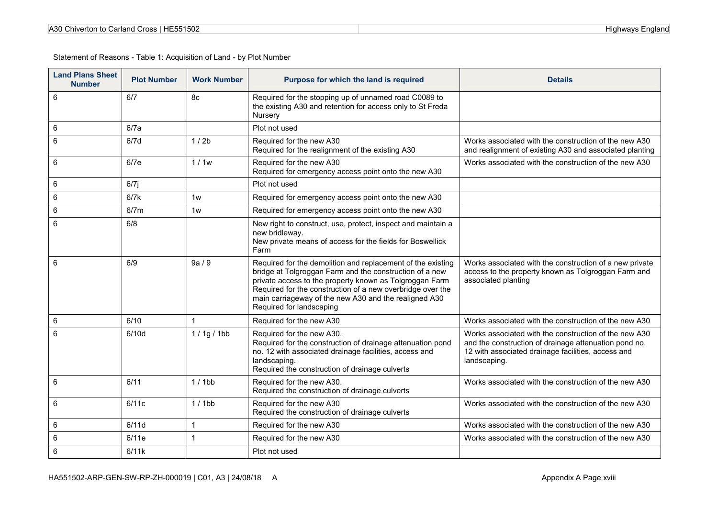| A30 Chiverton to Carland Cross   HE551502 |  |
|-------------------------------------------|--|
|-------------------------------------------|--|

| <b>Land Plans Sheet</b><br><b>Number</b> | <b>Plot Number</b> | <b>Work Number</b> | Purpose for which the land is required                                                                                                                                                                                                                                                                                               | <b>Details</b>                                                                                                                                                                       |
|------------------------------------------|--------------------|--------------------|--------------------------------------------------------------------------------------------------------------------------------------------------------------------------------------------------------------------------------------------------------------------------------------------------------------------------------------|--------------------------------------------------------------------------------------------------------------------------------------------------------------------------------------|
| 6                                        | 6/7                | 8с                 | Required for the stopping up of unnamed road C0089 to<br>the existing A30 and retention for access only to St Freda<br>Nursery                                                                                                                                                                                                       |                                                                                                                                                                                      |
| 6                                        | 6/7a               |                    | Plot not used                                                                                                                                                                                                                                                                                                                        |                                                                                                                                                                                      |
| 6                                        | 6/7d               | 1/2b               | Required for the new A30<br>Required for the realignment of the existing A30                                                                                                                                                                                                                                                         | Works associated with the construction of the new A30<br>and realignment of existing A30 and associated planting                                                                     |
| 6                                        | 6/7e               | 1/1w               | Required for the new A30<br>Required for emergency access point onto the new A30                                                                                                                                                                                                                                                     | Works associated with the construction of the new A30                                                                                                                                |
| 6                                        | $6/7$ j            |                    | Plot not used                                                                                                                                                                                                                                                                                                                        |                                                                                                                                                                                      |
| 6                                        | 6/7k               | 1w                 | Required for emergency access point onto the new A30                                                                                                                                                                                                                                                                                 |                                                                                                                                                                                      |
| 6                                        | 6/7m               | 1w                 | Required for emergency access point onto the new A30                                                                                                                                                                                                                                                                                 |                                                                                                                                                                                      |
| 6                                        | 6/8                |                    | New right to construct, use, protect, inspect and maintain a<br>new bridleway.<br>New private means of access for the fields for Boswellick<br>Farm                                                                                                                                                                                  |                                                                                                                                                                                      |
| 6                                        | 6/9                | 9a/9               | Required for the demolition and replacement of the existing<br>bridge at Tolgroggan Farm and the construction of a new<br>private access to the property known as Tolgroggan Farm<br>Required for the construction of a new overbridge over the<br>main carriageway of the new A30 and the realigned A30<br>Required for landscaping | Works associated with the construction of a new private<br>access to the property known as Tolgroggan Farm and<br>associated planting                                                |
| 6                                        | 6/10               | $\mathbf{1}$       | Required for the new A30                                                                                                                                                                                                                                                                                                             | Works associated with the construction of the new A30                                                                                                                                |
| 6                                        | 6/10d              | 1/1g/1bb           | Required for the new A30.<br>Required for the construction of drainage attenuation pond<br>no. 12 with associated drainage facilities, access and<br>landscaping.<br>Required the construction of drainage culverts                                                                                                                  | Works associated with the construction of the new A30<br>and the construction of drainage attenuation pond no.<br>12 with associated drainage facilities, access and<br>landscaping. |
| 6                                        | 6/11               | $1/1$ bb           | Required for the new A30.<br>Required the construction of drainage culverts                                                                                                                                                                                                                                                          | Works associated with the construction of the new A30                                                                                                                                |
| 6                                        | 6/11c              | $1/1$ bb           | Required for the new A30<br>Required the construction of drainage culverts                                                                                                                                                                                                                                                           | Works associated with the construction of the new A30                                                                                                                                |
| 6                                        | 6/11d              | $\mathbf{1}$       | Required for the new A30                                                                                                                                                                                                                                                                                                             | Works associated with the construction of the new A30                                                                                                                                |
| 6                                        | 6/11e              | $\mathbf{1}$       | Required for the new A30                                                                                                                                                                                                                                                                                                             | Works associated with the construction of the new A30                                                                                                                                |
| 6                                        | 6/11k              |                    | Plot not used                                                                                                                                                                                                                                                                                                                        |                                                                                                                                                                                      |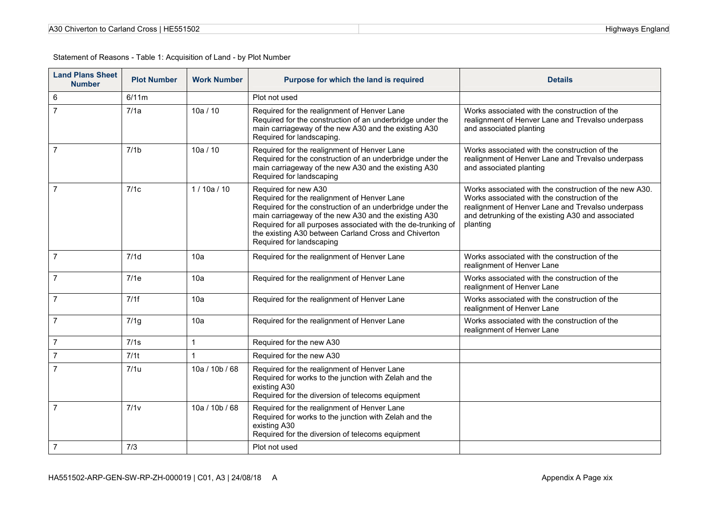| A30 Chiverton to Carland Cross   HE551502 |  |
|-------------------------------------------|--|
|-------------------------------------------|--|

| <b>Land Plans Sheet</b><br><b>Number</b> | <b>Plot Number</b> | <b>Work Number</b> | Purpose for which the land is required                                                                                                                                                                                                                                                                                                       | <b>Details</b>                                                                                                                                                                                                                |
|------------------------------------------|--------------------|--------------------|----------------------------------------------------------------------------------------------------------------------------------------------------------------------------------------------------------------------------------------------------------------------------------------------------------------------------------------------|-------------------------------------------------------------------------------------------------------------------------------------------------------------------------------------------------------------------------------|
| 6                                        | 6/11m              |                    | Plot not used                                                                                                                                                                                                                                                                                                                                |                                                                                                                                                                                                                               |
| $\overline{7}$                           | 7/1a               | 10a / 10           | Required for the realignment of Henver Lane<br>Required for the construction of an underbridge under the<br>main carriageway of the new A30 and the existing A30<br>Required for landscaping.                                                                                                                                                | Works associated with the construction of the<br>realignment of Henver Lane and Trevalso underpass<br>and associated planting                                                                                                 |
| $\overline{7}$                           | 7/1 <sub>b</sub>   | 10a / 10           | Required for the realignment of Henver Lane<br>Required for the construction of an underbridge under the<br>main carriageway of the new A30 and the existing A30<br>Required for landscaping                                                                                                                                                 | Works associated with the construction of the<br>realignment of Henver Lane and Trevalso underpass<br>and associated planting                                                                                                 |
| $\overline{7}$                           | 7/1c               | 1/10a/10           | Required for new A30<br>Required for the realignment of Henver Lane<br>Required for the construction of an underbridge under the<br>main carriageway of the new A30 and the existing A30<br>Required for all purposes associated with the de-trunking of<br>the existing A30 between Carland Cross and Chiverton<br>Required for landscaping | Works associated with the construction of the new A30.<br>Works associated with the construction of the<br>realignment of Henver Lane and Trevalso underpass<br>and detrunking of the existing A30 and associated<br>planting |
| $\overline{7}$                           | 7/1d               | 10a                | Required for the realignment of Henver Lane                                                                                                                                                                                                                                                                                                  | Works associated with the construction of the<br>realignment of Henver Lane                                                                                                                                                   |
| $\overline{7}$                           | 7/1e               | 10a                | Required for the realignment of Henver Lane                                                                                                                                                                                                                                                                                                  | Works associated with the construction of the<br>realignment of Henver Lane                                                                                                                                                   |
| $\overline{7}$                           | 7/1f               | 10a                | Required for the realignment of Henver Lane                                                                                                                                                                                                                                                                                                  | Works associated with the construction of the<br>realignment of Henver Lane                                                                                                                                                   |
| $\overline{7}$                           | 7/1g               | 10a                | Required for the realignment of Henver Lane                                                                                                                                                                                                                                                                                                  | Works associated with the construction of the<br>realignment of Henver Lane                                                                                                                                                   |
| $\overline{7}$                           | 7/1s               | 1                  | Required for the new A30                                                                                                                                                                                                                                                                                                                     |                                                                                                                                                                                                                               |
| $\overline{7}$                           | 7/11               | $\mathbf{1}$       | Required for the new A30                                                                                                                                                                                                                                                                                                                     |                                                                                                                                                                                                                               |
| $\overline{7}$                           | 7/1u               | 10a / 10b / 68     | Required for the realignment of Henver Lane<br>Required for works to the junction with Zelah and the<br>existing A30<br>Required for the diversion of telecoms equipment                                                                                                                                                                     |                                                                                                                                                                                                                               |
| $\overline{7}$                           | 7/1v               | 10a / 10b / 68     | Required for the realignment of Henver Lane<br>Required for works to the junction with Zelah and the<br>existing A30<br>Required for the diversion of telecoms equipment                                                                                                                                                                     |                                                                                                                                                                                                                               |
| $\overline{7}$                           | 7/3                |                    | Plot not used                                                                                                                                                                                                                                                                                                                                |                                                                                                                                                                                                                               |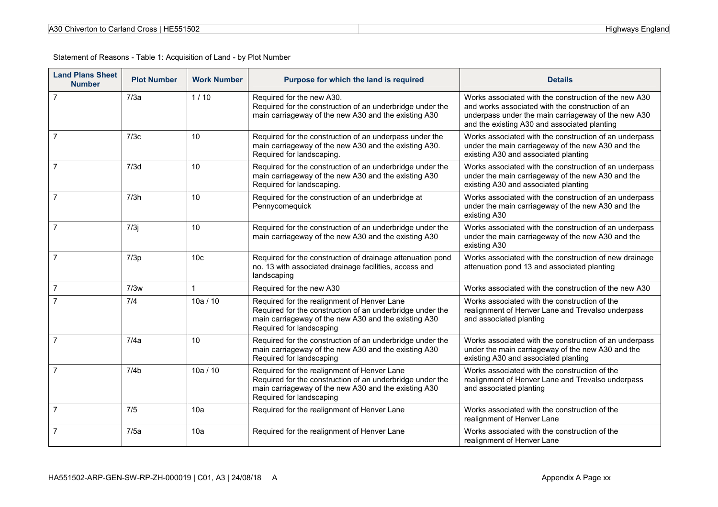| A30 Chiverton to Carland Cross   HE551502 |  |
|-------------------------------------------|--|
|-------------------------------------------|--|

| <b>Land Plans Sheet</b><br><b>Number</b> | <b>Plot Number</b> | <b>Work Number</b> | Purpose for which the land is required                                                                                                                                                       | <b>Details</b>                                                                                                                                                                                                   |
|------------------------------------------|--------------------|--------------------|----------------------------------------------------------------------------------------------------------------------------------------------------------------------------------------------|------------------------------------------------------------------------------------------------------------------------------------------------------------------------------------------------------------------|
| $\overline{7}$                           | 7/3a               | 1/10               | Required for the new A30.<br>Required for the construction of an underbridge under the<br>main carriageway of the new A30 and the existing A30                                               | Works associated with the construction of the new A30<br>and works associated with the construction of an<br>underpass under the main carriageway of the new A30<br>and the existing A30 and associated planting |
| 7                                        | 7/3c               | 10                 | Required for the construction of an underpass under the<br>main carriageway of the new A30 and the existing A30.<br>Required for landscaping.                                                | Works associated with the construction of an underpass<br>under the main carriageway of the new A30 and the<br>existing A30 and associated planting                                                              |
| $\overline{7}$                           | 7/3d               | 10                 | Required for the construction of an underbridge under the<br>main carriageway of the new A30 and the existing A30<br>Required for landscaping.                                               | Works associated with the construction of an underpass<br>under the main carriageway of the new A30 and the<br>existing A30 and associated planting                                                              |
| $\overline{7}$                           | 7/3h               | 10                 | Required for the construction of an underbridge at<br>Pennycomequick                                                                                                                         | Works associated with the construction of an underpass<br>under the main carriageway of the new A30 and the<br>existing A30                                                                                      |
| $\overline{7}$                           | 7/3j               | 10                 | Required for the construction of an underbridge under the<br>main carriageway of the new A30 and the existing A30                                                                            | Works associated with the construction of an underpass<br>under the main carriageway of the new A30 and the<br>existing A30                                                                                      |
| $\overline{7}$                           | 7/3p               | 10 <sub>c</sub>    | Required for the construction of drainage attenuation pond<br>no. 13 with associated drainage facilities, access and<br>landscaping                                                          | Works associated with the construction of new drainage<br>attenuation pond 13 and associated planting                                                                                                            |
| $\overline{7}$                           | 7/3w               | $\mathbf{1}$       | Required for the new A30                                                                                                                                                                     | Works associated with the construction of the new A30                                                                                                                                                            |
|                                          | 7/4                | 10a / 10           | Required for the realignment of Henver Lane<br>Required for the construction of an underbridge under the<br>main carriageway of the new A30 and the existing A30<br>Required for landscaping | Works associated with the construction of the<br>realignment of Henver Lane and Trevalso underpass<br>and associated planting                                                                                    |
| $\overline{7}$                           | 7/4a               | 10                 | Required for the construction of an underbridge under the<br>main carriageway of the new A30 and the existing A30<br>Required for landscaping                                                | Works associated with the construction of an underpass<br>under the main carriageway of the new A30 and the<br>existing A30 and associated planting                                                              |
| $\overline{7}$                           | 7/4 <sub>b</sub>   | 10a / 10           | Required for the realignment of Henver Lane<br>Required for the construction of an underbridge under the<br>main carriageway of the new A30 and the existing A30<br>Required for landscaping | Works associated with the construction of the<br>realignment of Henver Lane and Trevalso underpass<br>and associated planting                                                                                    |
| $\overline{7}$                           | 7/5                | 10a                | Required for the realignment of Henver Lane                                                                                                                                                  | Works associated with the construction of the<br>realignment of Henver Lane                                                                                                                                      |
| $\overline{7}$                           | 7/5a               | 10a                | Required for the realignment of Henver Lane                                                                                                                                                  | Works associated with the construction of the<br>realignment of Henver Lane                                                                                                                                      |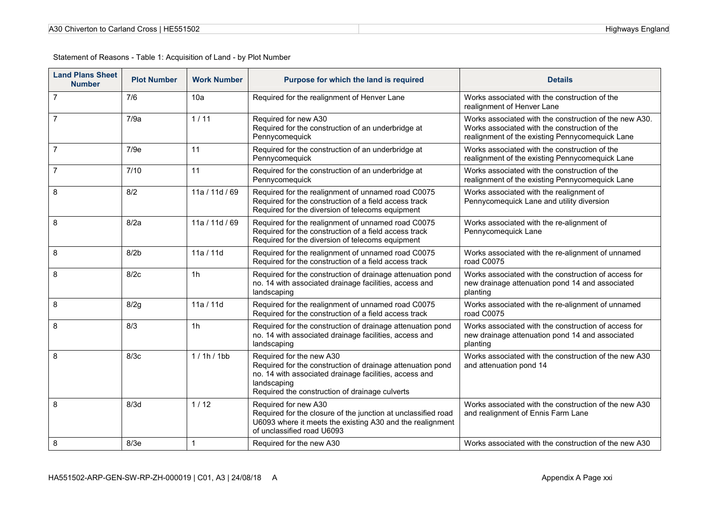| <b>Land Plans Sheet</b><br><b>Number</b> | <b>Plot Number</b> | <b>Work Number</b> | Purpose for which the land is required                                                                                                                                                                            | <b>Details</b>                                                                                                                                             |
|------------------------------------------|--------------------|--------------------|-------------------------------------------------------------------------------------------------------------------------------------------------------------------------------------------------------------------|------------------------------------------------------------------------------------------------------------------------------------------------------------|
| $\overline{7}$                           | 7/6                | 10a                | Required for the realignment of Henver Lane                                                                                                                                                                       | Works associated with the construction of the<br>realignment of Henver Lane                                                                                |
| $\overline{7}$                           | 7/9a               | $1/11$             | Required for new A30<br>Required for the construction of an underbridge at<br>Pennycomequick                                                                                                                      | Works associated with the construction of the new A30.<br>Works associated with the construction of the<br>realignment of the existing Pennycomequick Lane |
| $\overline{7}$                           | 7/9e               | 11                 | Required for the construction of an underbridge at<br>Pennycomequick                                                                                                                                              | Works associated with the construction of the<br>realignment of the existing Pennycomequick Lane                                                           |
| 7                                        | 7/10               | 11                 | Required for the construction of an underbridge at<br>Pennycomequick                                                                                                                                              | Works associated with the construction of the<br>realignment of the existing Pennycomequick Lane                                                           |
| 8                                        | 8/2                | 11a / 11d / 69     | Required for the realignment of unnamed road C0075<br>Required for the construction of a field access track<br>Required for the diversion of telecoms equipment                                                   | Works associated with the realignment of<br>Pennycomequick Lane and utility diversion                                                                      |
| 8                                        | 8/2a               | 11a / 11d / 69     | Required for the realignment of unnamed road C0075<br>Required for the construction of a field access track<br>Required for the diversion of telecoms equipment                                                   | Works associated with the re-alignment of<br>Pennycomequick Lane                                                                                           |
| 8                                        | 8/2 <sub>b</sub>   | 11a / 11d          | Required for the realignment of unnamed road C0075<br>Required for the construction of a field access track                                                                                                       | Works associated with the re-alignment of unnamed<br>road C0075                                                                                            |
| 8                                        | 8/2c               | 1h                 | Required for the construction of drainage attenuation pond<br>no. 14 with associated drainage facilities, access and<br>landscaping                                                                               | Works associated with the construction of access for<br>new drainage attenuation pond 14 and associated<br>planting                                        |
| 8                                        | 8/2g               | 11a / 11d          | Required for the realignment of unnamed road C0075<br>Required for the construction of a field access track                                                                                                       | Works associated with the re-alignment of unnamed<br>road C0075                                                                                            |
| 8                                        | 8/3                | 1 <sub>h</sub>     | Required for the construction of drainage attenuation pond<br>no. 14 with associated drainage facilities, access and<br>landscaping                                                                               | Works associated with the construction of access for<br>new drainage attenuation pond 14 and associated<br>planting                                        |
| 8                                        | 8/3c               | 1/1h/1bb           | Required for the new A30<br>Required for the construction of drainage attenuation pond<br>no. 14 with associated drainage facilities, access and<br>landscaping<br>Required the construction of drainage culverts | Works associated with the construction of the new A30<br>and attenuation pond 14                                                                           |
| 8                                        | 8/3d               | 1/12               | Required for new A30<br>Required for the closure of the junction at unclassified road<br>U6093 where it meets the existing A30 and the realignment<br>of unclassified road U6093                                  | Works associated with the construction of the new A30<br>and realignment of Ennis Farm Lane                                                                |
| 8                                        | 8/3e               | $\mathbf{1}$       | Required for the new A30                                                                                                                                                                                          | Works associated with the construction of the new A30                                                                                                      |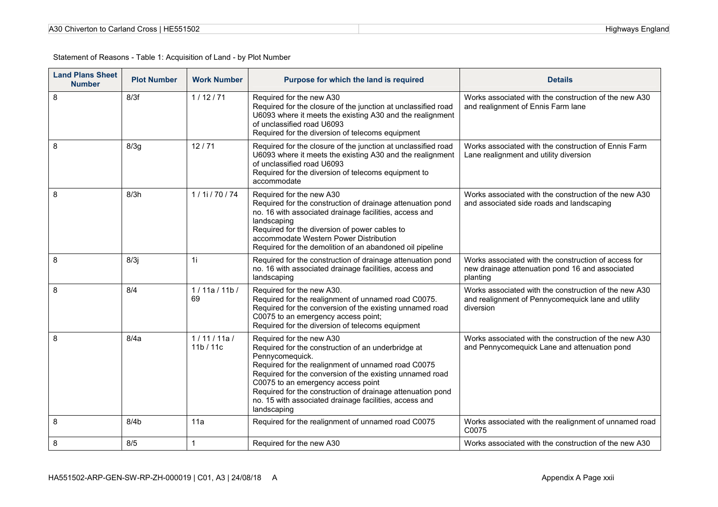| A30 Chiverton to Carland Cross   HE551502 |  |
|-------------------------------------------|--|
|-------------------------------------------|--|

| <b>Land Plans Sheet</b><br><b>Number</b> | <b>Plot Number</b> | <b>Work Number</b>   | Purpose for which the land is required                                                                                                                                                                                                                                                                                                                                                           | <b>Details</b>                                                                                                           |
|------------------------------------------|--------------------|----------------------|--------------------------------------------------------------------------------------------------------------------------------------------------------------------------------------------------------------------------------------------------------------------------------------------------------------------------------------------------------------------------------------------------|--------------------------------------------------------------------------------------------------------------------------|
| 8                                        | 8/3f               | 1/12/71              | Required for the new A30<br>Required for the closure of the junction at unclassified road<br>U6093 where it meets the existing A30 and the realignment<br>of unclassified road U6093<br>Required for the diversion of telecoms equipment                                                                                                                                                         | Works associated with the construction of the new A30<br>and realignment of Ennis Farm lane                              |
| 8                                        | 8/3g               | 12/71                | Required for the closure of the junction at unclassified road<br>U6093 where it meets the existing A30 and the realignment<br>of unclassified road U6093<br>Required for the diversion of telecoms equipment to<br>accommodate                                                                                                                                                                   | Works associated with the construction of Ennis Farm<br>Lane realignment and utility diversion                           |
| 8                                        | 8/3h               | $1/1$ i / 70 / 74    | Required for the new A30<br>Required for the construction of drainage attenuation pond<br>no. 16 with associated drainage facilities, access and<br>landscaping<br>Required for the diversion of power cables to<br>accommodate Western Power Distribution<br>Required for the demolition of an abandoned oil pipeline                                                                           | Works associated with the construction of the new A30<br>and associated side roads and landscaping                       |
| 8                                        | 8/3j               | 1i                   | Required for the construction of drainage attenuation pond<br>no. 16 with associated drainage facilities, access and<br>landscaping                                                                                                                                                                                                                                                              | Works associated with the construction of access for<br>new drainage attenuation pond 16 and associated<br>planting      |
| 8                                        | 8/4                | 1/11a/11b/<br>69     | Required for the new A30.<br>Required for the realignment of unnamed road C0075.<br>Required for the conversion of the existing unnamed road<br>C0075 to an emergency access point;<br>Required for the diversion of telecoms equipment                                                                                                                                                          | Works associated with the construction of the new A30<br>and realignment of Pennycomequick lane and utility<br>diversion |
| 8                                        | 8/4a               | 1/11/11a/<br>11b/11c | Required for the new A30<br>Required for the construction of an underbridge at<br>Pennycomequick.<br>Required for the realignment of unnamed road C0075<br>Required for the conversion of the existing unnamed road<br>C0075 to an emergency access point<br>Required for the construction of drainage attenuation pond<br>no. 15 with associated drainage facilities, access and<br>landscaping | Works associated with the construction of the new A30<br>and Pennycomequick Lane and attenuation pond                    |
| 8                                        | 8/4 <sub>b</sub>   | 11a                  | Required for the realignment of unnamed road C0075                                                                                                                                                                                                                                                                                                                                               | Works associated with the realignment of unnamed road<br>C0075                                                           |
| 8                                        | 8/5                | $\mathbf{1}$         | Required for the new A30                                                                                                                                                                                                                                                                                                                                                                         | Works associated with the construction of the new A30                                                                    |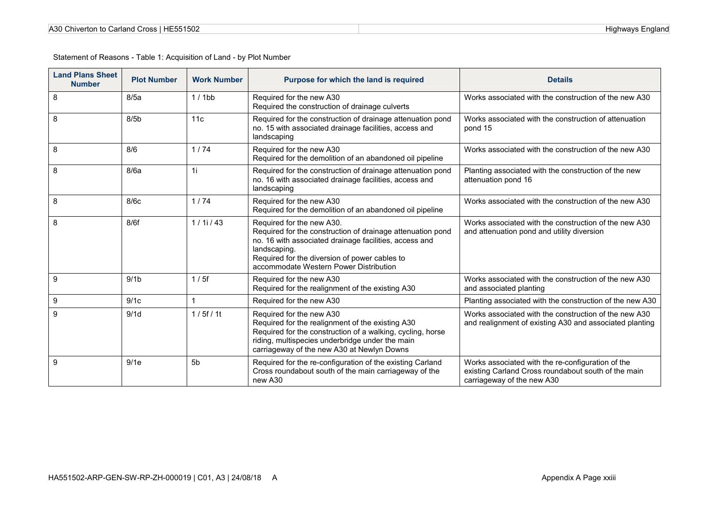| <b>Land Plans Sheet</b><br><b>Number</b> | <b>Plot Number</b> | <b>Work Number</b> | Purpose for which the land is required                                                                                                                                                                                                                       | <b>Details</b>                                                                                                                         |
|------------------------------------------|--------------------|--------------------|--------------------------------------------------------------------------------------------------------------------------------------------------------------------------------------------------------------------------------------------------------------|----------------------------------------------------------------------------------------------------------------------------------------|
| 8                                        | 8/5a               | $1/1$ bb           | Required for the new A30<br>Required the construction of drainage culverts                                                                                                                                                                                   | Works associated with the construction of the new A30                                                                                  |
| 8                                        | 8/5 <sub>b</sub>   | 11c                | Required for the construction of drainage attenuation pond<br>no. 15 with associated drainage facilities, access and<br>landscaping                                                                                                                          | Works associated with the construction of attenuation<br>pond 15                                                                       |
| 8                                        | 8/6                | 1/74               | Required for the new A30<br>Required for the demolition of an abandoned oil pipeline                                                                                                                                                                         | Works associated with the construction of the new A30                                                                                  |
| 8                                        | 8/6a               | 1i                 | Required for the construction of drainage attenuation pond<br>no. 16 with associated drainage facilities, access and<br>landscaping                                                                                                                          | Planting associated with the construction of the new<br>attenuation pond 16                                                            |
| 8                                        | 8/6c               | 1/74               | Required for the new A30<br>Required for the demolition of an abandoned oil pipeline                                                                                                                                                                         | Works associated with the construction of the new A30                                                                                  |
| 8                                        | 8/6f               | 1/11/43            | Required for the new A30.<br>Required for the construction of drainage attenuation pond<br>no. 16 with associated drainage facilities, access and<br>landscaping.<br>Required for the diversion of power cables to<br>accommodate Western Power Distribution | Works associated with the construction of the new A30<br>and attenuation pond and utility diversion                                    |
| $\boldsymbol{9}$                         | 9/1 <sub>b</sub>   | 1/5f               | Required for the new A30<br>Required for the realignment of the existing A30                                                                                                                                                                                 | Works associated with the construction of the new A30<br>and associated planting                                                       |
| 9                                        | 9/1c               | $\mathbf{1}$       | Required for the new A30                                                                                                                                                                                                                                     | Planting associated with the construction of the new A30                                                                               |
| 9                                        | 9/1d               | 1/5f/11            | Required for the new A30<br>Required for the realignment of the existing A30<br>Required for the construction of a walking, cycling, horse<br>riding, multispecies underbridge under the main<br>carriageway of the new A30 at Newlyn Downs                  | Works associated with the construction of the new A30<br>and realignment of existing A30 and associated planting                       |
| 9                                        | 9/1e               | 5 <sub>b</sub>     | Required for the re-configuration of the existing Carland<br>Cross roundabout south of the main carriageway of the<br>new A30                                                                                                                                | Works associated with the re-configuration of the<br>existing Carland Cross roundabout south of the main<br>carriageway of the new A30 |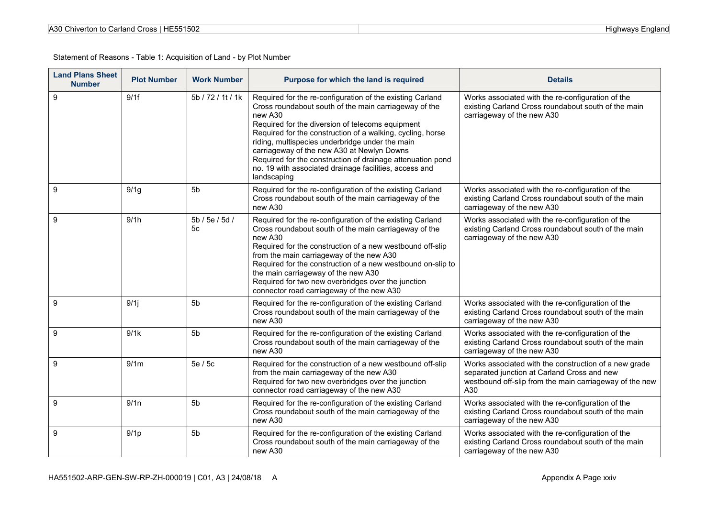| A30 Chiverton to Carland Cross   HE551502 |  |
|-------------------------------------------|--|
|-------------------------------------------|--|

| <b>Land Plans Sheet</b><br><b>Number</b> | <b>Plot Number</b> | <b>Work Number</b>   | Purpose for which the land is required                                                                                                                                                                                                                                                                                                                                                                                                                                                  | <b>Details</b>                                                                                                                                                         |
|------------------------------------------|--------------------|----------------------|-----------------------------------------------------------------------------------------------------------------------------------------------------------------------------------------------------------------------------------------------------------------------------------------------------------------------------------------------------------------------------------------------------------------------------------------------------------------------------------------|------------------------------------------------------------------------------------------------------------------------------------------------------------------------|
| 9                                        | 9/1f               | 5b / 72 / 1t / 1k    | Required for the re-configuration of the existing Carland<br>Cross roundabout south of the main carriageway of the<br>new A30<br>Required for the diversion of telecoms equipment<br>Required for the construction of a walking, cycling, horse<br>riding, multispecies underbridge under the main<br>carriageway of the new A30 at Newlyn Downs<br>Required for the construction of drainage attenuation pond<br>no. 19 with associated drainage facilities, access and<br>landscaping | Works associated with the re-configuration of the<br>existing Carland Cross roundabout south of the main<br>carriageway of the new A30                                 |
| 9                                        | 9/1g               | 5b                   | Required for the re-configuration of the existing Carland<br>Cross roundabout south of the main carriageway of the<br>new A30                                                                                                                                                                                                                                                                                                                                                           | Works associated with the re-configuration of the<br>existing Carland Cross roundabout south of the main<br>carriageway of the new A30                                 |
| 9                                        | 9/1h               | 5b / 5e / 5d /<br>5c | Required for the re-configuration of the existing Carland<br>Cross roundabout south of the main carriageway of the<br>new A30<br>Required for the construction of a new westbound off-slip<br>from the main carriageway of the new A30<br>Required for the construction of a new westbound on-slip to<br>the main carriageway of the new A30<br>Required for two new overbridges over the junction<br>connector road carriageway of the new A30                                         | Works associated with the re-configuration of the<br>existing Carland Cross roundabout south of the main<br>carriageway of the new A30                                 |
| $\boldsymbol{9}$                         | 9/1j               | 5b                   | Required for the re-configuration of the existing Carland<br>Cross roundabout south of the main carriageway of the<br>new A30                                                                                                                                                                                                                                                                                                                                                           | Works associated with the re-configuration of the<br>existing Carland Cross roundabout south of the main<br>carriageway of the new A30                                 |
| 9                                        | 9/1k               | 5 <sub>b</sub>       | Required for the re-configuration of the existing Carland<br>Cross roundabout south of the main carriageway of the<br>new A30                                                                                                                                                                                                                                                                                                                                                           | Works associated with the re-configuration of the<br>existing Carland Cross roundabout south of the main<br>carriageway of the new A30                                 |
| 9                                        | 9/1m               | 5e / 5c              | Required for the construction of a new westbound off-slip<br>from the main carriageway of the new A30<br>Required for two new overbridges over the junction<br>connector road carriageway of the new A30                                                                                                                                                                                                                                                                                | Works associated with the construction of a new grade<br>separated junction at Carland Cross and new<br>westbound off-slip from the main carriageway of the new<br>A30 |
| $\boldsymbol{9}$                         | 9/1n               | 5 <sub>b</sub>       | Required for the re-configuration of the existing Carland<br>Cross roundabout south of the main carriageway of the<br>new A30                                                                                                                                                                                                                                                                                                                                                           | Works associated with the re-configuration of the<br>existing Carland Cross roundabout south of the main<br>carriageway of the new A30                                 |
| 9                                        | 9/1 <sub>p</sub>   | 5 <sub>b</sub>       | Required for the re-configuration of the existing Carland<br>Cross roundabout south of the main carriageway of the<br>new A30                                                                                                                                                                                                                                                                                                                                                           | Works associated with the re-configuration of the<br>existing Carland Cross roundabout south of the main<br>carriageway of the new A30                                 |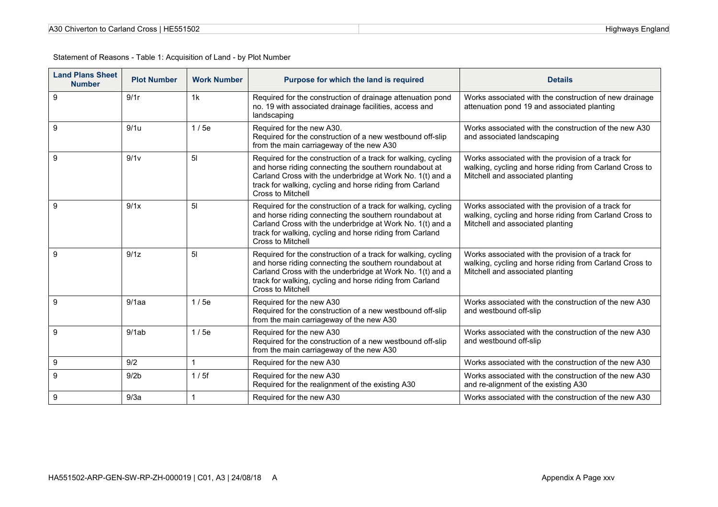| <b>Land Plans Sheet</b><br><b>Number</b> | <b>Plot Number</b> | <b>Work Number</b> | Purpose for which the land is required                                                                                                                                                                                                                                       | <b>Details</b>                                                                                                                                    |
|------------------------------------------|--------------------|--------------------|------------------------------------------------------------------------------------------------------------------------------------------------------------------------------------------------------------------------------------------------------------------------------|---------------------------------------------------------------------------------------------------------------------------------------------------|
| $\boldsymbol{9}$                         | 9/1r               | 1k                 | Required for the construction of drainage attenuation pond<br>no. 19 with associated drainage facilities, access and<br>landscaping                                                                                                                                          | Works associated with the construction of new drainage<br>attenuation pond 19 and associated planting                                             |
| 9                                        | 9/1u               | 1/5e               | Required for the new A30.<br>Required for the construction of a new westbound off-slip<br>from the main carriageway of the new A30                                                                                                                                           | Works associated with the construction of the new A30<br>and associated landscaping                                                               |
| 9                                        | 9/1v               | 5 <sub>l</sub>     | Required for the construction of a track for walking, cycling<br>and horse riding connecting the southern roundabout at<br>Carland Cross with the underbridge at Work No. 1(t) and a<br>track for walking, cycling and horse riding from Carland<br><b>Cross to Mitchell</b> | Works associated with the provision of a track for<br>walking, cycling and horse riding from Carland Cross to<br>Mitchell and associated planting |
| 9                                        | 9/1x               | 5 <sub>l</sub>     | Required for the construction of a track for walking, cycling<br>and horse riding connecting the southern roundabout at<br>Carland Cross with the underbridge at Work No. 1(t) and a<br>track for walking, cycling and horse riding from Carland<br><b>Cross to Mitchell</b> | Works associated with the provision of a track for<br>walking, cycling and horse riding from Carland Cross to<br>Mitchell and associated planting |
| 9                                        | 9/1z               | 5 <sub>l</sub>     | Required for the construction of a track for walking, cycling<br>and horse riding connecting the southern roundabout at<br>Carland Cross with the underbridge at Work No. 1(t) and a<br>track for walking, cycling and horse riding from Carland<br>Cross to Mitchell        | Works associated with the provision of a track for<br>walking, cycling and horse riding from Carland Cross to<br>Mitchell and associated planting |
| 9                                        | 9/1aa              | 1/5e               | Required for the new A30<br>Required for the construction of a new westbound off-slip<br>from the main carriageway of the new A30                                                                                                                                            | Works associated with the construction of the new A30<br>and westbound off-slip                                                                   |
| 9                                        | 9/1ab              | 1/5e               | Required for the new A30<br>Required for the construction of a new westbound off-slip<br>from the main carriageway of the new A30                                                                                                                                            | Works associated with the construction of the new A30<br>and westbound off-slip                                                                   |
| $\boldsymbol{9}$                         | 9/2                | 1                  | Required for the new A30                                                                                                                                                                                                                                                     | Works associated with the construction of the new A30                                                                                             |
| 9                                        | 9/2 <sub>b</sub>   | 1/5f               | Required for the new A30<br>Required for the realignment of the existing A30                                                                                                                                                                                                 | Works associated with the construction of the new A30<br>and re-alignment of the existing A30                                                     |
| $\boldsymbol{9}$                         | 9/3a               |                    | Required for the new A30                                                                                                                                                                                                                                                     | Works associated with the construction of the new A30                                                                                             |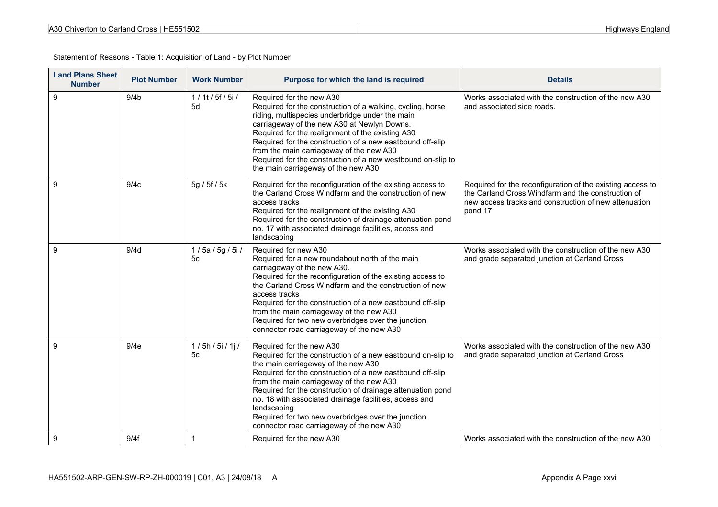| A30 Chiverton to Carland Cross   HE551502 |  |
|-------------------------------------------|--|
|-------------------------------------------|--|

| <b>Land Plans Sheet</b><br><b>Number</b> | <b>Plot Number</b> | <b>Work Number</b>        | Purpose for which the land is required                                                                                                                                                                                                                                                                                                                                                                                                                                            | <b>Details</b>                                                                                                                                                                       |
|------------------------------------------|--------------------|---------------------------|-----------------------------------------------------------------------------------------------------------------------------------------------------------------------------------------------------------------------------------------------------------------------------------------------------------------------------------------------------------------------------------------------------------------------------------------------------------------------------------|--------------------------------------------------------------------------------------------------------------------------------------------------------------------------------------|
| 9                                        | 9/4 <sub>b</sub>   | $1/1$ t / 5f / 5i /<br>5d | Required for the new A30<br>Required for the construction of a walking, cycling, horse<br>riding, multispecies underbridge under the main<br>carriageway of the new A30 at Newlyn Downs.<br>Required for the realignment of the existing A30<br>Required for the construction of a new eastbound off-slip<br>from the main carriageway of the new A30<br>Required for the construction of a new westbound on-slip to<br>the main carriageway of the new A30                       | Works associated with the construction of the new A30<br>and associated side roads.                                                                                                  |
| 9                                        | 9/4c               | 5g / 5f / 5k              | Required for the reconfiguration of the existing access to<br>the Carland Cross Windfarm and the construction of new<br>access tracks<br>Required for the realignment of the existing A30<br>Required for the construction of drainage attenuation pond<br>no. 17 with associated drainage facilities, access and<br>landscaping                                                                                                                                                  | Required for the reconfiguration of the existing access to<br>the Carland Cross Windfarm and the construction of<br>new access tracks and construction of new attenuation<br>pond 17 |
| 9                                        | 9/4d               | 1/5a/5g/5i/<br>5с         | Required for new A30<br>Required for a new roundabout north of the main<br>carriageway of the new A30.<br>Required for the reconfiguration of the existing access to<br>the Carland Cross Windfarm and the construction of new<br>access tracks<br>Required for the construction of a new eastbound off-slip<br>from the main carriageway of the new A30<br>Required for two new overbridges over the junction<br>connector road carriageway of the new A30                       | Works associated with the construction of the new A30<br>and grade separated junction at Carland Cross                                                                               |
| 9                                        | 9/4e               | 1/5h/5i/1j/<br>5c         | Required for the new A30<br>Required for the construction of a new eastbound on-slip to<br>the main carriageway of the new A30<br>Required for the construction of a new eastbound off-slip<br>from the main carriageway of the new A30<br>Required for the construction of drainage attenuation pond<br>no. 18 with associated drainage facilities, access and<br>landscaping<br>Required for two new overbridges over the junction<br>connector road carriageway of the new A30 | Works associated with the construction of the new A30<br>and grade separated junction at Carland Cross                                                                               |
| 9                                        | 9/4f               | $\overline{1}$            | Required for the new A30                                                                                                                                                                                                                                                                                                                                                                                                                                                          | Works associated with the construction of the new A30                                                                                                                                |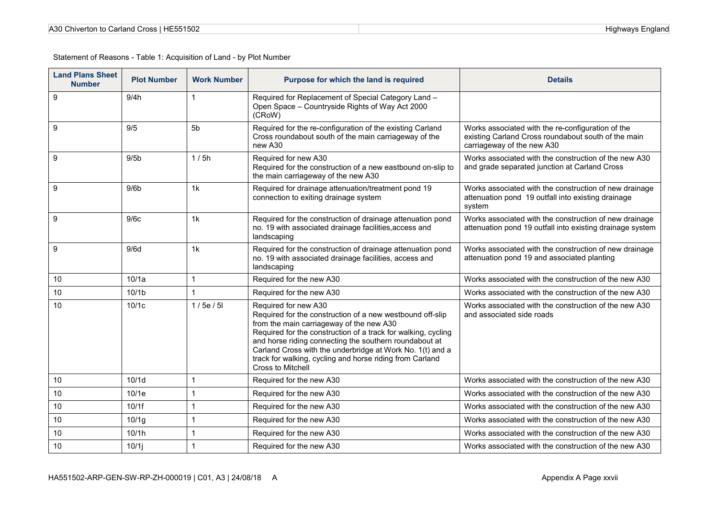| A30 Chiverton to Carland Cross   HE551502 |  |
|-------------------------------------------|--|
|-------------------------------------------|--|

| <b>Land Plans Sheet</b><br><b>Number</b> | <b>Plot Number</b> | <b>Work Number</b> | Purpose for which the land is required                                                                                                                                                                                                                                                                                                                                                                 | <b>Details</b>                                                                                                                         |
|------------------------------------------|--------------------|--------------------|--------------------------------------------------------------------------------------------------------------------------------------------------------------------------------------------------------------------------------------------------------------------------------------------------------------------------------------------------------------------------------------------------------|----------------------------------------------------------------------------------------------------------------------------------------|
| $\boldsymbol{9}$                         | 9/4h               |                    | Required for Replacement of Special Category Land -<br>Open Space - Countryside Rights of Way Act 2000<br>(CRoW)                                                                                                                                                                                                                                                                                       |                                                                                                                                        |
| 9                                        | 9/5                | 5 <sub>b</sub>     | Required for the re-configuration of the existing Carland<br>Cross roundabout south of the main carriageway of the<br>new A30                                                                                                                                                                                                                                                                          | Works associated with the re-configuration of the<br>existing Carland Cross roundabout south of the main<br>carriageway of the new A30 |
| 9                                        | 9/5 <sub>b</sub>   | 1/5h               | Required for new A30<br>Required for the construction of a new eastbound on-slip to<br>the main carriageway of the new A30                                                                                                                                                                                                                                                                             | Works associated with the construction of the new A30<br>and grade separated junction at Carland Cross                                 |
| 9                                        | 9/6 <sub>b</sub>   | 1 <sub>k</sub>     | Required for drainage attenuation/treatment pond 19<br>connection to exiting drainage system                                                                                                                                                                                                                                                                                                           | Works associated with the construction of new drainage<br>attenuation pond 19 outfall into existing drainage<br>system                 |
| 9                                        | 9/6c               | 1k                 | Required for the construction of drainage attenuation pond<br>no. 19 with associated drainage facilities, access and<br>landscaping                                                                                                                                                                                                                                                                    | Works associated with the construction of new drainage<br>attenuation pond 19 outfall into existing drainage system                    |
| 9                                        | 9/6d               | 1 <sub>k</sub>     | Required for the construction of drainage attenuation pond<br>no. 19 with associated drainage facilities, access and<br>landscaping                                                                                                                                                                                                                                                                    | Works associated with the construction of new drainage<br>attenuation pond 19 and associated planting                                  |
| 10                                       | 10/1a              | 1                  | Required for the new A30                                                                                                                                                                                                                                                                                                                                                                               | Works associated with the construction of the new A30                                                                                  |
| 10                                       | 10/1 <sub>b</sub>  |                    | Required for the new A30                                                                                                                                                                                                                                                                                                                                                                               | Works associated with the construction of the new A30                                                                                  |
| 10                                       | 10/1c              | 1/5e/5l            | Required for new A30<br>Required for the construction of a new westbound off-slip<br>from the main carriageway of the new A30<br>Required for the construction of a track for walking, cycling<br>and horse riding connecting the southern roundabout at<br>Carland Cross with the underbridge at Work No. 1(t) and a<br>track for walking, cycling and horse riding from Carland<br>Cross to Mitchell | Works associated with the construction of the new A30<br>and associated side roads                                                     |
| 10                                       | 10/1d              |                    | Required for the new A30                                                                                                                                                                                                                                                                                                                                                                               | Works associated with the construction of the new A30                                                                                  |
| 10                                       | 10/1e              | 1                  | Required for the new A30                                                                                                                                                                                                                                                                                                                                                                               | Works associated with the construction of the new A30                                                                                  |
| 10                                       | 10/1f              |                    | Required for the new A30                                                                                                                                                                                                                                                                                                                                                                               | Works associated with the construction of the new A30                                                                                  |
| 10                                       | 10/1g              | 1                  | Required for the new A30                                                                                                                                                                                                                                                                                                                                                                               | Works associated with the construction of the new A30                                                                                  |
| 10                                       | 10/1h              |                    | Required for the new A30                                                                                                                                                                                                                                                                                                                                                                               | Works associated with the construction of the new A30                                                                                  |
| 10                                       | 10/1               |                    | Required for the new A30                                                                                                                                                                                                                                                                                                                                                                               | Works associated with the construction of the new A30                                                                                  |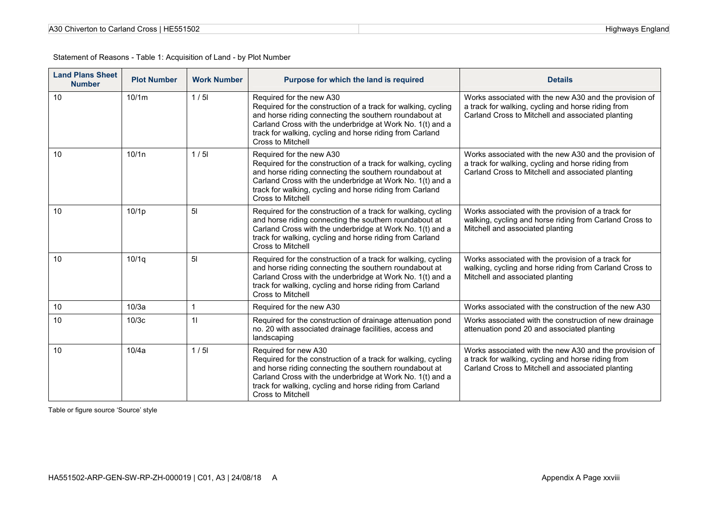| A30 Chiverton to Carland Cross   HE551502 |  |  |
|-------------------------------------------|--|--|
|-------------------------------------------|--|--|

| <b>Land Plans Sheet</b><br><b>Number</b> | <b>Plot Number</b> | <b>Work Number</b> | Purpose for which the land is required                                                                                                                                                                                                                                                               | <b>Details</b>                                                                                                                                                    |
|------------------------------------------|--------------------|--------------------|------------------------------------------------------------------------------------------------------------------------------------------------------------------------------------------------------------------------------------------------------------------------------------------------------|-------------------------------------------------------------------------------------------------------------------------------------------------------------------|
| 10                                       | 10/1m              | 1/5                | Required for the new A30<br>Required for the construction of a track for walking, cycling<br>and horse riding connecting the southern roundabout at<br>Carland Cross with the underbridge at Work No. 1(t) and a<br>track for walking, cycling and horse riding from Carland<br>Cross to Mitchell    | Works associated with the new A30 and the provision of<br>a track for walking, cycling and horse riding from<br>Carland Cross to Mitchell and associated planting |
| 10                                       | 10/1n              | 1/5                | Required for the new A30<br>Required for the construction of a track for walking, cycling<br>and horse riding connecting the southern roundabout at<br>Carland Cross with the underbridge at Work No. 1(t) and a<br>track for walking, cycling and horse riding from Carland<br>Cross to Mitchell    | Works associated with the new A30 and the provision of<br>a track for walking, cycling and horse riding from<br>Carland Cross to Mitchell and associated planting |
| 10                                       | 10/1 <sub>p</sub>  | 5 <sub>l</sub>     | Required for the construction of a track for walking, cycling<br>and horse riding connecting the southern roundabout at<br>Carland Cross with the underbridge at Work No. 1(t) and a<br>track for walking, cycling and horse riding from Carland<br>Cross to Mitchell                                | Works associated with the provision of a track for<br>walking, cycling and horse riding from Carland Cross to<br>Mitchell and associated planting                 |
| 10                                       | 10/1q              | 5 <sub>l</sub>     | Required for the construction of a track for walking, cycling<br>and horse riding connecting the southern roundabout at<br>Carland Cross with the underbridge at Work No. 1(t) and a<br>track for walking, cycling and horse riding from Carland<br>Cross to Mitchell                                | Works associated with the provision of a track for<br>walking, cycling and horse riding from Carland Cross to<br>Mitchell and associated planting                 |
| 10                                       | 10/3a              | $\overline{1}$     | Required for the new A30                                                                                                                                                                                                                                                                             | Works associated with the construction of the new A30                                                                                                             |
| 10                                       | 10/3c              | 11                 | Required for the construction of drainage attenuation pond<br>no. 20 with associated drainage facilities, access and<br>landscaping                                                                                                                                                                  | Works associated with the construction of new drainage<br>attenuation pond 20 and associated planting                                                             |
| 10                                       | 10/4a              | 1/5                | Required for new A30<br>Required for the construction of a track for walking, cycling<br>and horse riding connecting the southern roundabout at<br>Carland Cross with the underbridge at Work No. 1(t) and a<br>track for walking, cycling and horse riding from Carland<br><b>Cross to Mitchell</b> | Works associated with the new A30 and the provision of<br>a track for walking, cycling and horse riding from<br>Carland Cross to Mitchell and associated planting |

Table or figure source 'Source' style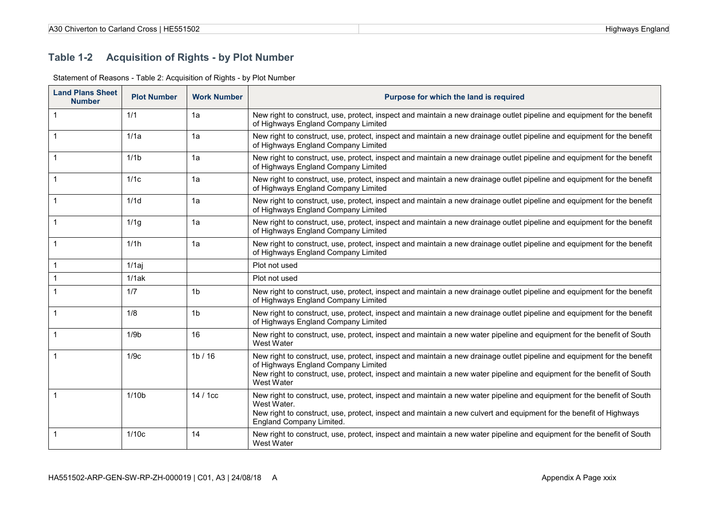### **Table 1-2 Acquisition of Rights - by Plot Number**

| <b>Land Plans Sheet</b><br><b>Number</b> | <b>Plot Number</b> | <b>Work Number</b> | Purpose for which the land is required                                                                                                                                                                                                                                                                 |
|------------------------------------------|--------------------|--------------------|--------------------------------------------------------------------------------------------------------------------------------------------------------------------------------------------------------------------------------------------------------------------------------------------------------|
| $\mathbf{1}$                             | 1/1                | 1a                 | New right to construct, use, protect, inspect and maintain a new drainage outlet pipeline and equipment for the benefit<br>of Highways England Company Limited                                                                                                                                         |
|                                          | 1/1a               | 1a                 | New right to construct, use, protect, inspect and maintain a new drainage outlet pipeline and equipment for the benefit<br>of Highways England Company Limited                                                                                                                                         |
|                                          | 1/1 <sub>b</sub>   | 1a                 | New right to construct, use, protect, inspect and maintain a new drainage outlet pipeline and equipment for the benefit<br>of Highways England Company Limited                                                                                                                                         |
|                                          | 1/1c               | 1a                 | New right to construct, use, protect, inspect and maintain a new drainage outlet pipeline and equipment for the benefit<br>of Highways England Company Limited                                                                                                                                         |
|                                          | 1/1d               | 1a                 | New right to construct, use, protect, inspect and maintain a new drainage outlet pipeline and equipment for the benefit<br>of Highways England Company Limited                                                                                                                                         |
|                                          | 1/1g               | 1a                 | New right to construct, use, protect, inspect and maintain a new drainage outlet pipeline and equipment for the benefit<br>of Highways England Company Limited                                                                                                                                         |
|                                          | 1/1 <sub>h</sub>   | 1a                 | New right to construct, use, protect, inspect and maintain a new drainage outlet pipeline and equipment for the benefit<br>of Highways England Company Limited                                                                                                                                         |
|                                          | 1/1ai              |                    | Plot not used                                                                                                                                                                                                                                                                                          |
|                                          | 1/1ak              |                    | Plot not used                                                                                                                                                                                                                                                                                          |
|                                          | 1/7                | 1 <sub>b</sub>     | New right to construct, use, protect, inspect and maintain a new drainage outlet pipeline and equipment for the benefit<br>of Highways England Company Limited                                                                                                                                         |
|                                          | 1/8                | 1 <sub>b</sub>     | New right to construct, use, protect, inspect and maintain a new drainage outlet pipeline and equipment for the benefit<br>of Highways England Company Limited                                                                                                                                         |
|                                          | 1/9 <sub>b</sub>   | 16                 | New right to construct, use, protect, inspect and maintain a new water pipeline and equipment for the benefit of South<br>West Water                                                                                                                                                                   |
|                                          | 1/9c               | 1b/16              | New right to construct, use, protect, inspect and maintain a new drainage outlet pipeline and equipment for the benefit<br>of Highways England Company Limited<br>New right to construct, use, protect, inspect and maintain a new water pipeline and equipment for the benefit of South<br>West Water |
|                                          | 1/10 <sub>b</sub>  | $14/1c$ c          | New right to construct, use, protect, inspect and maintain a new water pipeline and equipment for the benefit of South<br>West Water.<br>New right to construct, use, protect, inspect and maintain a new culvert and equipment for the benefit of Highways<br>England Company Limited.                |
|                                          | 1/10c              | 14                 | New right to construct, use, protect, inspect and maintain a new water pipeline and equipment for the benefit of South<br>West Water                                                                                                                                                                   |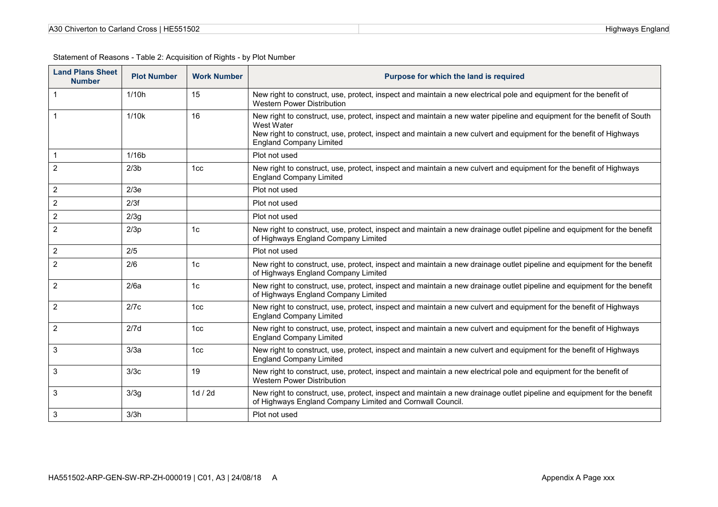| A30 Chiverton to Carland Cross   HE551502 |  |
|-------------------------------------------|--|
|-------------------------------------------|--|

| <b>Land Plans Sheet</b><br><b>Number</b> | <b>Plot Number</b> | <b>Work Number</b> | Purpose for which the land is required                                                                                                                                                                                                                                                       |
|------------------------------------------|--------------------|--------------------|----------------------------------------------------------------------------------------------------------------------------------------------------------------------------------------------------------------------------------------------------------------------------------------------|
| $\mathbf{1}$                             | 1/10h              | 15                 | New right to construct, use, protect, inspect and maintain a new electrical pole and equipment for the benefit of<br><b>Western Power Distribution</b>                                                                                                                                       |
| 1                                        | 1/10k              | 16                 | New right to construct, use, protect, inspect and maintain a new water pipeline and equipment for the benefit of South<br>West Water<br>New right to construct, use, protect, inspect and maintain a new culvert and equipment for the benefit of Highways<br><b>England Company Limited</b> |
|                                          | 1/16 <sub>b</sub>  |                    | Plot not used                                                                                                                                                                                                                                                                                |
| $\overline{2}$                           | 2/3 <sub>b</sub>   | 1cc                | New right to construct, use, protect, inspect and maintain a new culvert and equipment for the benefit of Highways<br><b>England Company Limited</b>                                                                                                                                         |
| $\overline{2}$                           | 2/3e               |                    | Plot not used                                                                                                                                                                                                                                                                                |
| $\sqrt{2}$                               | 2/3f               |                    | Plot not used                                                                                                                                                                                                                                                                                |
| $\overline{c}$                           | 2/3g               |                    | Plot not used                                                                                                                                                                                                                                                                                |
| $\overline{2}$                           | 2/3p               | 1 <sub>c</sub>     | New right to construct, use, protect, inspect and maintain a new drainage outlet pipeline and equipment for the benefit<br>of Highways England Company Limited                                                                                                                               |
| $\overline{2}$                           | 2/5                |                    | Plot not used                                                                                                                                                                                                                                                                                |
| 2                                        | 2/6                | 1 <sub>c</sub>     | New right to construct, use, protect, inspect and maintain a new drainage outlet pipeline and equipment for the benefit<br>of Highways England Company Limited                                                                                                                               |
| 2                                        | 2/6a               | 1 <sub>c</sub>     | New right to construct, use, protect, inspect and maintain a new drainage outlet pipeline and equipment for the benefit<br>of Highways England Company Limited                                                                                                                               |
| 2                                        | 2/7c               | 1 <sub>cc</sub>    | New right to construct, use, protect, inspect and maintain a new culvert and equipment for the benefit of Highways<br><b>England Company Limited</b>                                                                                                                                         |
| 2                                        | 2/7d               | 1 <sub>cc</sub>    | New right to construct, use, protect, inspect and maintain a new culvert and equipment for the benefit of Highways<br><b>England Company Limited</b>                                                                                                                                         |
| 3                                        | 3/3a               | 1 <sub>cc</sub>    | New right to construct, use, protect, inspect and maintain a new culvert and equipment for the benefit of Highways<br><b>England Company Limited</b>                                                                                                                                         |
| 3                                        | 3/3c               | 19                 | New right to construct, use, protect, inspect and maintain a new electrical pole and equipment for the benefit of<br>Western Power Distribution                                                                                                                                              |
| 3                                        | 3/3g               | 1d / 2d            | New right to construct, use, protect, inspect and maintain a new drainage outlet pipeline and equipment for the benefit<br>of Highways England Company Limited and Cornwall Council.                                                                                                         |
| 3                                        | 3/3h               |                    | Plot not used                                                                                                                                                                                                                                                                                |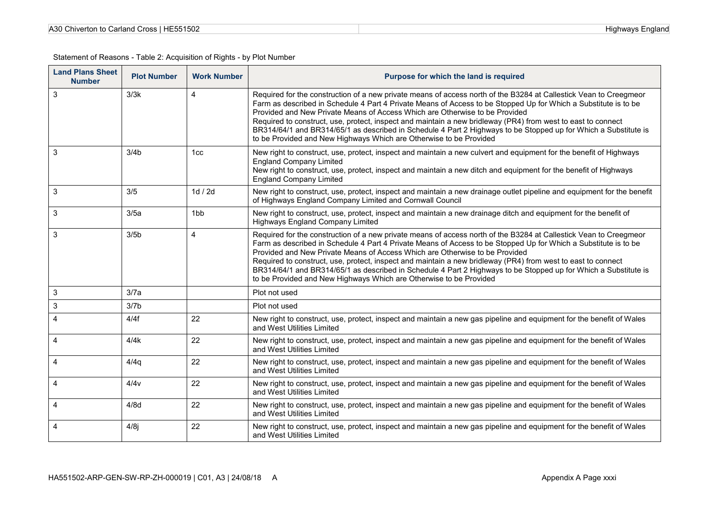| A30 Chiverton to Carland Cross   HE551502 |  |
|-------------------------------------------|--|
|-------------------------------------------|--|

| <b>Land Plans Sheet</b><br><b>Number</b> | <b>Plot Number</b> | <b>Work Number</b> | Purpose for which the land is required                                                                                                                                                                                                                                                                                                                                                                                                                                                                                                                                                                                       |
|------------------------------------------|--------------------|--------------------|------------------------------------------------------------------------------------------------------------------------------------------------------------------------------------------------------------------------------------------------------------------------------------------------------------------------------------------------------------------------------------------------------------------------------------------------------------------------------------------------------------------------------------------------------------------------------------------------------------------------------|
| 3                                        | 3/3k               | $\overline{4}$     | Required for the construction of a new private means of access north of the B3284 at Callestick Vean to Creegmeor<br>Farm as described in Schedule 4 Part 4 Private Means of Access to be Stopped Up for Which a Substitute is to be<br>Provided and New Private Means of Access Which are Otherwise to be Provided<br>Required to construct, use, protect, inspect and maintain a new bridleway (PR4) from west to east to connect<br>BR314/64/1 and BR314/65/1 as described in Schedule 4 Part 2 Highways to be Stopped up for Which a Substitute is<br>to be Provided and New Highways Which are Otherwise to be Provided |
| 3                                        | 3/4 <sub>b</sub>   | 1 <sub>cc</sub>    | New right to construct, use, protect, inspect and maintain a new culvert and equipment for the benefit of Highways<br><b>England Company Limited</b><br>New right to construct, use, protect, inspect and maintain a new ditch and equipment for the benefit of Highways<br><b>England Company Limited</b>                                                                                                                                                                                                                                                                                                                   |
| 3                                        | 3/5                | 1d / 2d            | New right to construct, use, protect, inspect and maintain a new drainage outlet pipeline and equipment for the benefit<br>of Highways England Company Limited and Cornwall Council                                                                                                                                                                                                                                                                                                                                                                                                                                          |
| 3                                        | 3/5a               | 1bb                | New right to construct, use, protect, inspect and maintain a new drainage ditch and equipment for the benefit of<br>Highways England Company Limited                                                                                                                                                                                                                                                                                                                                                                                                                                                                         |
| 3                                        | 3/5 <sub>b</sub>   | $\overline{4}$     | Required for the construction of a new private means of access north of the B3284 at Callestick Vean to Creegmeor<br>Farm as described in Schedule 4 Part 4 Private Means of Access to be Stopped Up for Which a Substitute is to be<br>Provided and New Private Means of Access Which are Otherwise to be Provided<br>Required to construct, use, protect, inspect and maintain a new bridleway (PR4) from west to east to connect<br>BR314/64/1 and BR314/65/1 as described in Schedule 4 Part 2 Highways to be Stopped up for Which a Substitute is<br>to be Provided and New Highways Which are Otherwise to be Provided |
| 3                                        | 3/7a               |                    | Plot not used                                                                                                                                                                                                                                                                                                                                                                                                                                                                                                                                                                                                                |
| $\mathsf 3$                              | 3/7 <sub>b</sub>   |                    | Plot not used                                                                                                                                                                                                                                                                                                                                                                                                                                                                                                                                                                                                                |
| 4                                        | 4/4f               | 22                 | New right to construct, use, protect, inspect and maintain a new gas pipeline and equipment for the benefit of Wales<br>and West Utilities Limited                                                                                                                                                                                                                                                                                                                                                                                                                                                                           |
| 4                                        | 4/4k               | 22                 | New right to construct, use, protect, inspect and maintain a new gas pipeline and equipment for the benefit of Wales<br>and West Utilities Limited                                                                                                                                                                                                                                                                                                                                                                                                                                                                           |
| 4                                        | 4/4q               | 22                 | New right to construct, use, protect, inspect and maintain a new gas pipeline and equipment for the benefit of Wales<br>and West Utilities Limited                                                                                                                                                                                                                                                                                                                                                                                                                                                                           |
| 4                                        | 4/4v               | 22                 | New right to construct, use, protect, inspect and maintain a new gas pipeline and equipment for the benefit of Wales<br>and West Utilities Limited                                                                                                                                                                                                                                                                                                                                                                                                                                                                           |
| $\overline{4}$                           | 4/8d               | 22                 | New right to construct, use, protect, inspect and maintain a new gas pipeline and equipment for the benefit of Wales<br>and West Utilities Limited                                                                                                                                                                                                                                                                                                                                                                                                                                                                           |
| 4                                        | 4/8j               | 22                 | New right to construct, use, protect, inspect and maintain a new gas pipeline and equipment for the benefit of Wales<br>and West Utilities Limited                                                                                                                                                                                                                                                                                                                                                                                                                                                                           |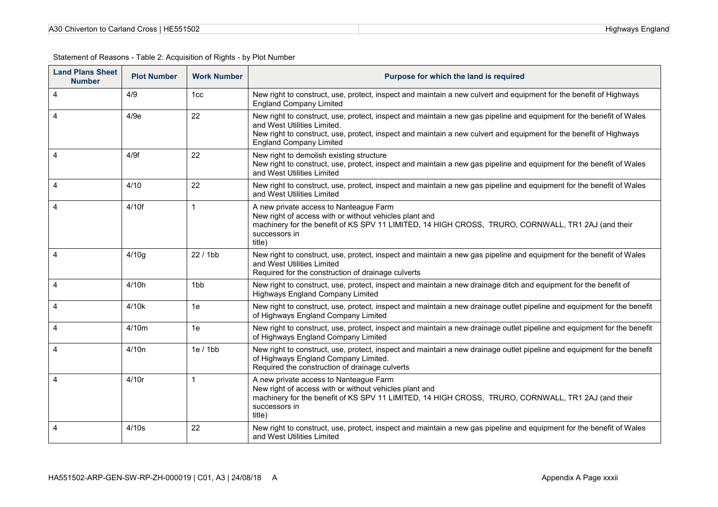| A30 Chiverton to Carland Cross   HE551502 |  |
|-------------------------------------------|--|
|-------------------------------------------|--|

| <b>Land Plans Sheet</b><br><b>Number</b> | <b>Plot Number</b> | <b>Work Number</b> | Purpose for which the land is required                                                                                                                                                                                                                                                                      |
|------------------------------------------|--------------------|--------------------|-------------------------------------------------------------------------------------------------------------------------------------------------------------------------------------------------------------------------------------------------------------------------------------------------------------|
| 4                                        | 4/9                | 1 <sub>cc</sub>    | New right to construct, use, protect, inspect and maintain a new culvert and equipment for the benefit of Highways<br><b>England Company Limited</b>                                                                                                                                                        |
| 4                                        | 4/9e               | 22                 | New right to construct, use, protect, inspect and maintain a new gas pipeline and equipment for the benefit of Wales<br>and West Utilities Limited.<br>New right to construct, use, protect, inspect and maintain a new culvert and equipment for the benefit of Highways<br><b>England Company Limited</b> |
| 4                                        | 4/9f               | 22                 | New right to demolish existing structure<br>New right to construct, use, protect, inspect and maintain a new gas pipeline and equipment for the benefit of Wales<br>and West Utilities Limited                                                                                                              |
| 4                                        | 4/10               | 22                 | New right to construct, use, protect, inspect and maintain a new gas pipeline and equipment for the benefit of Wales<br>and West Utilities Limited                                                                                                                                                          |
| 4                                        | 4/10f              |                    | A new private access to Nanteague Farm<br>New right of access with or without vehicles plant and<br>machinery for the benefit of KS SPV 11 LIMITED, 14 HIGH CROSS, TRURO, CORNWALL, TR1 2AJ (and their<br>successors in<br>title)                                                                           |
| 4                                        | 4/10g              | 22 / 1bb           | New right to construct, use, protect, inspect and maintain a new gas pipeline and equipment for the benefit of Wales<br>and West Utilities Limited<br>Required for the construction of drainage culverts                                                                                                    |
| 4                                        | 4/10h              | 1 <sub>bb</sub>    | New right to construct, use, protect, inspect and maintain a new drainage ditch and equipment for the benefit of<br>Highways England Company Limited                                                                                                                                                        |
| 4                                        | 4/10k              | 1e                 | New right to construct, use, protect, inspect and maintain a new drainage outlet pipeline and equipment for the benefit<br>of Highways England Company Limited                                                                                                                                              |
| 4                                        | 4/10m              | 1e                 | New right to construct, use, protect, inspect and maintain a new drainage outlet pipeline and equipment for the benefit<br>of Highways England Company Limited                                                                                                                                              |
| 4                                        | 4/10n              | 1e/1bb             | New right to construct, use, protect, inspect and maintain a new drainage outlet pipeline and equipment for the benefit<br>of Highways England Company Limited.<br>Required the construction of drainage culverts                                                                                           |
| 4                                        | 4/10r              |                    | A new private access to Nanteague Farm<br>New right of access with or without vehicles plant and<br>machinery for the benefit of KS SPV 11 LIMITED, 14 HIGH CROSS, TRURO, CORNWALL, TR1 2AJ (and their<br>successors in<br>title)                                                                           |
| 4                                        | 4/10s              | 22                 | New right to construct, use, protect, inspect and maintain a new gas pipeline and equipment for the benefit of Wales<br>and West Utilities Limited                                                                                                                                                          |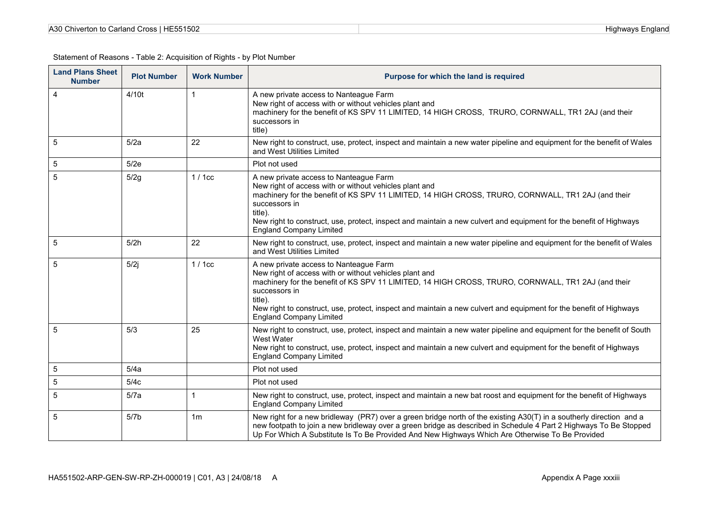| A30 Chiverton to Carland Cross   HE551502 |  |
|-------------------------------------------|--|
|-------------------------------------------|--|

| <b>Land Plans Sheet</b><br><b>Number</b> | <b>Plot Number</b> | <b>Work Number</b> | Purpose for which the land is required                                                                                                                                                                                                                                                                                                                                                     |
|------------------------------------------|--------------------|--------------------|--------------------------------------------------------------------------------------------------------------------------------------------------------------------------------------------------------------------------------------------------------------------------------------------------------------------------------------------------------------------------------------------|
| $\overline{4}$                           | 4/10t              |                    | A new private access to Nanteague Farm<br>New right of access with or without vehicles plant and<br>machinery for the benefit of KS SPV 11 LIMITED, 14 HIGH CROSS, TRURO, CORNWALL, TR1 2AJ (and their<br>successors in<br>title)                                                                                                                                                          |
| 5                                        | 5/2a               | 22                 | New right to construct, use, protect, inspect and maintain a new water pipeline and equipment for the benefit of Wales<br>and West Utilities Limited                                                                                                                                                                                                                                       |
| $\sqrt{5}$                               | 5/2e               |                    | Plot not used                                                                                                                                                                                                                                                                                                                                                                              |
| 5                                        | 5/2g               | 1/1cc              | A new private access to Nanteague Farm<br>New right of access with or without vehicles plant and<br>machinery for the benefit of KS SPV 11 LIMITED, 14 HIGH CROSS, TRURO, CORNWALL, TR1 2AJ (and their<br>successors in<br>title).<br>New right to construct, use, protect, inspect and maintain a new culvert and equipment for the benefit of Highways<br><b>England Company Limited</b> |
| 5                                        | 5/2h               | 22                 | New right to construct, use, protect, inspect and maintain a new water pipeline and equipment for the benefit of Wales<br>and West Utilities Limited                                                                                                                                                                                                                                       |
| 5                                        | 5/2j               | 1/1cc              | A new private access to Nanteague Farm<br>New right of access with or without vehicles plant and<br>machinery for the benefit of KS SPV 11 LIMITED, 14 HIGH CROSS, TRURO, CORNWALL, TR1 2AJ (and their<br>successors in<br>title).<br>New right to construct, use, protect, inspect and maintain a new culvert and equipment for the benefit of Highways<br><b>England Company Limited</b> |
| 5                                        | 5/3                | 25                 | New right to construct, use, protect, inspect and maintain a new water pipeline and equipment for the benefit of South<br>West Water<br>New right to construct, use, protect, inspect and maintain a new culvert and equipment for the benefit of Highways<br><b>England Company Limited</b>                                                                                               |
| 5                                        | 5/4a               |                    | Plot not used                                                                                                                                                                                                                                                                                                                                                                              |
| $\sqrt{5}$                               | 5/4c               |                    | Plot not used                                                                                                                                                                                                                                                                                                                                                                              |
| 5                                        | 5/7a               | 1                  | New right to construct, use, protect, inspect and maintain a new bat roost and equipment for the benefit of Highways<br><b>England Company Limited</b>                                                                                                                                                                                                                                     |
| 5                                        | 5/7 <sub>b</sub>   | 1 <sub>m</sub>     | New right for a new bridleway (PR7) over a green bridge north of the existing A30(T) in a southerly direction and a<br>new footpath to join a new bridleway over a green bridge as described in Schedule 4 Part 2 Highways To Be Stopped<br>Up For Which A Substitute Is To Be Provided And New Highways Which Are Otherwise To Be Provided                                                |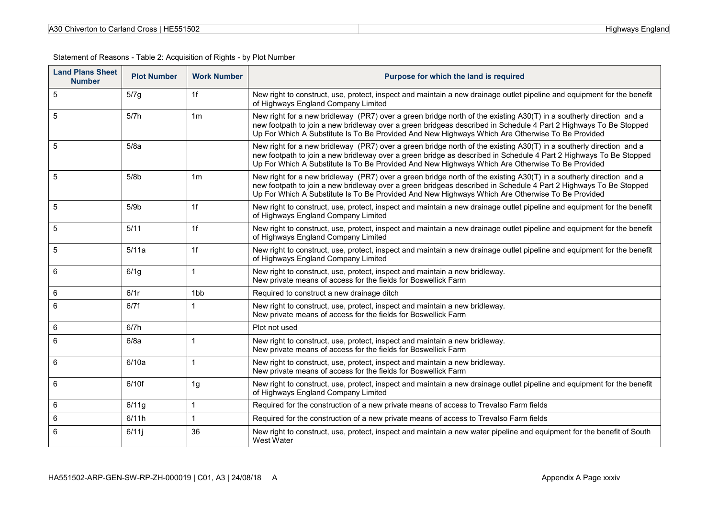| <b>Land Plans Sheet</b><br><b>Number</b> | <b>Plot Number</b> | <b>Work Number</b> | Purpose for which the land is required                                                                                                                                                                                                                                                                                                      |
|------------------------------------------|--------------------|--------------------|---------------------------------------------------------------------------------------------------------------------------------------------------------------------------------------------------------------------------------------------------------------------------------------------------------------------------------------------|
| 5                                        | 5/7g               | 1f                 | New right to construct, use, protect, inspect and maintain a new drainage outlet pipeline and equipment for the benefit<br>of Highways England Company Limited                                                                                                                                                                              |
| 5                                        | 5/7h               | 1 <sub>m</sub>     | New right for a new bridleway (PR7) over a green bridge north of the existing A30(T) in a southerly direction and a<br>new footpath to join a new bridleway over a green bridgeas described in Schedule 4 Part 2 Highways To Be Stopped<br>Up For Which A Substitute Is To Be Provided And New Highways Which Are Otherwise To Be Provided  |
| 5                                        | 5/8a               |                    | New right for a new bridleway (PR7) over a green bridge north of the existing A30(T) in a southerly direction and a<br>new footpath to join a new bridleway over a green bridge as described in Schedule 4 Part 2 Highways To Be Stopped<br>Up For Which A Substitute Is To Be Provided And New Highways Which Are Otherwise To Be Provided |
| 5                                        | 5/8 <sub>b</sub>   | 1 <sub>m</sub>     | New right for a new bridleway (PR7) over a green bridge north of the existing A30(T) in a southerly direction and a<br>new footpath to join a new bridleway over a green bridgeas described in Schedule 4 Part 2 Highways To Be Stopped<br>Up For Which A Substitute Is To Be Provided And New Highways Which Are Otherwise To Be Provided  |
| 5                                        | 5/9 <sub>b</sub>   | 1f                 | New right to construct, use, protect, inspect and maintain a new drainage outlet pipeline and equipment for the benefit<br>of Highways England Company Limited                                                                                                                                                                              |
| 5                                        | 5/11               | 1f                 | New right to construct, use, protect, inspect and maintain a new drainage outlet pipeline and equipment for the benefit<br>of Highways England Company Limited                                                                                                                                                                              |
| 5                                        | 5/11a              | 1f                 | New right to construct, use, protect, inspect and maintain a new drainage outlet pipeline and equipment for the benefit<br>of Highways England Company Limited                                                                                                                                                                              |
| 6                                        | 6/1g               |                    | New right to construct, use, protect, inspect and maintain a new bridleway.<br>New private means of access for the fields for Boswellick Farm                                                                                                                                                                                               |
| 6                                        | 6/1r               | 1 <sub>b</sub> b   | Required to construct a new drainage ditch                                                                                                                                                                                                                                                                                                  |
| 6                                        | 6/7f               |                    | New right to construct, use, protect, inspect and maintain a new bridleway.<br>New private means of access for the fields for Boswellick Farm                                                                                                                                                                                               |
| 6                                        | 6/7h               |                    | Plot not used                                                                                                                                                                                                                                                                                                                               |
| 6                                        | 6/8a               |                    | New right to construct, use, protect, inspect and maintain a new bridleway.<br>New private means of access for the fields for Boswellick Farm                                                                                                                                                                                               |
| 6                                        | 6/10a              |                    | New right to construct, use, protect, inspect and maintain a new bridleway.<br>New private means of access for the fields for Boswellick Farm                                                                                                                                                                                               |
| 6                                        | 6/10f              | 1 <sub>g</sub>     | New right to construct, use, protect, inspect and maintain a new drainage outlet pipeline and equipment for the benefit<br>of Highways England Company Limited                                                                                                                                                                              |
| 6                                        | 6/11g              |                    | Required for the construction of a new private means of access to Trevalso Farm fields                                                                                                                                                                                                                                                      |
| 6                                        | 6/11h              |                    | Required for the construction of a new private means of access to Trevalso Farm fields                                                                                                                                                                                                                                                      |
| 6                                        | 6/11               | 36                 | New right to construct, use, protect, inspect and maintain a new water pipeline and equipment for the benefit of South<br>West Water                                                                                                                                                                                                        |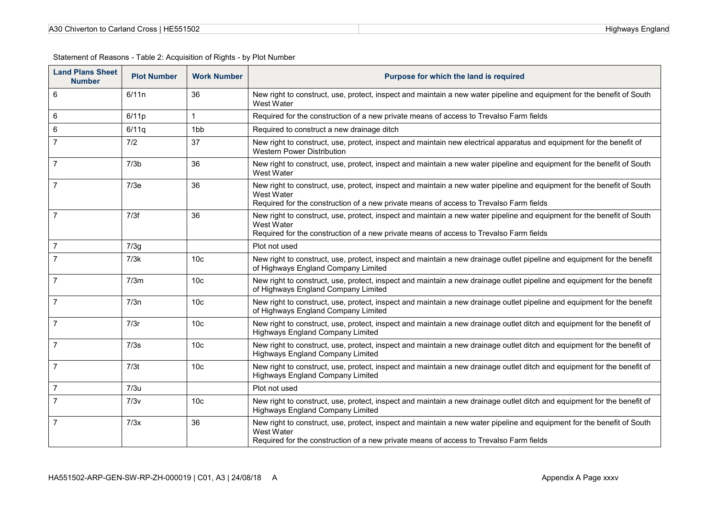| <b>Land Plans Sheet</b><br><b>Number</b> | <b>Plot Number</b> | <b>Work Number</b> | Purpose for which the land is required                                                                                                                                                                                         |
|------------------------------------------|--------------------|--------------------|--------------------------------------------------------------------------------------------------------------------------------------------------------------------------------------------------------------------------------|
| 6                                        | 6/11n              | 36                 | New right to construct, use, protect, inspect and maintain a new water pipeline and equipment for the benefit of South<br>West Water                                                                                           |
| 6                                        | 6/11p              | $\mathbf{1}$       | Required for the construction of a new private means of access to Trevalso Farm fields                                                                                                                                         |
| 6                                        | 6/11q              | 1 <sub>bb</sub>    | Required to construct a new drainage ditch                                                                                                                                                                                     |
| $\overline{7}$                           | 7/2                | 37                 | New right to construct, use, protect, inspect and maintain new electrical apparatus and equipment for the benefit of<br><b>Western Power Distribution</b>                                                                      |
| $\overline{7}$                           | 7/3 <sub>b</sub>   | 36                 | New right to construct, use, protect, inspect and maintain a new water pipeline and equipment for the benefit of South<br>West Water                                                                                           |
| 7                                        | 7/3e               | 36                 | New right to construct, use, protect, inspect and maintain a new water pipeline and equipment for the benefit of South<br>West Water<br>Required for the construction of a new private means of access to Trevalso Farm fields |
| $\overline{7}$                           | 7/3f               | 36                 | New right to construct, use, protect, inspect and maintain a new water pipeline and equipment for the benefit of South<br>West Water<br>Required for the construction of a new private means of access to Trevalso Farm fields |
| 7                                        | 7/3g               |                    | Plot not used                                                                                                                                                                                                                  |
| $\overline{7}$                           | 7/3k               | 10 <sub>c</sub>    | New right to construct, use, protect, inspect and maintain a new drainage outlet pipeline and equipment for the benefit<br>of Highways England Company Limited                                                                 |
| 7                                        | 7/3m               | 10 <sub>c</sub>    | New right to construct, use, protect, inspect and maintain a new drainage outlet pipeline and equipment for the benefit<br>of Highways England Company Limited                                                                 |
| 7                                        | 7/3n               | 10 <sub>c</sub>    | New right to construct, use, protect, inspect and maintain a new drainage outlet pipeline and equipment for the benefit<br>of Highways England Company Limited                                                                 |
|                                          | 7/3r               | 10 <sub>c</sub>    | New right to construct, use, protect, inspect and maintain a new drainage outlet ditch and equipment for the benefit of<br><b>Highways England Company Limited</b>                                                             |
| 7                                        | 7/3s               | 10 <sub>c</sub>    | New right to construct, use, protect, inspect and maintain a new drainage outlet ditch and equipment for the benefit of<br>Highways England Company Limited                                                                    |
| 7                                        | 7/3t               | 10 <sub>c</sub>    | New right to construct, use, protect, inspect and maintain a new drainage outlet ditch and equipment for the benefit of<br>Highways England Company Limited                                                                    |
| $\overline{7}$                           | 7/3u               |                    | Plot not used                                                                                                                                                                                                                  |
| $\overline{7}$                           | 7/3v               | 10 <sub>c</sub>    | New right to construct, use, protect, inspect and maintain a new drainage outlet ditch and equipment for the benefit of<br>Highways England Company Limited                                                                    |
| 7                                        | 7/3x               | 36                 | New right to construct, use, protect, inspect and maintain a new water pipeline and equipment for the benefit of South<br>West Water<br>Required for the construction of a new private means of access to Trevalso Farm fields |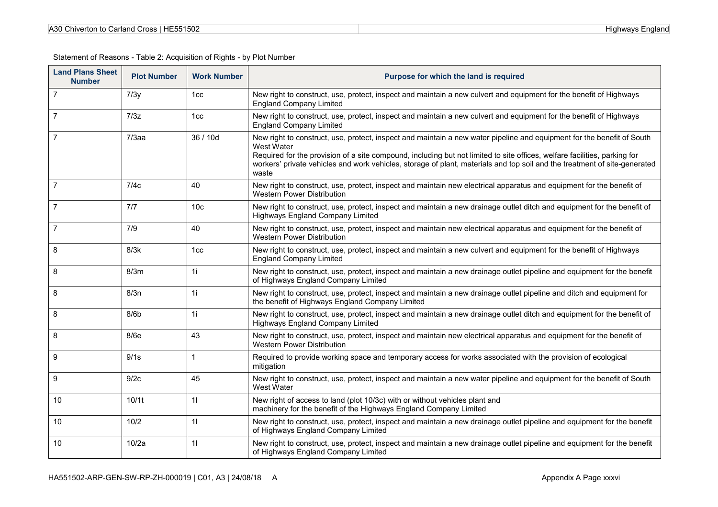| A30 Chiverton to Carland Cross   HE551502 |  |
|-------------------------------------------|--|
|-------------------------------------------|--|

| <b>Land Plans Sheet</b><br><b>Number</b> | <b>Plot Number</b> | <b>Work Number</b> | Purpose for which the land is required                                                                                                                                                                                                                                                                                                                                                                  |
|------------------------------------------|--------------------|--------------------|---------------------------------------------------------------------------------------------------------------------------------------------------------------------------------------------------------------------------------------------------------------------------------------------------------------------------------------------------------------------------------------------------------|
| $\overline{7}$                           | 7/3y               | 1cc                | New right to construct, use, protect, inspect and maintain a new culvert and equipment for the benefit of Highways<br><b>England Company Limited</b>                                                                                                                                                                                                                                                    |
| 7                                        | 7/3z               | 1cc                | New right to construct, use, protect, inspect and maintain a new culvert and equipment for the benefit of Highways<br><b>England Company Limited</b>                                                                                                                                                                                                                                                    |
|                                          | $7/3$ aa           | 36 / 10d           | New right to construct, use, protect, inspect and maintain a new water pipeline and equipment for the benefit of South<br>West Water<br>Required for the provision of a site compound, including but not limited to site offices, welfare facilities, parking for<br>workers' private vehicles and work vehicles, storage of plant, materials and top soil and the treatment of site-generated<br>waste |
| $\overline{7}$                           | 7/4c               | 40                 | New right to construct, use, protect, inspect and maintain new electrical apparatus and equipment for the benefit of<br><b>Western Power Distribution</b>                                                                                                                                                                                                                                               |
|                                          | 7/7                | 10 <sub>c</sub>    | New right to construct, use, protect, inspect and maintain a new drainage outlet ditch and equipment for the benefit of<br><b>Highways England Company Limited</b>                                                                                                                                                                                                                                      |
|                                          | 7/9                | 40                 | New right to construct, use, protect, inspect and maintain new electrical apparatus and equipment for the benefit of<br>Western Power Distribution                                                                                                                                                                                                                                                      |
| 8                                        | 8/3k               | 1cc                | New right to construct, use, protect, inspect and maintain a new culvert and equipment for the benefit of Highways<br><b>England Company Limited</b>                                                                                                                                                                                                                                                    |
| 8                                        | 8/3m               | 1i                 | New right to construct, use, protect, inspect and maintain a new drainage outlet pipeline and equipment for the benefit<br>of Highways England Company Limited                                                                                                                                                                                                                                          |
| 8                                        | 8/3n               | 1i                 | New right to construct, use, protect, inspect and maintain a new drainage outlet pipeline and ditch and equipment for<br>the benefit of Highways England Company Limited                                                                                                                                                                                                                                |
| 8                                        | 8/6 <sub>b</sub>   | 1i                 | New right to construct, use, protect, inspect and maintain a new drainage outlet ditch and equipment for the benefit of<br>Highways England Company Limited                                                                                                                                                                                                                                             |
| 8                                        | 8/6e               | 43                 | New right to construct, use, protect, inspect and maintain new electrical apparatus and equipment for the benefit of<br><b>Western Power Distribution</b>                                                                                                                                                                                                                                               |
| 9                                        | 9/1s               | 1                  | Required to provide working space and temporary access for works associated with the provision of ecological<br>mitigation                                                                                                                                                                                                                                                                              |
| 9                                        | 9/2c               | 45                 | New right to construct, use, protect, inspect and maintain a new water pipeline and equipment for the benefit of South<br>West Water                                                                                                                                                                                                                                                                    |
| 10                                       | 10/1t              | 11                 | New right of access to land (plot 10/3c) with or without vehicles plant and<br>machinery for the benefit of the Highways England Company Limited                                                                                                                                                                                                                                                        |
| 10                                       | 10/2               | 11                 | New right to construct, use, protect, inspect and maintain a new drainage outlet pipeline and equipment for the benefit<br>of Highways England Company Limited                                                                                                                                                                                                                                          |
| 10                                       | 10/2a              | 11                 | New right to construct, use, protect, inspect and maintain a new drainage outlet pipeline and equipment for the benefit<br>of Highways England Company Limited                                                                                                                                                                                                                                          |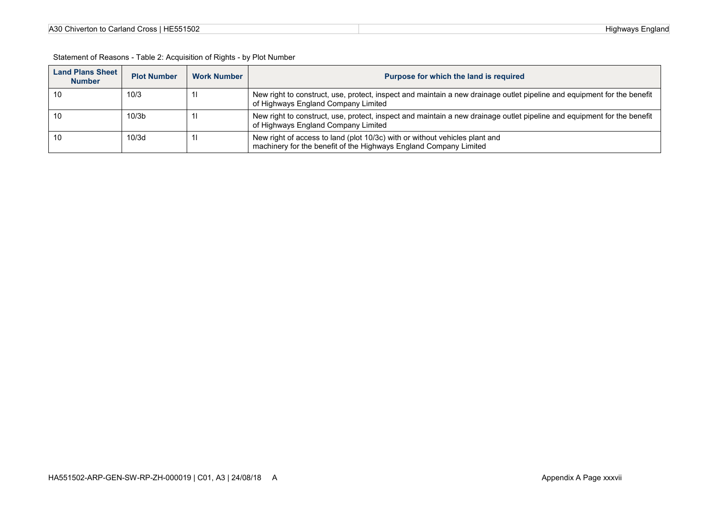| A30 Chiverton to Carland Cross   HE551502 |  |
|-------------------------------------------|--|
|-------------------------------------------|--|

| Statement of Reasons - Table 2: Acquisition of Rights - by Plot Number |                         |  |  |  |  |
|------------------------------------------------------------------------|-------------------------|--|--|--|--|
|                                                                        | <b>Land Plans Sheet</b> |  |  |  |  |

| <b>Land Plans Sheet</b><br><b>Number</b> | <b>Plot Number</b> | <b>Work Number</b> | Purpose for which the land is required                                                                                                                         |
|------------------------------------------|--------------------|--------------------|----------------------------------------------------------------------------------------------------------------------------------------------------------------|
| 10                                       | 10/3               |                    | New right to construct, use, protect, inspect and maintain a new drainage outlet pipeline and equipment for the benefit<br>of Highways England Company Limited |
| 10                                       | 10/3 <sub>b</sub>  |                    | New right to construct, use, protect, inspect and maintain a new drainage outlet pipeline and equipment for the benefit<br>of Highways England Company Limited |
| 10                                       | 10/3d              |                    | New right of access to land (plot 10/3c) with or without vehicles plant and<br>machinery for the benefit of the Highways England Company Limited               |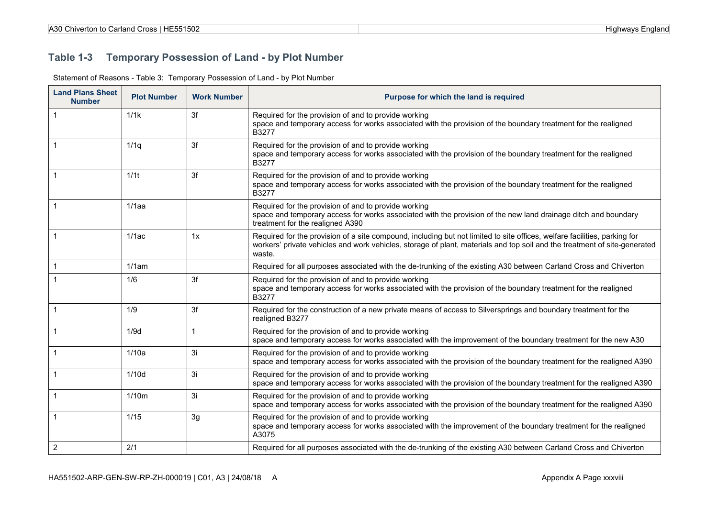#### **Table 1-3 Temporary Possession of Land - by Plot Number**

| <b>Land Plans Sheet</b><br><b>Number</b> | <b>Plot Number</b> | <b>Work Number</b> | Purpose for which the land is required                                                                                                                                                                                                                           |
|------------------------------------------|--------------------|--------------------|------------------------------------------------------------------------------------------------------------------------------------------------------------------------------------------------------------------------------------------------------------------|
|                                          | 1/1k               | 3f                 | Required for the provision of and to provide working<br>space and temporary access for works associated with the provision of the boundary treatment for the realigned<br>B3277                                                                                  |
|                                          | 1/1q               | 3f                 | Required for the provision of and to provide working<br>space and temporary access for works associated with the provision of the boundary treatment for the realigned<br>B3277                                                                                  |
|                                          | 1/1 <sub>t</sub>   | 3f                 | Required for the provision of and to provide working<br>space and temporary access for works associated with the provision of the boundary treatment for the realigned<br>B3277                                                                                  |
|                                          | $1/1$ aa           |                    | Required for the provision of and to provide working<br>space and temporary access for works associated with the provision of the new land drainage ditch and boundary<br>treatment for the realigned A390                                                       |
|                                          | 1/1ac              | 1x                 | Required for the provision of a site compound, including but not limited to site offices, welfare facilities, parking for<br>workers' private vehicles and work vehicles, storage of plant, materials and top soil and the treatment of site-generated<br>waste. |
|                                          | 1/1am              |                    | Required for all purposes associated with the de-trunking of the existing A30 between Carland Cross and Chiverton                                                                                                                                                |
|                                          | 1/6                | 3f                 | Required for the provision of and to provide working<br>space and temporary access for works associated with the provision of the boundary treatment for the realigned<br>B3277                                                                                  |
|                                          | 1/9                | 3f                 | Required for the construction of a new private means of access to Silversprings and boundary treatment for the<br>realigned B3277                                                                                                                                |
|                                          | 1/9d               | $\mathbf{1}$       | Required for the provision of and to provide working<br>space and temporary access for works associated with the improvement of the boundary treatment for the new A30                                                                                           |
|                                          | 1/10a              | 3i                 | Required for the provision of and to provide working<br>space and temporary access for works associated with the provision of the boundary treatment for the realigned A390                                                                                      |
|                                          | 1/10d              | 3i                 | Required for the provision of and to provide working<br>space and temporary access for works associated with the provision of the boundary treatment for the realigned A390                                                                                      |
|                                          | 1/10m              | 3i                 | Required for the provision of and to provide working<br>space and temporary access for works associated with the provision of the boundary treatment for the realigned A390                                                                                      |
|                                          | 1/15               | 3g                 | Required for the provision of and to provide working<br>space and temporary access for works associated with the improvement of the boundary treatment for the realigned<br>A3075                                                                                |
| $\overline{2}$                           | 2/1                |                    | Required for all purposes associated with the de-trunking of the existing A30 between Carland Cross and Chiverton                                                                                                                                                |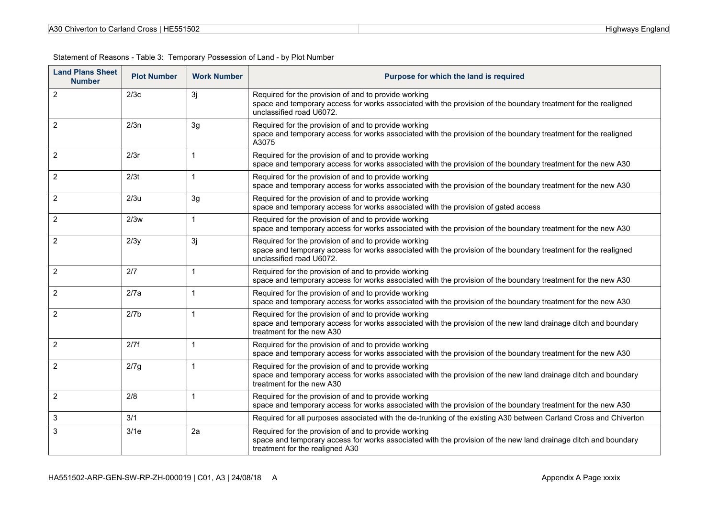| A30 Chiverton to<br><b>IE551502</b><br>Carland Cross | Highways<br>≞nɑland |
|------------------------------------------------------|---------------------|
|------------------------------------------------------|---------------------|

| <b>Land Plans Sheet</b><br><b>Number</b> | <b>Plot Number</b> | <b>Work Number</b> | Purpose for which the land is required                                                                                                                                                                    |
|------------------------------------------|--------------------|--------------------|-----------------------------------------------------------------------------------------------------------------------------------------------------------------------------------------------------------|
| $\overline{2}$                           | 2/3c               | 3j                 | Required for the provision of and to provide working<br>space and temporary access for works associated with the provision of the boundary treatment for the realigned<br>unclassified road U6072.        |
| 2                                        | 2/3n               | 3g                 | Required for the provision of and to provide working<br>space and temporary access for works associated with the provision of the boundary treatment for the realigned<br>A3075                           |
| $\overline{2}$                           | 2/3r               | $\mathbf{1}$       | Required for the provision of and to provide working<br>space and temporary access for works associated with the provision of the boundary treatment for the new A30                                      |
| $\overline{c}$                           | 2/3t               | $\mathbf{1}$       | Required for the provision of and to provide working<br>space and temporary access for works associated with the provision of the boundary treatment for the new A30                                      |
| $\overline{2}$                           | 2/3u               | 3g                 | Required for the provision of and to provide working<br>space and temporary access for works associated with the provision of gated access                                                                |
| 2                                        | 2/3w               | 1                  | Required for the provision of and to provide working<br>space and temporary access for works associated with the provision of the boundary treatment for the new A30                                      |
| $\overline{2}$                           | 2/3y               | 3j                 | Required for the provision of and to provide working<br>space and temporary access for works associated with the provision of the boundary treatment for the realigned<br>unclassified road U6072.        |
| 2                                        | 2/7                | $\mathbf{1}$       | Required for the provision of and to provide working<br>space and temporary access for works associated with the provision of the boundary treatment for the new A30                                      |
| $\overline{2}$                           | 2/7a               | $\mathbf{1}$       | Required for the provision of and to provide working<br>space and temporary access for works associated with the provision of the boundary treatment for the new A30                                      |
| 2                                        | 2/7 <sub>b</sub>   | $\mathbf{1}$       | Required for the provision of and to provide working<br>space and temporary access for works associated with the provision of the new land drainage ditch and boundary<br>treatment for the new A30       |
| $\overline{2}$                           | 2/7f               | $\mathbf{1}$       | Required for the provision of and to provide working<br>space and temporary access for works associated with the provision of the boundary treatment for the new A30                                      |
| $\overline{2}$                           | 2/7g               | $\mathbf{1}$       | Required for the provision of and to provide working<br>space and temporary access for works associated with the provision of the new land drainage ditch and boundary<br>treatment for the new A30       |
| $\overline{2}$                           | 2/8                | $\mathbf{1}$       | Required for the provision of and to provide working<br>space and temporary access for works associated with the provision of the boundary treatment for the new A30                                      |
| 3                                        | 3/1                |                    | Required for all purposes associated with the de-trunking of the existing A30 between Carland Cross and Chiverton                                                                                         |
| 3                                        | 3/1e               | 2a                 | Required for the provision of and to provide working<br>space and temporary access for works associated with the provision of the new land drainage ditch and boundary<br>treatment for the realigned A30 |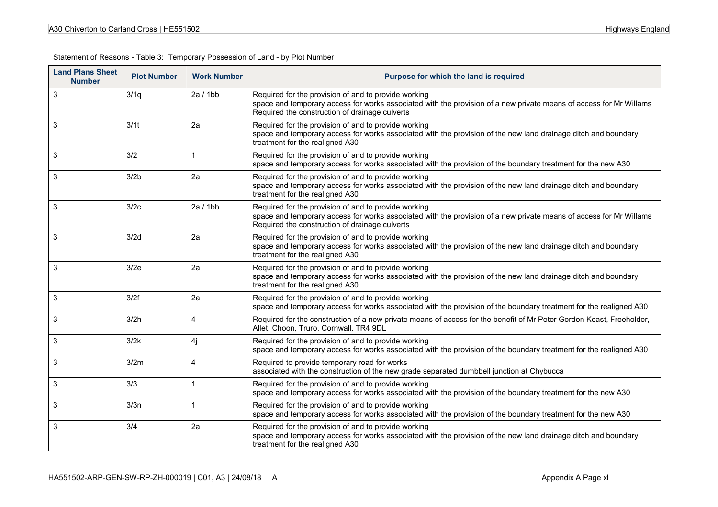| A30 Chiverton to Carland Cross   HE551502 | England<br>Highways, |
|-------------------------------------------|----------------------|
|-------------------------------------------|----------------------|

| <b>Land Plans Sheet</b><br><b>Number</b> | <b>Plot Number</b> | <b>Work Number</b> | Purpose for which the land is required                                                                                                                                                                                       |
|------------------------------------------|--------------------|--------------------|------------------------------------------------------------------------------------------------------------------------------------------------------------------------------------------------------------------------------|
| 3                                        | 3/1q               | 2a/1bb             | Required for the provision of and to provide working<br>space and temporary access for works associated with the provision of a new private means of access for Mr Willams<br>Required the construction of drainage culverts |
| 3                                        | 3/1 <sub>t</sub>   | 2a                 | Required for the provision of and to provide working<br>space and temporary access for works associated with the provision of the new land drainage ditch and boundary<br>treatment for the realigned A30                    |
| 3                                        | 3/2                | $\mathbf 1$        | Required for the provision of and to provide working<br>space and temporary access for works associated with the provision of the boundary treatment for the new A30                                                         |
| 3                                        | 3/2 <sub>b</sub>   | 2a                 | Required for the provision of and to provide working<br>space and temporary access for works associated with the provision of the new land drainage ditch and boundary<br>treatment for the realigned A30                    |
| 3                                        | 3/2c               | 2a/1bb             | Required for the provision of and to provide working<br>space and temporary access for works associated with the provision of a new private means of access for Mr Willams<br>Required the construction of drainage culverts |
| 3                                        | 3/2d               | 2a                 | Required for the provision of and to provide working<br>space and temporary access for works associated with the provision of the new land drainage ditch and boundary<br>treatment for the realigned A30                    |
| 3                                        | 3/2e               | 2a                 | Required for the provision of and to provide working<br>space and temporary access for works associated with the provision of the new land drainage ditch and boundary<br>treatment for the realigned A30                    |
| 3                                        | 3/2f               | 2a                 | Required for the provision of and to provide working<br>space and temporary access for works associated with the provision of the boundary treatment for the realigned A30                                                   |
| 3                                        | 3/2h               | $\overline{4}$     | Required for the construction of a new private means of access for the benefit of Mr Peter Gordon Keast, Freeholder,<br>Allet, Choon, Truro, Cornwall, TR4 9DL                                                               |
| 3                                        | 3/2k               | 4j                 | Required for the provision of and to provide working<br>space and temporary access for works associated with the provision of the boundary treatment for the realigned A30                                                   |
| 3                                        | 3/2m               | $\overline{4}$     | Required to provide temporary road for works<br>associated with the construction of the new grade separated dumbbell junction at Chybucca                                                                                    |
| 3                                        | 3/3                |                    | Required for the provision of and to provide working<br>space and temporary access for works associated with the provision of the boundary treatment for the new A30                                                         |
| 3                                        | 3/3n               | $\mathbf 1$        | Required for the provision of and to provide working<br>space and temporary access for works associated with the provision of the boundary treatment for the new A30                                                         |
| 3                                        | 3/4                | 2a                 | Required for the provision of and to provide working<br>space and temporary access for works associated with the provision of the new land drainage ditch and boundary<br>treatment for the realigned A30                    |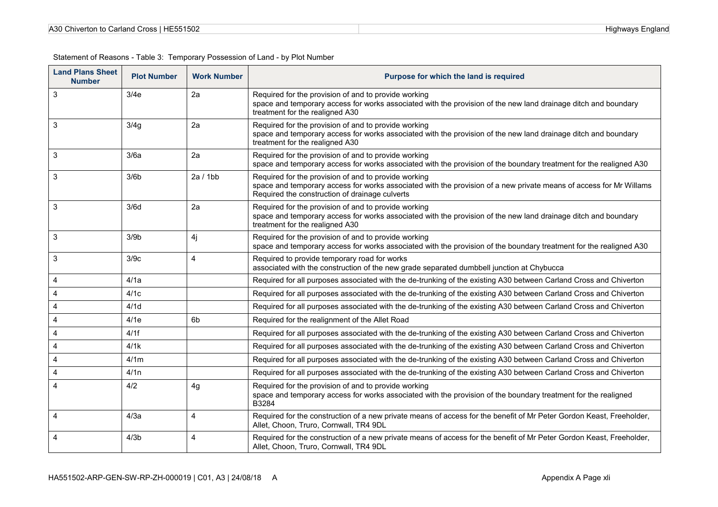| A30 Cr                                | Highwavs |
|---------------------------------------|----------|
| Chiverton to Carland Cross   HE551502 | =naland  |

| <b>Land Plans Sheet</b><br><b>Number</b> | <b>Plot Number</b> | <b>Work Number</b> | Purpose for which the land is required                                                                                                                                                                                       |
|------------------------------------------|--------------------|--------------------|------------------------------------------------------------------------------------------------------------------------------------------------------------------------------------------------------------------------------|
| 3                                        | 3/4e               | 2a                 | Required for the provision of and to provide working<br>space and temporary access for works associated with the provision of the new land drainage ditch and boundary<br>treatment for the realigned A30                    |
| 3                                        | 3/4g               | 2a                 | Required for the provision of and to provide working<br>space and temporary access for works associated with the provision of the new land drainage ditch and boundary<br>treatment for the realigned A30                    |
| 3                                        | 3/6a               | 2a                 | Required for the provision of and to provide working<br>space and temporary access for works associated with the provision of the boundary treatment for the realigned A30                                                   |
| 3                                        | 3/6 <sub>b</sub>   | 2a/1bb             | Required for the provision of and to provide working<br>space and temporary access for works associated with the provision of a new private means of access for Mr Willams<br>Required the construction of drainage culverts |
| 3                                        | 3/6d               | 2a                 | Required for the provision of and to provide working<br>space and temporary access for works associated with the provision of the new land drainage ditch and boundary<br>treatment for the realigned A30                    |
| 3                                        | 3/9 <sub>b</sub>   | 4j                 | Required for the provision of and to provide working<br>space and temporary access for works associated with the provision of the boundary treatment for the realigned A30                                                   |
| 3                                        | 3/9c               | $\overline{4}$     | Required to provide temporary road for works<br>associated with the construction of the new grade separated dumbbell junction at Chybucca                                                                                    |
| 4                                        | 4/1a               |                    | Required for all purposes associated with the de-trunking of the existing A30 between Carland Cross and Chiverton                                                                                                            |
| 4                                        | 4/1c               |                    | Required for all purposes associated with the de-trunking of the existing A30 between Carland Cross and Chiverton                                                                                                            |
| $\overline{4}$                           | 4/1d               |                    | Required for all purposes associated with the de-trunking of the existing A30 between Carland Cross and Chiverton                                                                                                            |
| 4                                        | 4/1e               | 6 <sub>b</sub>     | Required for the realignment of the Allet Road                                                                                                                                                                               |
| 4                                        | 4/1f               |                    | Required for all purposes associated with the de-trunking of the existing A30 between Carland Cross and Chiverton                                                                                                            |
| 4                                        | 4/1k               |                    | Required for all purposes associated with the de-trunking of the existing A30 between Carland Cross and Chiverton                                                                                                            |
| 4                                        | 4/1m               |                    | Required for all purposes associated with the de-trunking of the existing A30 between Carland Cross and Chiverton                                                                                                            |
| 4                                        | 4/1n               |                    | Required for all purposes associated with the de-trunking of the existing A30 between Carland Cross and Chiverton                                                                                                            |
| 4                                        | 4/2                | 4g                 | Required for the provision of and to provide working<br>space and temporary access for works associated with the provision of the boundary treatment for the realigned<br>B3284                                              |
| 4                                        | 4/3a               | $\overline{4}$     | Required for the construction of a new private means of access for the benefit of Mr Peter Gordon Keast, Freeholder,<br>Allet, Choon, Truro, Cornwall, TR4 9DL                                                               |
| 4                                        | 4/3 <sub>b</sub>   | $\overline{4}$     | Required for the construction of a new private means of access for the benefit of Mr Peter Gordon Keast, Freeholder,<br>Allet, Choon, Truro, Cornwall, TR4 9DL                                                               |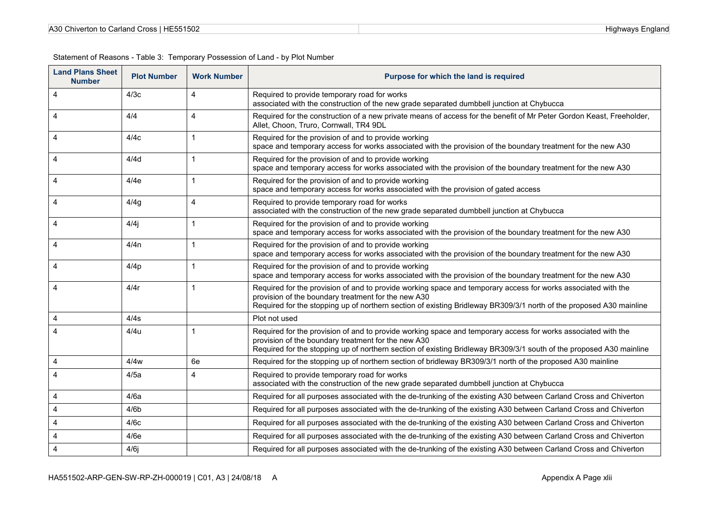| HE551502                       | land     |
|--------------------------------|----------|
| 0 Chiverton to Carland Cross I | Highways |
| A30                            | '−no     |

| <b>Land Plans Sheet</b><br><b>Number</b> | <b>Plot Number</b> | <b>Work Number</b> | Purpose for which the land is required                                                                                                                                                                                                                                                      |
|------------------------------------------|--------------------|--------------------|---------------------------------------------------------------------------------------------------------------------------------------------------------------------------------------------------------------------------------------------------------------------------------------------|
| 4                                        | 4/3c               | 4                  | Required to provide temporary road for works<br>associated with the construction of the new grade separated dumbbell junction at Chybucca                                                                                                                                                   |
| 4                                        | 4/4                | 4                  | Required for the construction of a new private means of access for the benefit of Mr Peter Gordon Keast, Freeholder,<br>Allet, Choon, Truro, Cornwall, TR4 9DL                                                                                                                              |
| 4                                        | 4/4c               | $\mathbf{1}$       | Required for the provision of and to provide working<br>space and temporary access for works associated with the provision of the boundary treatment for the new A30                                                                                                                        |
| 4                                        | 4/4d               | 1                  | Required for the provision of and to provide working<br>space and temporary access for works associated with the provision of the boundary treatment for the new A30                                                                                                                        |
| 4                                        | 4/4e               | $\mathbf{1}$       | Required for the provision of and to provide working<br>space and temporary access for works associated with the provision of gated access                                                                                                                                                  |
| 4                                        | 4/4g               | 4                  | Required to provide temporary road for works<br>associated with the construction of the new grade separated dumbbell junction at Chybucca                                                                                                                                                   |
| 4                                        | 4/4j               | 1                  | Required for the provision of and to provide working<br>space and temporary access for works associated with the provision of the boundary treatment for the new A30                                                                                                                        |
| 4                                        | 4/4n               | 1                  | Required for the provision of and to provide working<br>space and temporary access for works associated with the provision of the boundary treatment for the new A30                                                                                                                        |
| 4                                        | 4/4p               | 1                  | Required for the provision of and to provide working<br>space and temporary access for works associated with the provision of the boundary treatment for the new A30                                                                                                                        |
| 4                                        | 4/4r               | 1                  | Required for the provision of and to provide working space and temporary access for works associated with the<br>provision of the boundary treatment for the new A30<br>Required for the stopping up of northern section of existing Bridleway BR309/3/1 north of the proposed A30 mainline |
| 4                                        | 4/4s               |                    | Plot not used                                                                                                                                                                                                                                                                               |
| 4                                        | 4/4u               | 1                  | Required for the provision of and to provide working space and temporary access for works associated with the<br>provision of the boundary treatment for the new A30<br>Required for the stopping up of northern section of existing Bridleway BR309/3/1 south of the proposed A30 mainline |
| 4                                        | 4/4w               | 6e                 | Required for the stopping up of northern section of bridleway BR309/3/1 north of the proposed A30 mainline                                                                                                                                                                                  |
| 4                                        | 4/5a               | 4                  | Required to provide temporary road for works<br>associated with the construction of the new grade separated dumbbell junction at Chybucca                                                                                                                                                   |
| 4                                        | 4/6a               |                    | Required for all purposes associated with the de-trunking of the existing A30 between Carland Cross and Chiverton                                                                                                                                                                           |
| 4                                        | 4/6 <sub>b</sub>   |                    | Required for all purposes associated with the de-trunking of the existing A30 between Carland Cross and Chiverton                                                                                                                                                                           |
| 4                                        | 4/6c               |                    | Required for all purposes associated with the de-trunking of the existing A30 between Carland Cross and Chiverton                                                                                                                                                                           |
| 4                                        | 4/6e               |                    | Required for all purposes associated with the de-trunking of the existing A30 between Carland Cross and Chiverton                                                                                                                                                                           |
| 4                                        | $4/6$ j            |                    | Required for all purposes associated with the de-trunking of the existing A30 between Carland Cross and Chiverton                                                                                                                                                                           |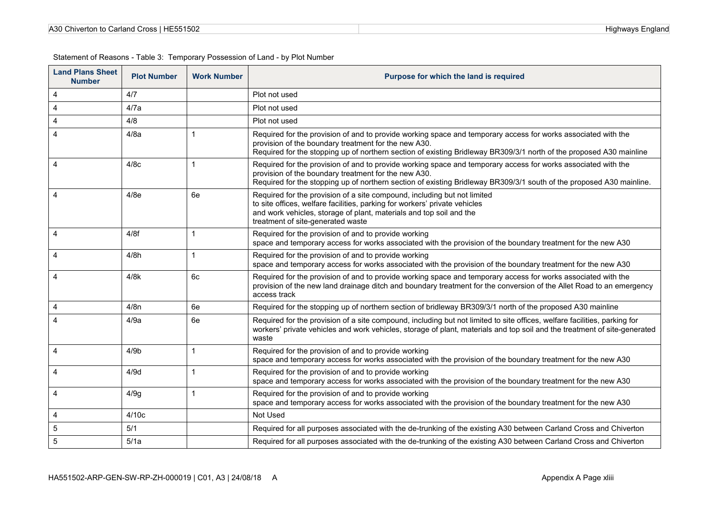| A30 Chiverton to Carland Cross I | Highwavs |
|----------------------------------|----------|
| l HE551502                       | =naland  |

| <b>Land Plans Sheet</b><br><b>Number</b> | <b>Plot Number</b> | <b>Work Number</b> | Purpose for which the land is required                                                                                                                                                                                                                                                        |
|------------------------------------------|--------------------|--------------------|-----------------------------------------------------------------------------------------------------------------------------------------------------------------------------------------------------------------------------------------------------------------------------------------------|
| 4                                        | 4/7                |                    | Plot not used                                                                                                                                                                                                                                                                                 |
| 4                                        | 4/7a               |                    | Plot not used                                                                                                                                                                                                                                                                                 |
| 4                                        | 4/8                |                    | Plot not used                                                                                                                                                                                                                                                                                 |
| 4                                        | 4/8a               | $\mathbf 1$        | Required for the provision of and to provide working space and temporary access for works associated with the<br>provision of the boundary treatment for the new A30.<br>Required for the stopping up of northern section of existing Bridleway BR309/3/1 north of the proposed A30 mainline  |
| 4                                        | 4/8c               | 1                  | Required for the provision of and to provide working space and temporary access for works associated with the<br>provision of the boundary treatment for the new A30.<br>Required for the stopping up of northern section of existing Bridleway BR309/3/1 south of the proposed A30 mainline. |
| 4                                        | 4/8e               | 6e                 | Required for the provision of a site compound, including but not limited<br>to site offices, welfare facilities, parking for workers' private vehicles<br>and work vehicles, storage of plant, materials and top soil and the<br>treatment of site-generated waste                            |
| 4                                        | 4/8f               | $\mathbf{1}$       | Required for the provision of and to provide working<br>space and temporary access for works associated with the provision of the boundary treatment for the new A30                                                                                                                          |
| 4                                        | 4/8h               | $\mathbf{1}$       | Required for the provision of and to provide working<br>space and temporary access for works associated with the provision of the boundary treatment for the new A30                                                                                                                          |
| 4                                        | 4/8k               | 6c                 | Required for the provision of and to provide working space and temporary access for works associated with the<br>provision of the new land drainage ditch and boundary treatment for the conversion of the Allet Road to an emergency<br>access track                                         |
| 4                                        | 4/8n               | 6e                 | Required for the stopping up of northern section of bridleway BR309/3/1 north of the proposed A30 mainline                                                                                                                                                                                    |
| 4                                        | 4/9a               | 6e                 | Required for the provision of a site compound, including but not limited to site offices, welfare facilities, parking for<br>workers' private vehicles and work vehicles, storage of plant, materials and top soil and the treatment of site-generated<br>waste                               |
| 4                                        | 4/9 <sub>b</sub>   | $\mathbf{1}$       | Required for the provision of and to provide working<br>space and temporary access for works associated with the provision of the boundary treatment for the new A30                                                                                                                          |
| 4                                        | 4/9d               | $\mathbf 1$        | Required for the provision of and to provide working<br>space and temporary access for works associated with the provision of the boundary treatment for the new A30                                                                                                                          |
| 4                                        | 4/9g               | 1                  | Required for the provision of and to provide working<br>space and temporary access for works associated with the provision of the boundary treatment for the new A30                                                                                                                          |
| 4                                        | 4/10c              |                    | Not Used                                                                                                                                                                                                                                                                                      |
| 5                                        | 5/1                |                    | Required for all purposes associated with the de-trunking of the existing A30 between Carland Cross and Chiverton                                                                                                                                                                             |
| 5                                        | 5/1a               |                    | Required for all purposes associated with the de-trunking of the existing A30 between Carland Cross and Chiverton                                                                                                                                                                             |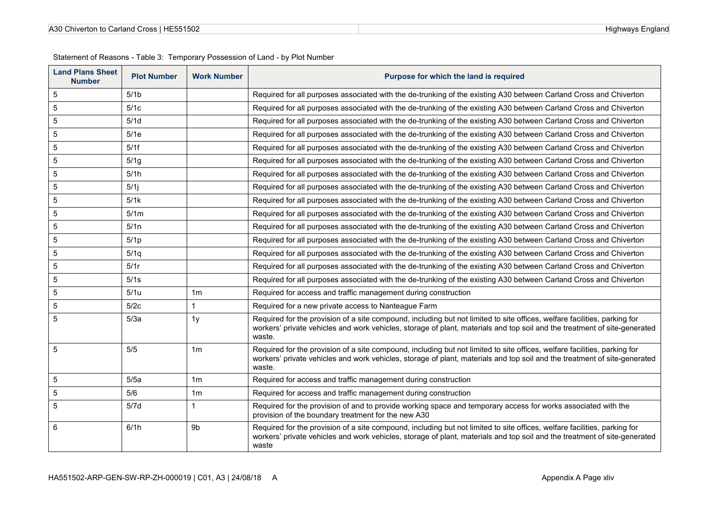| <b>Land Plans Sheet</b><br><b>Number</b> | <b>Plot Number</b> | <b>Work Number</b> | Purpose for which the land is required                                                                                                                                                                                                                           |
|------------------------------------------|--------------------|--------------------|------------------------------------------------------------------------------------------------------------------------------------------------------------------------------------------------------------------------------------------------------------------|
| $5\phantom{.0}$                          | 5/1 <sub>b</sub>   |                    | Required for all purposes associated with the de-trunking of the existing A30 between Carland Cross and Chiverton                                                                                                                                                |
| 5                                        | 5/1c               |                    | Required for all purposes associated with the de-trunking of the existing A30 between Carland Cross and Chiverton                                                                                                                                                |
| 5                                        | 5/1d               |                    | Required for all purposes associated with the de-trunking of the existing A30 between Carland Cross and Chiverton                                                                                                                                                |
| 5                                        | 5/1e               |                    | Required for all purposes associated with the de-trunking of the existing A30 between Carland Cross and Chiverton                                                                                                                                                |
| $\overline{5}$                           | 5/1f               |                    | Required for all purposes associated with the de-trunking of the existing A30 between Carland Cross and Chiverton                                                                                                                                                |
| $5\phantom{.0}$                          | 5/1g               |                    | Required for all purposes associated with the de-trunking of the existing A30 between Carland Cross and Chiverton                                                                                                                                                |
| 5                                        | 5/1h               |                    | Required for all purposes associated with the de-trunking of the existing A30 between Carland Cross and Chiverton                                                                                                                                                |
| 5                                        | $5/1$ j            |                    | Required for all purposes associated with the de-trunking of the existing A30 between Carland Cross and Chiverton                                                                                                                                                |
| 5                                        | 5/1k               |                    | Required for all purposes associated with the de-trunking of the existing A30 between Carland Cross and Chiverton                                                                                                                                                |
| $\sqrt{5}$                               | 5/1m               |                    | Required for all purposes associated with the de-trunking of the existing A30 between Carland Cross and Chiverton                                                                                                                                                |
| 5                                        | 5/1n               |                    | Required for all purposes associated with the de-trunking of the existing A30 between Carland Cross and Chiverton                                                                                                                                                |
| 5                                        | 5/1 <sub>p</sub>   |                    | Required for all purposes associated with the de-trunking of the existing A30 between Carland Cross and Chiverton                                                                                                                                                |
| $\overline{5}$                           | 5/1q               |                    | Required for all purposes associated with the de-trunking of the existing A30 between Carland Cross and Chiverton                                                                                                                                                |
| 5                                        | 5/1r               |                    | Required for all purposes associated with the de-trunking of the existing A30 between Carland Cross and Chiverton                                                                                                                                                |
| 5                                        | 5/1s               |                    | Required for all purposes associated with the de-trunking of the existing A30 between Carland Cross and Chiverton                                                                                                                                                |
| 5                                        | 5/1u               | 1 <sub>m</sub>     | Required for access and traffic management during construction                                                                                                                                                                                                   |
| $\sqrt{5}$                               | 5/2c               | $\mathbf{1}$       | Required for a new private access to Nanteague Farm                                                                                                                                                                                                              |
| 5                                        | 5/3a               | 1 <sub>y</sub>     | Required for the provision of a site compound, including but not limited to site offices, welfare facilities, parking for<br>workers' private vehicles and work vehicles, storage of plant, materials and top soil and the treatment of site-generated<br>waste. |
| 5                                        | 5/5                | 1 <sub>m</sub>     | Required for the provision of a site compound, including but not limited to site offices, welfare facilities, parking for<br>workers' private vehicles and work vehicles, storage of plant, materials and top soil and the treatment of site-generated<br>waste. |
| 5                                        | 5/5a               | 1 <sub>m</sub>     | Required for access and traffic management during construction                                                                                                                                                                                                   |
| 5                                        | 5/6                | 1m                 | Required for access and traffic management during construction                                                                                                                                                                                                   |
| 5                                        | 5/7d               | $\mathbf{1}$       | Required for the provision of and to provide working space and temporary access for works associated with the<br>provision of the boundary treatment for the new A30                                                                                             |
| 6                                        | 6/1h               | 9b                 | Required for the provision of a site compound, including but not limited to site offices, welfare facilities, parking for<br>workers' private vehicles and work vehicles, storage of plant, materials and top soil and the treatment of site-generated<br>waste  |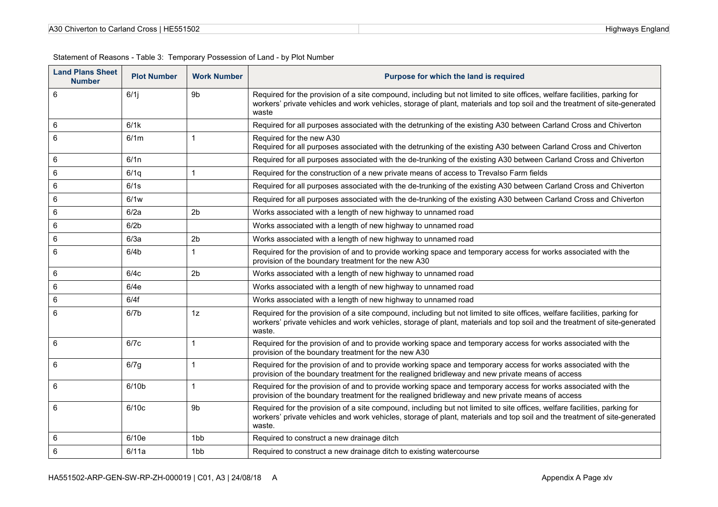| HE551502<br>A30 Chiverton to Carland Cross I |  |
|----------------------------------------------|--|
|----------------------------------------------|--|

| <b>Land Plans Sheet</b><br><b>Number</b> | <b>Plot Number</b> | <b>Work Number</b> | Purpose for which the land is required                                                                                                                                                                                                                           |
|------------------------------------------|--------------------|--------------------|------------------------------------------------------------------------------------------------------------------------------------------------------------------------------------------------------------------------------------------------------------------|
| 6                                        | 6/1                | 9 <sub>b</sub>     | Required for the provision of a site compound, including but not limited to site offices, welfare facilities, parking for<br>workers' private vehicles and work vehicles, storage of plant, materials and top soil and the treatment of site-generated<br>waste  |
| 6                                        | 6/1k               |                    | Required for all purposes associated with the detrunking of the existing A30 between Carland Cross and Chiverton                                                                                                                                                 |
| 6                                        | 6/1m               | $\mathbf{1}$       | Required for the new A30<br>Required for all purposes associated with the detrunking of the existing A30 between Carland Cross and Chiverton                                                                                                                     |
| 6                                        | 6/1n               |                    | Required for all purposes associated with the de-trunking of the existing A30 between Carland Cross and Chiverton                                                                                                                                                |
| 6                                        | 6/1q               | $\mathbf{1}$       | Required for the construction of a new private means of access to Trevalso Farm fields                                                                                                                                                                           |
| 6                                        | 6/1s               |                    | Required for all purposes associated with the de-trunking of the existing A30 between Carland Cross and Chiverton                                                                                                                                                |
| 6                                        | 6/1w               |                    | Required for all purposes associated with the de-trunking of the existing A30 between Carland Cross and Chiverton                                                                                                                                                |
| 6                                        | 6/2a               | 2 <sub>b</sub>     | Works associated with a length of new highway to unnamed road                                                                                                                                                                                                    |
| 6                                        | 6/2 <sub>b</sub>   |                    | Works associated with a length of new highway to unnamed road                                                                                                                                                                                                    |
| 6                                        | 6/3a               | 2 <sub>b</sub>     | Works associated with a length of new highway to unnamed road                                                                                                                                                                                                    |
| 6                                        | 6/4 <sub>b</sub>   | $\mathbf{1}$       | Required for the provision of and to provide working space and temporary access for works associated with the<br>provision of the boundary treatment for the new A30                                                                                             |
| 6                                        | 6/4c               | 2 <sub>b</sub>     | Works associated with a length of new highway to unnamed road                                                                                                                                                                                                    |
| 6                                        | 6/4e               |                    | Works associated with a length of new highway to unnamed road                                                                                                                                                                                                    |
| 6                                        | 6/4f               |                    | Works associated with a length of new highway to unnamed road                                                                                                                                                                                                    |
| 6                                        | 6/7 <sub>b</sub>   | 1z                 | Required for the provision of a site compound, including but not limited to site offices, welfare facilities, parking for<br>workers' private vehicles and work vehicles, storage of plant, materials and top soil and the treatment of site-generated<br>waste. |
| 6                                        | 6/7c               | $\mathbf{1}$       | Required for the provision of and to provide working space and temporary access for works associated with the<br>provision of the boundary treatment for the new A30                                                                                             |
| 6                                        | 6/7g               | $\mathbf{1}$       | Required for the provision of and to provide working space and temporary access for works associated with the<br>provision of the boundary treatment for the realigned bridleway and new private means of access                                                 |
| 6                                        | 6/10 <sub>b</sub>  | $\mathbf{1}$       | Required for the provision of and to provide working space and temporary access for works associated with the<br>provision of the boundary treatment for the realigned bridleway and new private means of access                                                 |
| 6                                        | 6/10c              | 9b                 | Required for the provision of a site compound, including but not limited to site offices, welfare facilities, parking for<br>workers' private vehicles and work vehicles, storage of plant, materials and top soil and the treatment of site-generated<br>waste. |
| 6                                        | 6/10e              | 1 <sub>bb</sub>    | Required to construct a new drainage ditch                                                                                                                                                                                                                       |
| 6                                        | 6/11a              | 1bb                | Required to construct a new drainage ditch to existing watercourse                                                                                                                                                                                               |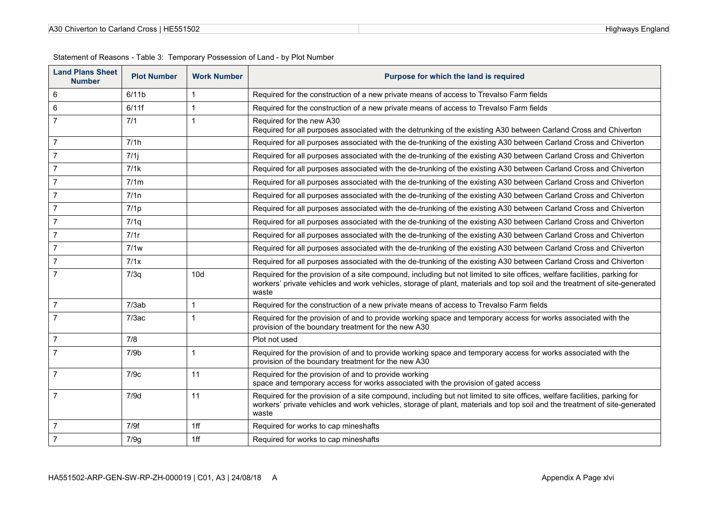| A30 Chiverton to Carland Cross   HE551502 |  |
|-------------------------------------------|--|
|-------------------------------------------|--|

| <b>Land Plans Sheet</b><br><b>Number</b> | <b>Plot Number</b> | <b>Work Number</b> | Purpose for which the land is required                                                                                                                                                                                                                          |
|------------------------------------------|--------------------|--------------------|-----------------------------------------------------------------------------------------------------------------------------------------------------------------------------------------------------------------------------------------------------------------|
| $6\phantom{1}6$                          | 6/11b              | 1                  | Required for the construction of a new private means of access to Trevalso Farm fields                                                                                                                                                                          |
| 6                                        | 6/11f              | 1                  | Required for the construction of a new private means of access to Trevalso Farm fields                                                                                                                                                                          |
| $\overline{7}$                           | 7/1                | $\mathbf{1}$       | Required for the new A30<br>Required for all purposes associated with the detrunking of the existing A30 between Carland Cross and Chiverton                                                                                                                    |
| $\overline{7}$                           | 7/1h               |                    | Required for all purposes associated with the de-trunking of the existing A30 between Carland Cross and Chiverton                                                                                                                                               |
| $\overline{7}$                           | $7/1$ j            |                    | Required for all purposes associated with the de-trunking of the existing A30 between Carland Cross and Chiverton                                                                                                                                               |
| $\overline{7}$                           | 7/1k               |                    | Required for all purposes associated with the de-trunking of the existing A30 between Carland Cross and Chiverton                                                                                                                                               |
| $\overline{7}$                           | 7/1m               |                    | Required for all purposes associated with the de-trunking of the existing A30 between Carland Cross and Chiverton                                                                                                                                               |
| $\overline{7}$                           | 7/1n               |                    | Required for all purposes associated with the de-trunking of the existing A30 between Carland Cross and Chiverton                                                                                                                                               |
| $\overline{7}$                           | 7/1p               |                    | Required for all purposes associated with the de-trunking of the existing A30 between Carland Cross and Chiverton                                                                                                                                               |
| $\overline{7}$                           | 7/1q               |                    | Required for all purposes associated with the de-trunking of the existing A30 between Carland Cross and Chiverton                                                                                                                                               |
| $\overline{7}$                           | 7/1r               |                    | Required for all purposes associated with the de-trunking of the existing A30 between Carland Cross and Chiverton                                                                                                                                               |
| $\overline{7}$                           | 7/1w               |                    | Required for all purposes associated with the de-trunking of the existing A30 between Carland Cross and Chiverton                                                                                                                                               |
| $\overline{7}$                           | 7/1x               |                    | Required for all purposes associated with the de-trunking of the existing A30 between Carland Cross and Chiverton                                                                                                                                               |
| $\overline{7}$                           | 7/3q               | 10d                | Required for the provision of a site compound, including but not limited to site offices, welfare facilities, parking for<br>workers' private vehicles and work vehicles, storage of plant, materials and top soil and the treatment of site-generated<br>waste |
| $\overline{7}$                           | 7/3ab              | 1                  | Required for the construction of a new private means of access to Trevalso Farm fields                                                                                                                                                                          |
| $\overline{7}$                           | 7/3ac              | 1                  | Required for the provision of and to provide working space and temporary access for works associated with the<br>provision of the boundary treatment for the new A30                                                                                            |
| $\overline{7}$                           | 7/8                |                    | Plot not used                                                                                                                                                                                                                                                   |
| $\overline{7}$                           | 7/9b               | $\mathbf 1$        | Required for the provision of and to provide working space and temporary access for works associated with the<br>provision of the boundary treatment for the new A30                                                                                            |
| $\overline{7}$                           | 7/9c               | 11                 | Required for the provision of and to provide working<br>space and temporary access for works associated with the provision of gated access                                                                                                                      |
| $\overline{7}$                           | 7/9d               | 11                 | Required for the provision of a site compound, including but not limited to site offices, welfare facilities, parking for<br>workers' private vehicles and work vehicles, storage of plant, materials and top soil and the treatment of site-generated<br>waste |
| $\overline{7}$                           | 7/9f               | 1ff                | Required for works to cap mineshafts                                                                                                                                                                                                                            |
| $\overline{7}$                           | 7/9g               | 1ff                | Required for works to cap mineshafts                                                                                                                                                                                                                            |

 $\overline{\phantom{a}}$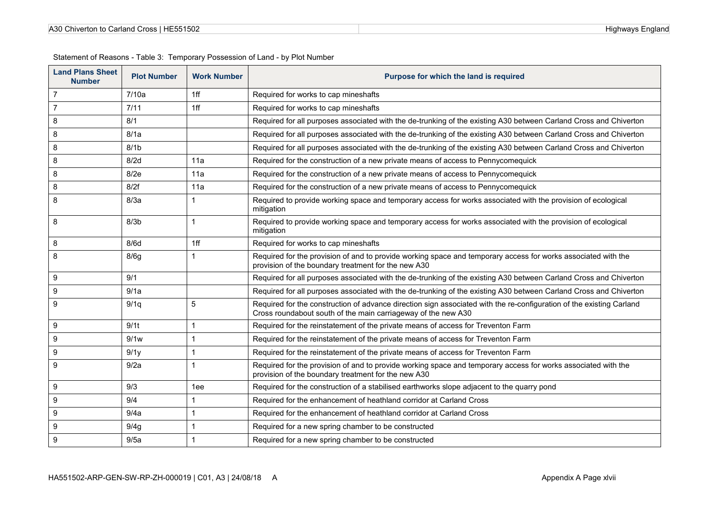| <b>Land Plans Sheet</b><br><b>Number</b> | <b>Plot Number</b> | <b>Work Number</b> | Purpose for which the land is required                                                                                                                                                |
|------------------------------------------|--------------------|--------------------|---------------------------------------------------------------------------------------------------------------------------------------------------------------------------------------|
| $\overline{7}$                           | 7/10a              | 1ff                | Required for works to cap mineshafts                                                                                                                                                  |
| $\overline{7}$                           | 7/11               | 1ff                | Required for works to cap mineshafts                                                                                                                                                  |
| 8                                        | 8/1                |                    | Required for all purposes associated with the de-trunking of the existing A30 between Carland Cross and Chiverton                                                                     |
| 8                                        | 8/1a               |                    | Required for all purposes associated with the de-trunking of the existing A30 between Carland Cross and Chiverton                                                                     |
| 8                                        | 8/1 <sub>b</sub>   |                    | Required for all purposes associated with the de-trunking of the existing A30 between Carland Cross and Chiverton                                                                     |
| 8                                        | 8/2d               | 11a                | Required for the construction of a new private means of access to Pennycomequick                                                                                                      |
| 8                                        | 8/2e               | 11a                | Required for the construction of a new private means of access to Pennycomequick                                                                                                      |
| 8                                        | 8/2f               | 11a                | Required for the construction of a new private means of access to Pennycomequick                                                                                                      |
| 8                                        | 8/3a               | 1                  | Required to provide working space and temporary access for works associated with the provision of ecological<br>mitigation                                                            |
| 8                                        | 8/3 <sub>b</sub>   | $\overline{1}$     | Required to provide working space and temporary access for works associated with the provision of ecological<br>mitigation                                                            |
| 8                                        | 8/6d               | 1ff                | Required for works to cap mineshafts                                                                                                                                                  |
| 8                                        | 8/6q               | $\overline{1}$     | Required for the provision of and to provide working space and temporary access for works associated with the<br>provision of the boundary treatment for the new A30                  |
| 9                                        | 9/1                |                    | Required for all purposes associated with the de-trunking of the existing A30 between Carland Cross and Chiverton                                                                     |
| 9                                        | 9/1a               |                    | Required for all purposes associated with the de-trunking of the existing A30 between Carland Cross and Chiverton                                                                     |
| 9                                        | 9/1q               | 5                  | Required for the construction of advance direction sign associated with the re-configuration of the existing Carland<br>Cross roundabout south of the main carriageway of the new A30 |
| 9                                        | 9/1 <sub>t</sub>   | $\overline{1}$     | Required for the reinstatement of the private means of access for Treventon Farm                                                                                                      |
| 9                                        | 9/1w               | $\overline{1}$     | Required for the reinstatement of the private means of access for Treventon Farm                                                                                                      |
| 9                                        | 9/1y               | $\overline{1}$     | Required for the reinstatement of the private means of access for Treventon Farm                                                                                                      |
| 9                                        | 9/2a               | $\mathbf 1$        | Required for the provision of and to provide working space and temporary access for works associated with the<br>provision of the boundary treatment for the new A30                  |
| 9                                        | 9/3                | 1ee                | Required for the construction of a stabilised earthworks slope adjacent to the quarry pond                                                                                            |
| 9                                        | 9/4                | $\overline{1}$     | Required for the enhancement of heathland corridor at Carland Cross                                                                                                                   |
| 9                                        | 9/4a               | $\overline{1}$     | Required for the enhancement of heathland corridor at Carland Cross                                                                                                                   |
| 9                                        | 9/4g               | $\overline{1}$     | Required for a new spring chamber to be constructed                                                                                                                                   |
| 9                                        | 9/5a               | $\overline{1}$     | Required for a new spring chamber to be constructed                                                                                                                                   |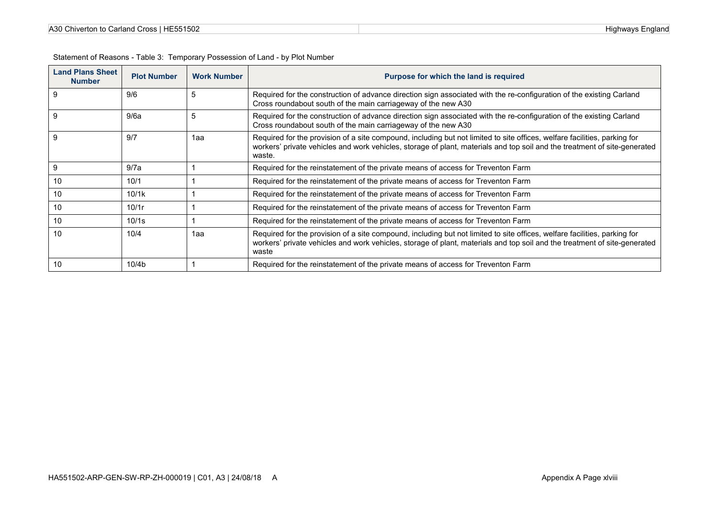| A30 Chiverton to Carland Cross   HE551502 |  |
|-------------------------------------------|--|
|-------------------------------------------|--|

| <b>Land Plans Sheet</b><br><b>Number</b> | <b>Plot Number</b> | <b>Work Number</b> | Purpose for which the land is required                                                                                                                                                                                                                           |
|------------------------------------------|--------------------|--------------------|------------------------------------------------------------------------------------------------------------------------------------------------------------------------------------------------------------------------------------------------------------------|
| 9                                        | 9/6                | 5                  | Required for the construction of advance direction sign associated with the re-configuration of the existing Carland<br>Cross roundabout south of the main carriageway of the new A30                                                                            |
| 9                                        | 9/6a               | 5                  | Required for the construction of advance direction sign associated with the re-configuration of the existing Carland<br>Cross roundabout south of the main carriageway of the new A30                                                                            |
| 9                                        | 9/7                | 1aa                | Required for the provision of a site compound, including but not limited to site offices, welfare facilities, parking for<br>workers' private vehicles and work vehicles, storage of plant, materials and top soil and the treatment of site-generated<br>waste. |
| 9                                        | 9/7a               |                    | Required for the reinstatement of the private means of access for Treventon Farm                                                                                                                                                                                 |
| 10                                       | 10/1               |                    | Required for the reinstatement of the private means of access for Treventon Farm                                                                                                                                                                                 |
| 10                                       | 10/1k              |                    | Required for the reinstatement of the private means of access for Treventon Farm                                                                                                                                                                                 |
| 10                                       | 10/1r              |                    | Required for the reinstatement of the private means of access for Treventon Farm                                                                                                                                                                                 |
| 10                                       | 10/1s              |                    | Required for the reinstatement of the private means of access for Treventon Farm                                                                                                                                                                                 |
| 10                                       | 10/4               | 1aa                | Required for the provision of a site compound, including but not limited to site offices, welfare facilities, parking for<br>workers' private vehicles and work vehicles, storage of plant, materials and top soil and the treatment of site-generated<br>waste  |
| 10                                       | 10/4 <sub>b</sub>  |                    | Required for the reinstatement of the private means of access for Treventon Farm                                                                                                                                                                                 |